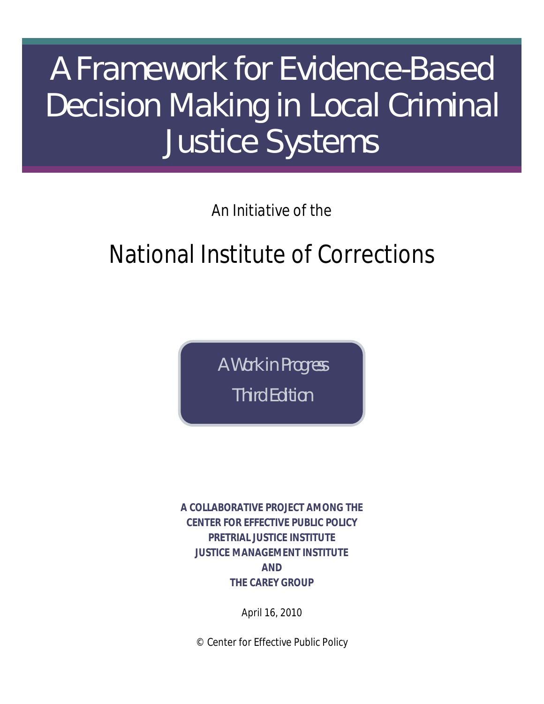# A Framework for Evidence-Based Decision Making in Local Criminal Justice Systems

## *An Initiative of the*

# National Institute of Corrections

*A Work in Progress Third Edition*

**A COLLABORATIVE PROJECT AMONG THE CENTER FOR EFFECTIVE PUBLIC POLICY PRETRIAL JUSTICE INSTITUTE JUSTICE MANAGEMENT INSTITUTE AND THE CAREY GROUP**

April 16, 2010

© Center for Effective Public Policy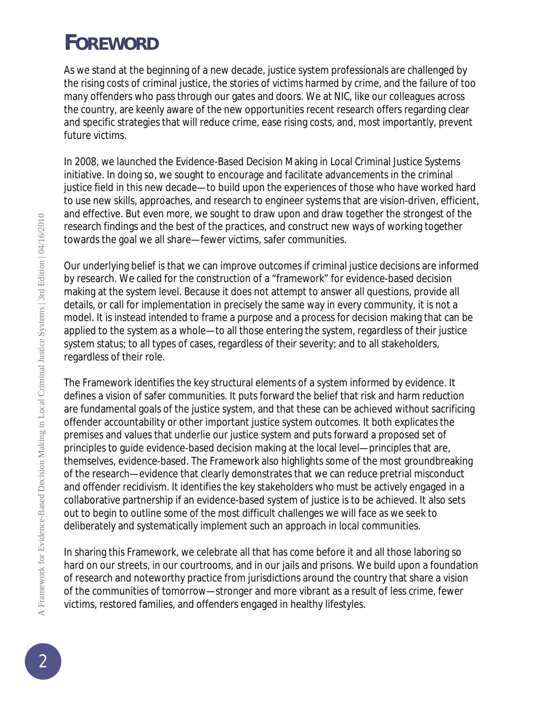# *FOREWORD*

As we stand at the beginning of a new decade, justice system professionals are challenged by the rising costs of criminal justice, the stories of victims harmed by crime, and the failure of too many offenders who pass through our gates and doors. We at NIC, like our colleagues across the country, are keenly aware of the new opportunities recent research offers regarding clear and specific strategies that will reduce crime, ease rising costs, and, most importantly, prevent future victims.

In 2008, we launched the Evidence-Based Decision Making in Local Criminal Justice Systems initiative. In doing so, we sought to encourage and facilitate advancements in the criminal justice field in this new decade—to build upon the experiences of those who have worked hard to use new skills, approaches, and research to engineer systems that are vision-driven, efficient, and effective. But even more, we sought to draw upon and draw together the strongest of the research findings and the best of the practices, and construct new ways of working together towards the goal we all share—fewer victims, safer communities.

Our underlying belief is that we can improve outcomes if criminal justice decisions are informed by research. We called for the construction of a "framework" for evidence-based decision making at the system level. Because it does not attempt to answer all questions, provide all details, or call for implementation in precisely the same way in every community, it is not a model. It is instead intended to frame a purpose and a process for decision making that can be applied to the system as a whole—to all those entering the system, regardless of their justice system status; to all types of cases, regardless of their severity; and to all stakeholders, regardless of their role.

The Framework identifies the key structural elements of a system informed by evidence. It defines a vision of safer communities. It puts forward the belief that risk and harm reduction are fundamental goals of the justice system, and that these can be achieved without sacrificing offender accountability or other important justice system outcomes. It both explicates the premises and values that underlie our justice system and puts forward a proposed set of principles to guide evidence-based decision making at the local level—principles that are, themselves, evidence-based. The Framework also highlights some of the most groundbreaking of the research—evidence that clearly demonstrates that we can reduce pretrial misconduct and offender recidivism. It identifies the key stakeholders who must be actively engaged in a collaborative partnership if an evidence-based system of justice is to be achieved. It also sets out to begin to outline some of the most difficult challenges we will face as we seek to deliberately and systematically implement such an approach in local communities.

In sharing this Framework, we celebrate all that has come before it and all those laboring so hard on our streets, in our courtrooms, and in our jails and prisons. We build upon a foundation of research and noteworthy practice from jurisdictions around the country that share a vision of the communities of tomorrow—stronger and more vibrant as a result of less crime, fewer victims, restored families, and offenders engaged in healthy lifestyles.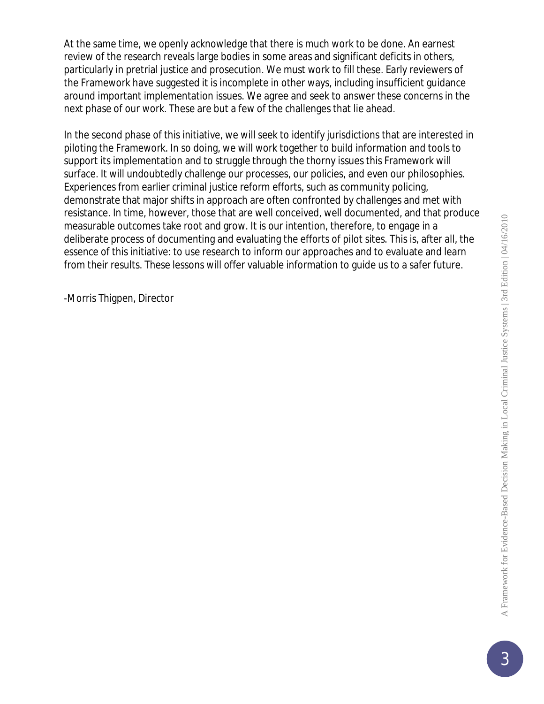At the same time, we openly acknowledge that there is much work to be done. An earnest review of the research reveals large bodies in some areas and significant deficits in others, particularly in pretrial justice and prosecution. We must work to fill these. Early reviewers of the Framework have suggested it is incomplete in other ways, including insufficient guidance around important implementation issues. We agree and seek to answer these concerns in the next phase of our work. These are but a few of the challenges that lie ahead.

In the second phase of this initiative, we will seek to identify jurisdictions that are interested in piloting the Framework. In so doing, we will work together to build information and tools to support its implementation and to struggle through the thorny issues this Framework will surface. It will undoubtedly challenge our processes, our policies, and even our philosophies. Experiences from earlier criminal justice reform efforts, such as community policing, demonstrate that major shifts in approach are often confronted by challenges and met with resistance. In time, however, those that are well conceived, well documented, and that produce measurable outcomes take root and grow. It is our intention, therefore, to engage in a deliberate process of documenting and evaluating the efforts of pilot sites. This is, after all, the essence of this initiative: to use research to inform our approaches and to evaluate and learn from their results. These lessons will offer valuable information to guide us to a safer future.

-Morris Thigpen, Director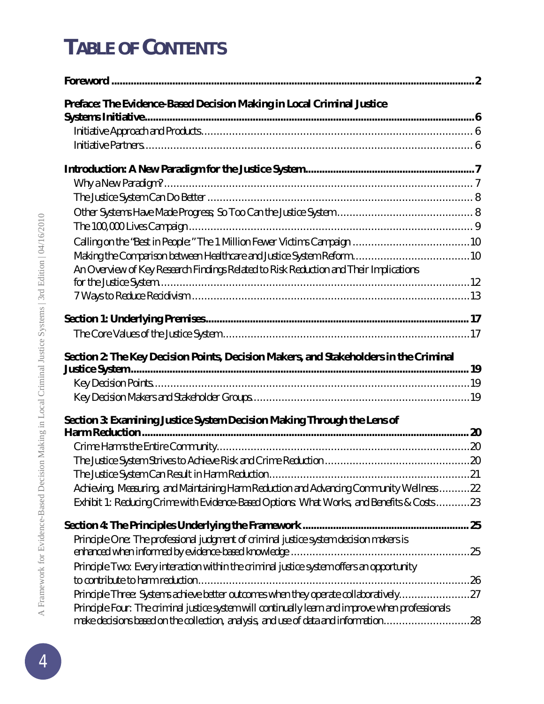# *TABLE OF CONTENTS*

| Preface: The Evidence-Based Decision Making in Local Criminal Justice                                                                                                                     |  |
|-------------------------------------------------------------------------------------------------------------------------------------------------------------------------------------------|--|
|                                                                                                                                                                                           |  |
|                                                                                                                                                                                           |  |
|                                                                                                                                                                                           |  |
|                                                                                                                                                                                           |  |
|                                                                                                                                                                                           |  |
|                                                                                                                                                                                           |  |
|                                                                                                                                                                                           |  |
|                                                                                                                                                                                           |  |
|                                                                                                                                                                                           |  |
|                                                                                                                                                                                           |  |
| An Overview of Key Research Findings Related to Risk Reduction and Their Implications                                                                                                     |  |
|                                                                                                                                                                                           |  |
|                                                                                                                                                                                           |  |
|                                                                                                                                                                                           |  |
|                                                                                                                                                                                           |  |
| Section 2: The Key Decision Points, Decision Makers, and Stakeholders in the Criminal                                                                                                     |  |
|                                                                                                                                                                                           |  |
|                                                                                                                                                                                           |  |
|                                                                                                                                                                                           |  |
| Section 3: Examining Justice System Decision Making Through the Lens of                                                                                                                   |  |
|                                                                                                                                                                                           |  |
|                                                                                                                                                                                           |  |
|                                                                                                                                                                                           |  |
|                                                                                                                                                                                           |  |
| Achieving, Measuring, and Maintaining Harm Reduction and Advancing Community Wellness 22                                                                                                  |  |
| Exhibit 1: Reducing Crime with Evidence-Based Options: What Works, and Benefits & Costs 23                                                                                                |  |
|                                                                                                                                                                                           |  |
| Principle One: The professional judgment of criminal justice system decision makers is                                                                                                    |  |
|                                                                                                                                                                                           |  |
| Principle Two: Every interaction within the criminal justice system offers an opportunity                                                                                                 |  |
|                                                                                                                                                                                           |  |
| Principle Three: Systems achieve better outcomes when they operate collaboratively27<br>Principle Four: The criminal justice system will continually learn and improve when professionals |  |
|                                                                                                                                                                                           |  |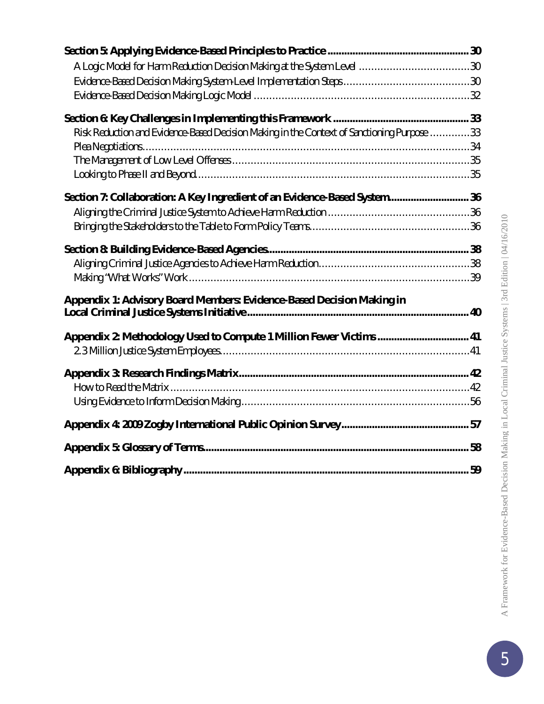| Risk Reduction and Evidence-Based Decision Making in the Context of Sanctioning Purpose 33 |  |
|--------------------------------------------------------------------------------------------|--|
|                                                                                            |  |
|                                                                                            |  |
|                                                                                            |  |
| Section 7: Collaboration: A Key Ingredient of an Evidence-Based System 36                  |  |
|                                                                                            |  |
|                                                                                            |  |
|                                                                                            |  |
|                                                                                            |  |
|                                                                                            |  |
| Appendix 1: Advisory Board Members: Evidence-Based Decision Making in                      |  |
|                                                                                            |  |
| Appendix 2: Methodology Used to Compute 1 Million Fewer Victims  41                        |  |
|                                                                                            |  |
|                                                                                            |  |
|                                                                                            |  |
|                                                                                            |  |
|                                                                                            |  |
|                                                                                            |  |
|                                                                                            |  |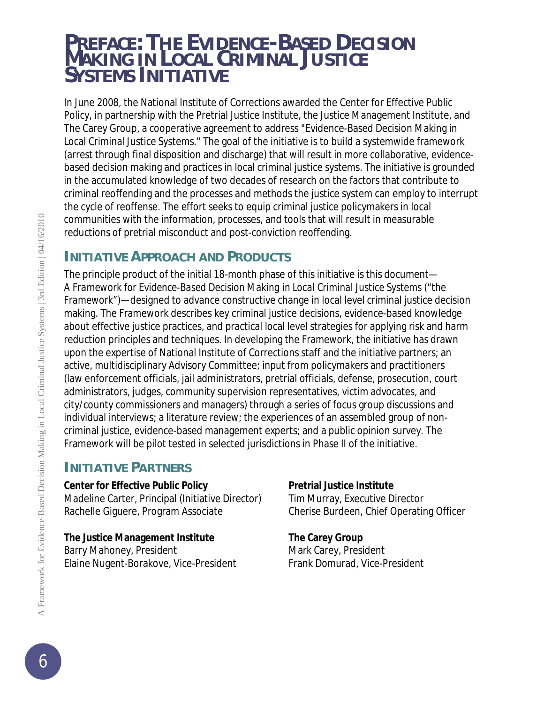## *PREFACE: THE EVIDENCE-BASED DECISION MAKING IN LOCAL CRIMINAL JUSTICE SYSTEMS INITIATIVE*

In June 2008, the National Institute of Corrections awarded the Center for Effective Public Policy, in partnership with the Pretrial Justice Institute, the Justice Management Institute, and The Carey Group, a cooperative agreement to address "Evidence-Based Decision Making in Local Criminal Justice Systems." The goal of the initiative is to build a systemwide framework (arrest through final disposition and discharge) that will result in more collaborative, evidencebased decision making and practices in local criminal justice systems. The initiative is grounded in the accumulated knowledge of two decades of research on the factors that contribute to criminal reoffending and the processes and methods the justice system can employ to interrupt the cycle of reoffense. The effort seeks to equip criminal justice policymakers in local communities with the information, processes, and tools that will result in measurable reductions of pretrial misconduct and post-conviction reoffending.

## **INITIATIVE APPROACH AND PRODUCTS**

The principle product of the initial 18-month phase of this initiative is this document— *A Framework for Evidence-Based Decision Making in Local Criminal Justice Systems ("the Framework")*—designed to advance constructive change in local level criminal justice decision making. The Framework describes key criminal justice decisions, evidence-based knowledge about effective justice practices, and practical local level strategies for applying risk and harm reduction principles and techniques. In developing the Framework, the initiative has drawn upon the expertise of National Institute of Corrections staff and the initiative partners; an active, multidisciplinary Advisory Committee; input from policymakers and practitioners (law enforcement officials, jail administrators, pretrial officials, defense, prosecution, court administrators, judges, community supervision representatives, victim advocates, and city/county commissioners and managers) through a series of focus group discussions and individual interviews; a literature review; the experiences of an assembled group of noncriminal justice, evidence-based management experts; and a public opinion survey. The Framework will be pilot tested in selected jurisdictions in Phase II of the initiative.

#### **INITIATIVE PARTNERS**

**Center for Effective Public Policy Pretrial Justice Institute**

Madeline Carter, Principal (Initiative Director) Tim Murray, Executive Director Rachelle Giguere, Program Associate Cherise Burdeen, Chief Operating Officer

**The Justice Management Institute The Carey Group** Barry Mahoney, President Mark Carey, President Elaine Nugent-Borakove, Vice-President Frank Domurad, Vice-President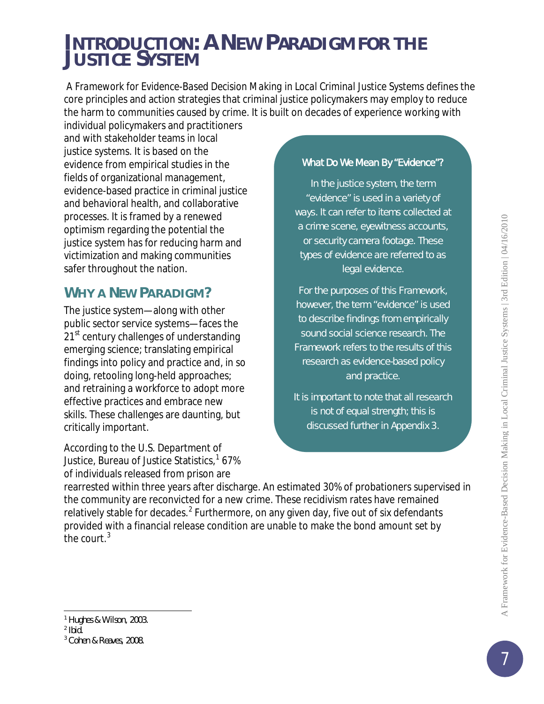## *INTRODUCTION: A NEW PARADIGM FOR THE JUSTICE SYSTEM*

*A Framework for Evidence-Based Decision Making in Local Criminal Justice Systems* defines the core principles and action strategies that criminal justice policymakers may employ to reduce the harm to communities caused by crime. It is built on decades of experience working with

individual policymakers and practitioners and with stakeholder teams in local justice systems. It is based on the evidence from empirical studies in the fields of organizational management, evidence-based practice in criminal justice and behavioral health, and collaborative processes. It is framed by a renewed optimism regarding the potential the justice system has for reducing harm and victimization and making communities safer throughout the nation.

## **WHY A NEW PARADIGM?**

The justice system—along with other public sector service systems—faces the 21<sup>st</sup> century challenges of understanding emerging science; translating empirical findings into policy and practice and, in so doing, retooling long-held approaches; and retraining a workforce to adopt more effective practices and embrace new skills. These challenges are daunting, but critically important.

According to the U.S. Department of Justice, Bureau of Justice Statistics,<sup>[1](#page-6-0)</sup> 67% of individuals released from prison are

#### What Do We Mean By "Evidence"?

In the justice system, the term "evidence" is used in a variety of ways. It can refer to items collected at a crime scene, eyewitness accounts, or security camera footage. These types of evidence are referred to as *legal evidence*.

For the purposes of this Framework, however, the term "evidence" is used to describe findings from empirically sound social science research. The Framework refers to the results of this research as *evidence-based policy and practice.*

It is important to note that all research is not of equal strength; this is discussed further in Appendix 3.

rearrested within three years after discharge. An estimated 30% of probationers supervised in the community are reconvicted for a new crime. These recidivism rates have remained relatively stable for decades.<sup>[2](#page-6-1)</sup> Furthermore, on any given day, five out of six defendants provided with a financial release condition are unable to make the bond amount set by the court.<sup>[3](#page-6-2)</sup>

l

<span id="page-6-0"></span><sup>&</sup>lt;sup>1</sup> Hughes & Wilson, 2003.

<span id="page-6-1"></span> $2$  Ibid.

<span id="page-6-2"></span><sup>3</sup> Cohen & Reaves, 2008.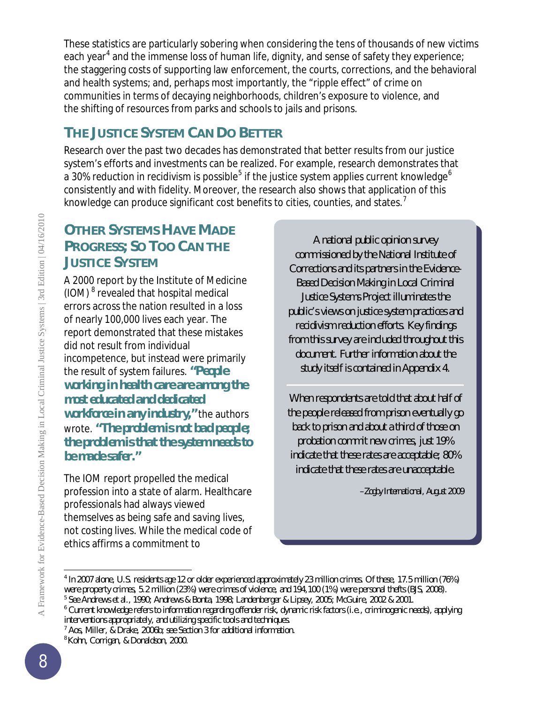These statistics are particularly sobering when considering the tens of thousands of new victims each year<sup>[4](#page-7-0)</sup> and the immense loss of human life, dignity, and sense of safety they experience; the staggering costs of supporting law enforcement, the courts, corrections, and the behavioral and health systems; and, perhaps most importantly, the "ripple effect" of crime on communities in terms of decaying neighborhoods, children's exposure to violence, and the shifting of resources from parks and schools to jails and prisons.

## **THE JUSTICE SYSTEM CAN DO BETTER**

Research over the past two decades has demonstrated that better results from our justice system's efforts and investments can be realized. For example, research demonstrates that a 30% reduction in recidivism is possible<sup>[5](#page-7-1)</sup> if the justice system applies current knowledge<sup>[6](#page-7-2)</sup> consistently and with fidelity. Moreover, the research also shows that application of this knowledge can produce significant cost benefits to cities, counties, and states.<sup>[7](#page-7-3)</sup>

## **OTHER SYSTEMS HAVE MADE PROGRESS; SO TOO CAN THE JUSTICE SYSTEM**

A 2000 report by the Institute of Medicine (IOM)<sup>[8](#page-7-4)</sup> revealed that hospital medical errors across the nation resulted in a loss of nearly 100,000 lives each year. The report demonstrated that these mistakes did not result from individual incompetence, but instead were primarily the result of system failures. *"People working in health care are among the most educated and dedicated workforce in any industry,"* the authors wrote. *"The problem is not bad people; the problem is that the system needs to be made safer."*

The IOM report propelled the medical profession into a state of alarm. Healthcare professionals had always viewed themselves as *being* safe and *saving* lives, not costing lives. While the medical code of ethics affirms a commitment to

A national public opinion survey commissioned by the National Institute of Corrections and its partners in the Evidence-Based Decision Making in Local Criminal Justice Systems Project illuminates the public's views on justice system practices and recidivism reduction efforts. Key findings from this survey are included throughout this document. Further information about the study itself is contained in Appendix 4.

When respondents are told that about half of the people released from prison eventually go back to prison and about a third of those on probation commit new crimes, just 19% indicate that these rates are acceptable; 80% indicate that these rates are unacceptable.

*–Zogby International, August 2009*

<span id="page-7-0"></span>l <sup>4</sup> In 2007 alone, U.S. residents age 12 or older experienced approximately 23 million crimes. Of these, 17.5 million (76%) were property crimes, 5.2 million (23%) were crimes of violence, and 194,100 (1%) were personal thefts (BJS, 2008).

<span id="page-7-1"></span><sup>5</sup> See Andrews et al., 1990; Andrews & Bonta, 1998; Landenberger & Lipsey, 2005; McGuire, 2002 & 2001.

<span id="page-7-2"></span><sup>&</sup>lt;sup>6</sup> Current knowledge refers to information regarding offender risk, dynamic risk factors (i.e., criminogenic needs), applying interventions appropriately, and utilizing specific tools and techniques.

 $^7$  Aos, Miller,  $\&$  Drake, 2006b; see Section 3 for additional information.

<span id="page-7-4"></span><span id="page-7-3"></span><sup>8</sup>Kohn, Corrigan, & Donaldson, 2000.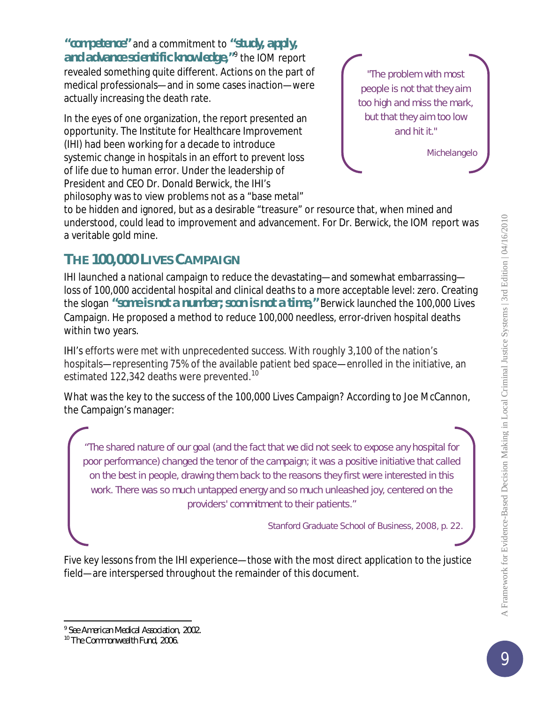*"competence"* and a commitment to *"study, apply, and advance scientific knowledge,"*[9](#page-8-0) the IOM report revealed something quite different. Actions on the part of medical professionals—and in some cases inaction—were actually increasing the death rate.

In the eyes of one organization, the report presented an opportunity. The Institute for Healthcare Improvement (IHI) had been working for a decade to introduce systemic change in hospitals in an effort to prevent loss of life due to human error. Under the leadership of President and CEO Dr. Donald Berwick, the IHI's philosophy was to view problems not as a "base metal"



*Michelangelo*

to be hidden and ignored, but as a desirable "treasure" or resource that, when mined and understood, could lead to improvement and advancement. For Dr. Berwick, the IOM report was a veritable gold mine.

## **THE 100,000 LIVES CAMPAIGN**

IHI launched a national campaign to reduce the devastating—and somewhat embarrassing loss of 100,000 accidental hospital and clinical deaths to a more acceptable level: zero. Creating the slogan *"some is not a number; soon is not a time,"* Berwick launched the 100,000 Lives Campaign. He proposed a method to reduce 100,000 needless, error-driven hospital deaths within two years.

IHI's efforts were met with unprecedented success. With roughly 3,100 of the nation's hospitals—representing 75% of the available patient bed space—enrolled in the initiative, an estimated 122,342 deaths were prevented.<sup>[10](#page-8-1)</sup>

What was the key to the success of the 100,000 Lives Campaign? According to Joe McCannon, the Campaign's manager:

"The shared nature of our goal (and the fact that we did not seek to expose any hospital for poor performance) changed the tenor of the campaign; it was a positive initiative that called on the best in people, drawing them back to the reasons they first were interested in this work. There was so much untapped energy and so much unleashed joy, centered on the providers' commitment to their patients."

*Stanford Graduate School of Business, 2008, p. 22.*

Five key lessons from the IHI experience—those with the most direct application to the justice field—are interspersed throughout the remainder of this document.

l <sup>9</sup> See American Medical Association, 2002.

<span id="page-8-1"></span><span id="page-8-0"></span><sup>&</sup>lt;sup>10</sup> The Commonwealth Fund, 2006.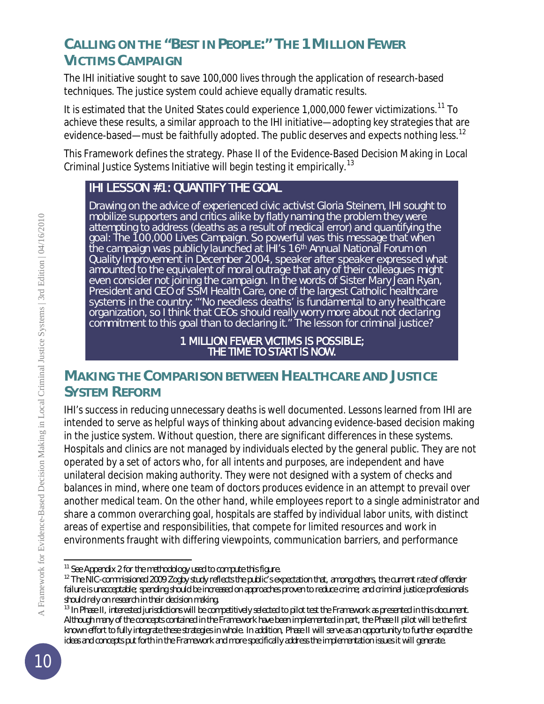## **CALLING ON THE "BEST IN PEOPLE:" THE 1 MILLION FEWER VICTIMS CAMPAIGN**

The IHI initiative sought to save 100,000 lives through the application of research-based techniques. The justice system could achieve equally dramatic results.

It is estimated that the United States could experience 1,000,000 fewer victimizations.<sup>[11](#page-9-0)</sup> To achieve these results, a similar approach to the IHI initiative—adopting key strategies that are evidence-based—must be faithfully adopted. The public deserves and expects nothing less.<sup>[12](#page-9-1)</sup>

This Framework defines the strategy. Phase II of the Evidence-Based Decision Making in Local Criminal Justice Systems Initiative will begin testing it empirically.[13](#page-9-2)

## IHI LESSON #1: QUANTIFY THE GOAL

Drawing on the advice of experienced civic activist Gloria Steinem, IHI sought to mobilize supporters and critics alike by flatly naming the problem they were attempting to address (deaths as a result of medical error) and quantifying the goal: The 100,000 Lives Campaign. So powerful was this message that when the campaign was publicly launched at IHI's 16th Annual National Forum on Quality Improvement in December 2004, speaker after speaker expressed what amounted to the equivalent of moral outrage that any of their colleagues might even consider not joining the campaign. In the words of Sister Mary Jean Ryan, President and CEO of SSM Health Care, one of the largest Catholic healthcare systems in the country: "'No needless deaths' is fundamental to any healthcare organization, so I think that CEOs should really worry more about not declaring commitment to this goal than to declaring it." The lesson for criminal justice?

#### 1 MILLION FEWER VICTIMS IS POSSIBLE; THE TIME TO START IS NOW.

## **MAKING THE COMPARISON BETWEEN HEALTHCARE AND JUSTICE SYSTEM REFORM**

IHI's success in reducing unnecessary deaths is well documented. Lessons learned from IHI are intended to serve as helpful ways of thinking about advancing evidence-based decision making in the justice system. Without question, there are significant differences in these systems. Hospitals and clinics are not managed by individuals elected by the general public. They are not operated by a set of actors who, for all intents and purposes, are independent and have unilateral decision making authority. They were not designed with a system of checks and balances in mind, where one team of doctors produces evidence in an attempt to prevail over another medical team. On the other hand, while employees report to a single administrator and share a common overarching goal, hospitals are staffed by individual labor units, with distinct areas of expertise and responsibilities, that compete for limited resources and work in environments fraught with differing viewpoints, communication barriers, and performance

l  $11$  See Appendix 2 for the methodology used to compute this figure.

<span id="page-9-1"></span><span id="page-9-0"></span> $12$  The NIC-commissioned 2009 Zogby study reflects the public's expectation that, among others, the current rate of offender failure is unacceptable; spending should be increased on approaches proven to reduce crime; and criminal justice professionals should rely on research in their decision making.

<span id="page-9-2"></span><sup>&</sup>lt;sup>13</sup> In Phase II, interested jurisdictions will be competitively selected to pilot test the Framework as presented in this document. Although many of the concepts contained in the Framework have been implemented in part, the Phase II pilot will be the first known effort to fully integrate these strategies in whole. In addition, Phase II will serve as an opportunity to further expand the ideas and concepts put forth in the Framework and more specifically address the implementation issues it will generate.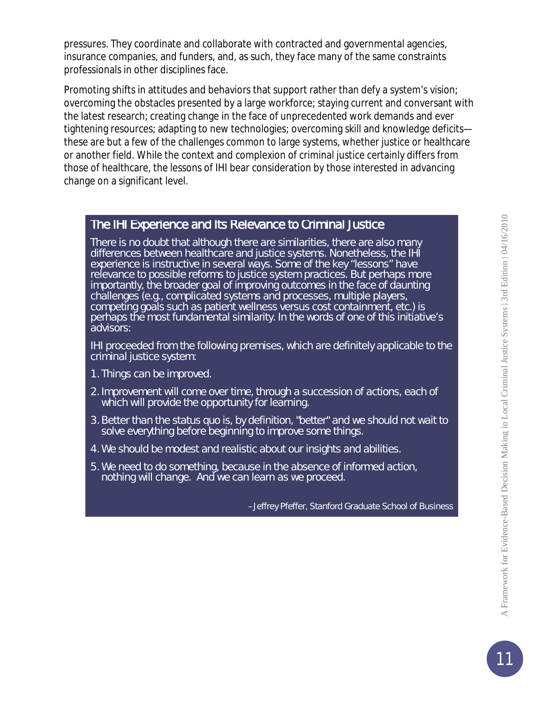pressures. They coordinate and collaborate with contracted and governmental agencies, insurance companies, and funders, and, as such, they face many of the same constraints professionals in other disciplines face.

Promoting shifts in attitudes and behaviors that support rather than defy a system's vision; overcoming the obstacles presented by a large workforce; staying current and conversant with the latest research; creating change in the face of unprecedented work demands and ever tightening resources; adapting to new technologies; overcoming skill and knowledge deficits these are but a few of the challenges common to large systems, whether justice or healthcare or another field. While the context and complexion of criminal justice certainly differs from those of healthcare, the lessons of IHI bear consideration by those interested in advancing change on a significant level.

#### The IHI Experience and Its Relevance to Criminal Justice

There is no doubt that although there are similarities, there are also many differences between healthcare and justice systems. Nonetheless, the IHI experience is instructive in several ways. Some of the key "lessons" have relevance to possible reforms to justice system practices. But perhaps more importantly, the broader goal of improving outcomes in the face of daunting challenges (e.g., complicated systems and processes, multiple players, competing goals such as patient wellness versus cost containment, etc.) is perhaps the most fundamental similarity. In the words of one of this initiative's advisors:

*IHI proceeded from the following premises, which are definitely applicable to the criminal justice system:*

- *1. Things can be improved.*
- *2. Improvement will come over time, through a succession of actions, each of which will provide the opportunity for learning.*
- *3. Better than the status quo is, by definition, "better" and we should not wait to solve everything before beginning to improve some things.*
- *4. We should be modest and realistic about our insights and abilities.*
- *5. We need to do something, because in the absence of informed action, nothing will change. And we can learn as we proceed.*

*–Jeffrey Pfeffer, Stanford Graduate School of Business*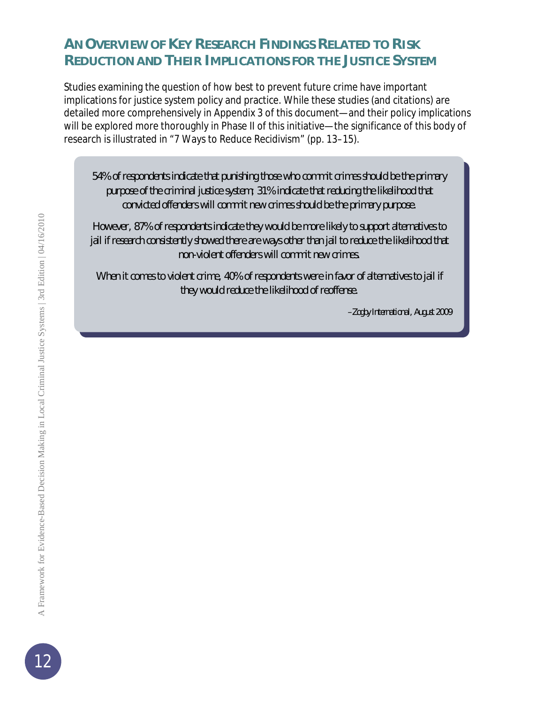## **AN OVERVIEW OF KEY RESEARCH FINDINGS RELATED TO RISK REDUCTION AND THEIR IMPLICATIONS FOR THE JUSTICE SYSTEM**

Studies examining the question of how best to prevent future crime have important implications for justice system policy and practice. While these studies (and citations) are detailed more comprehensively in Appendix 3 of this document—and their policy implications will be explored more thoroughly in Phase II of this initiative—the significance of this body of research is illustrated in "7 Ways to Reduce Recidivism" (pp. 13–15).

54% of respondents indicate that punishing those who commit crimes should be the primary purpose of the criminal justice system; 31% indicate that reducing the likelihood that convicted offenders will commit new crimes should be the primary purpose.

However, 87% of respondents indicate they would be more likely to support alternatives to jail if research consistently showed there are ways other than jail to reduce the likelihood that non-violent offenders will commit new crimes.

When it comes to violent crime, 40% of respondents were in favor of alternatives to jail if they would reduce the likelihood of reoffense.

*–Zogby International, August 2009*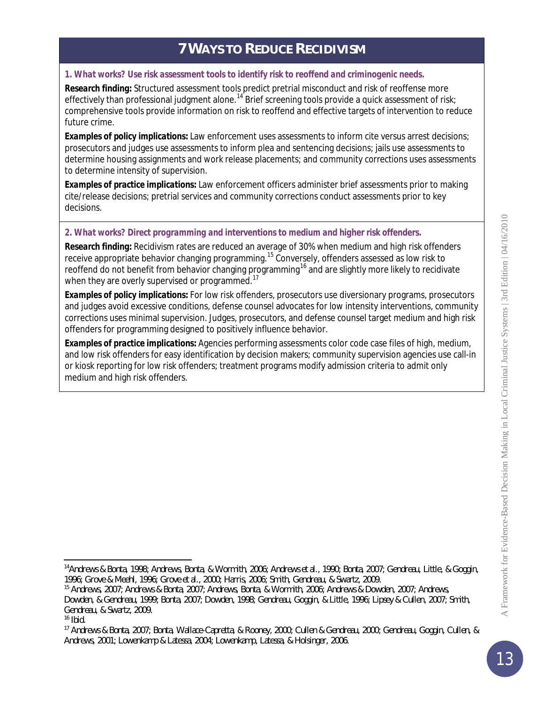## **7 WAYS TO REDUCE RECIDIVISM**

#### *1. What works? Use risk assessment tools to identify risk to reoffend and criminogenic needs.*

*Research finding:* Structured assessment tools predict pretrial misconduct and risk of reoffense more effectively than professional judgment alone.<sup>[14](#page-12-0)</sup> Brief screening tools provide a quick assessment of risk; comprehensive tools provide information on risk to reoffend and effective targets of intervention to reduce future crime.

*Examples of policy implications:* Law enforcement uses assessments to inform cite versus arrest decisions; prosecutors and judges use assessments to inform plea and sentencing decisions; jails use assessments to determine housing assignments and work release placements; and community corrections uses assessments to determine intensity of supervision.

*Examples of practice implications:* Law enforcement officers administer brief assessments prior to making cite/release decisions; pretrial services and community corrections conduct assessments prior to key decisions.

#### *2. What works? Direct programming and interventions to medium and higher risk offenders.*

*Research finding:* Recidivism rates are reduced an average of 30% when medium and high risk offenders receive appropriate behavior changing programming.<sup>[15](#page-12-1)</sup> Conversely, offenders assessed as low risk to reoffend do not benefit from behavior changing programming<sup>[16](#page-12-2)</sup> and are slightly more likely to recidivate when they are overly supervised or programmed.<sup>[17](#page-12-3)</sup>

*Examples of policy implications:* For low risk offenders, prosecutors use diversionary programs, prosecutors and judges avoid excessive conditions, defense counsel advocates for low intensity interventions, community corrections uses minimal supervision. Judges, prosecutors, and defense counsel target medium and high risk offenders for programming designed to positively influence behavior.

*Examples of practice implications:* Agencies performing assessments color code case files of high, medium, and low risk offenders for easy identification by decision makers; community supervision agencies use call-in or kiosk reporting for low risk offenders; treatment programs modify admission criteria to admit only medium and high risk offenders.

<span id="page-12-0"></span>l 14Andrews & Bonta, 1998; Andrews, Bonta, & Wormith, 2006; Andrews et al., 1990; Bonta, 2007; Gendreau, Little, & Goggin, 1996; Grove & Meehl, 1996; Grove et al., 2000; Harris, 2006; Smith, Gendreau, & Swartz, 2009.

<span id="page-12-1"></span><sup>15</sup> Andrews, 2007; Andrews & Bonta, 2007; Andrews, Bonta, & Wormith, 2006; Andrews & Dowden, 2007; Andrews,

Dowden, & Gendreau, 1999; Bonta, 2007; Dowden, 1998; Gendreau, Goggin, & Little, 1996; Lipsey & Cullen, 2007; Smith, Gendreau, & Swartz, 2009.

<span id="page-12-2"></span> $16$  Ibid.

<span id="page-12-3"></span><sup>17</sup> Andrews & Bonta, 2007; Bonta, Wallace-Capretta, & Rooney, 2000; Cullen & Gendreau, 2000; Gendreau, Goggin, Cullen, & Andrews, 2001; Lowenkamp & Latessa, 2004; Lowenkamp, Latessa, & Holsinger, 2006.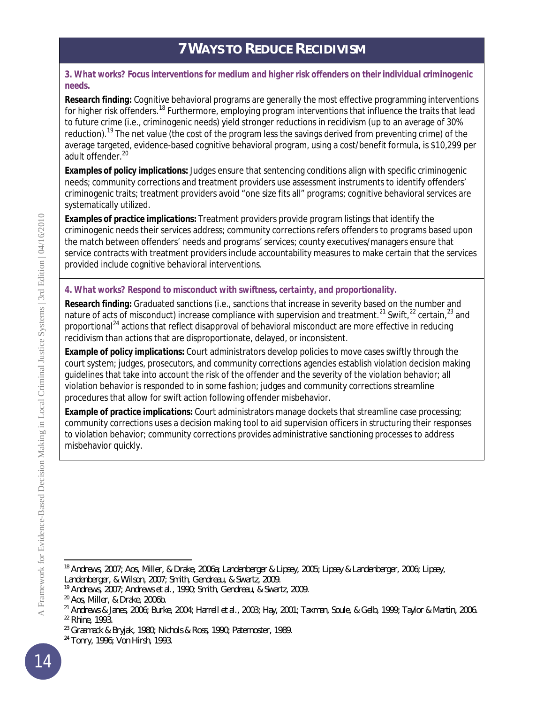## **7 WAYS TO REDUCE RECIDIVISM**

#### *3. What works? Focus interventions for medium and higher risk offenders on their individual criminogenic needs.*

*Research finding:* Cognitive behavioral programs are generally the most effective programming interventions for higher risk offenders.<sup>[18](#page-13-0)</sup> Furthermore, employing program interventions that influence the traits that lead to future crime (i.e., criminogenic needs) yield stronger reductions in recidivism (up to an average of 30% reduction).<sup>[19](#page-13-1)</sup> The net value (the cost of the program less the savings derived from preventing crime) of the average targeted, evidence-based cognitive behavioral program, using a cost/benefit formula, is \$10,299 per adult offender. [20](#page-13-2)

*Examples of policy implications:* Judges ensure that sentencing conditions align with specific criminogenic needs; community corrections and treatment providers use assessment instruments to identify offenders' criminogenic traits; treatment providers avoid "one size fits all" programs; cognitive behavioral services are systematically utilized.

*Examples of practice implications:* Treatment providers provide program listings that identify the criminogenic needs their services address; community corrections refers offenders to programs based upon the match between offenders' needs and programs' services; county executives/managers ensure that service contracts with treatment providers include accountability measures to make certain that the services provided include cognitive behavioral interventions.

#### *4. What works? Respond to misconduct with swiftness, certainty, and proportionality.*

*Research finding:* Graduated sanctions (i.e., sanctions that increase in severity based on the number and nature of acts of misconduct) increase compliance with supervision and treatment.<sup>[21](#page-13-3)</sup> Swift,<sup>[22](#page-13-4)</sup> certain,<sup>[23](#page-13-5)</sup> and proportional<sup>[24](#page-13-6)</sup> actions that reflect disapproval of behavioral misconduct are more effective in reducing recidivism than actions that are disproportionate, delayed, or inconsistent.

*Example of policy implications:* Court administrators develop policies to move cases swiftly through the court system; judges, prosecutors, and community corrections agencies establish violation decision making guidelines that take into account the risk of the offender and the severity of the violation behavior; all violation behavior is responded to in some fashion; judges and community corrections streamline procedures that allow for swift action following offender misbehavior.

*Example of practice implications:* Court administrators manage dockets that streamline case processing; community corrections uses a decision making tool to aid supervision officers in structuring their responses to violation behavior; community corrections provides administrative sanctioning processes to address misbehavior quickly.

<span id="page-13-0"></span>l <sup>18</sup> Andrews, 2007; Aos, Miller, & Drake, 2006a; Landenberger & Lipsey, 2005; Lipsey & Landenberger, 2006; Lipsey, Landenberger, & Wilson, 2007; Smith, Gendreau, & Swartz, 2009.

<span id="page-13-1"></span><sup>&</sup>lt;sup>19</sup> Andrews, 2007; Andrews et al., 1990; Smith, Gendreau, & Swartz, 2009.

<span id="page-13-2"></span><sup>20</sup> Aos, Miller, & Drake, 2006b.

<span id="page-13-3"></span><sup>&</sup>lt;sup>21</sup> Andrews & Janes, 2006; Burke, 2004; Harrell et al., 2003; Hay, 2001; Taxman, Soule, & Gelb, 1999; Taylor & Martin, 2006. <sup>22</sup> Rhine, 1993.

<span id="page-13-5"></span><span id="page-13-4"></span><sup>23</sup> Grasmack & Bryjak, 1980; Nichols & Ross, 1990; Paternoster, 1989.

<span id="page-13-6"></span><sup>&</sup>lt;sup>24</sup> Tonry, 1996; Von Hirsh, 1993.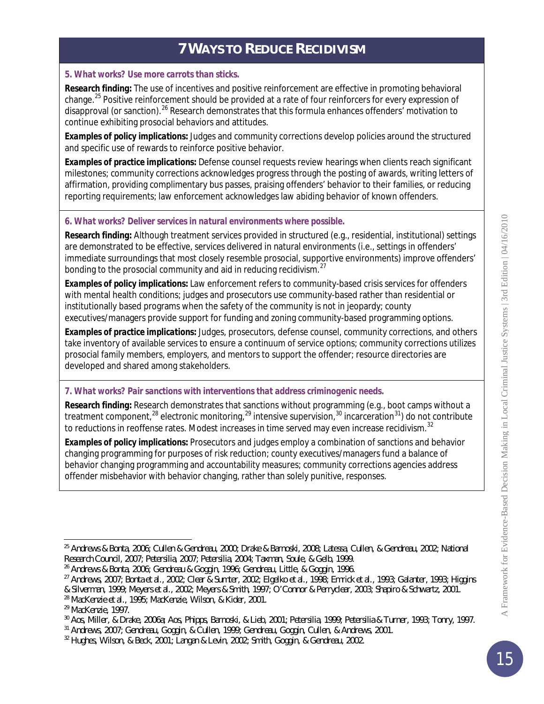## **7 WAYS TO REDUCE RECIDIVISM**

#### *5. What works? Use more carrots than sticks.*

*Research finding:* The use of incentives and positive reinforcement are effective in promoting behavioral change.<sup>[25](#page-14-0)</sup> Positive reinforcement should be provided at a rate of four reinforcers for every expression of disapproval (or sanction). <sup>[26](#page-14-1)</sup> Research demonstrates that this formula enhances offenders' motivation to continue exhibiting prosocial behaviors and attitudes.

*Examples of policy implications:* Judges and community corrections develop policies around the structured and specific use of rewards to reinforce positive behavior.

*Examples of practice implications:* Defense counsel requests review hearings when clients reach significant milestones; community corrections acknowledges progress through the posting of awards, writing letters of affirmation, providing complimentary bus passes, praising offenders' behavior to their families, or reducing reporting requirements; law enforcement acknowledges law abiding behavior of known offenders.

#### *6. What works? Deliver services in natural environments where possible.*

*Research finding:* Although treatment services provided in structured (e.g., residential, institutional) settings are demonstrated to be effective, services delivered in natural environments (i.e., settings in offenders' immediate surroundings that most closely resemble prosocial, supportive environments) improve offenders' bonding to the prosocial community and aid in reducing recidivism. $^{27}$  $^{27}$  $^{27}$ 

*Examples of policy implications:* Law enforcement refers to community-based crisis services for offenders with mental health conditions; judges and prosecutors use community-based rather than residential or institutionally based programs when the safety of the community is not in jeopardy; county executives/managers provide support for funding and zoning community-based programming options.

*Examples of practice implications:* Judges, prosecutors, defense counsel, community corrections, and others take inventory of available services to ensure a continuum of service options; community corrections utilizes prosocial family members, employers, and mentors to support the offender; resource directories are developed and shared among stakeholders.

#### *7. What works? Pair sanctions with interventions that address criminogenic needs.*

*Research finding:* Research demonstrates that sanctions without programming (e.g., boot camps without a treatment component,<sup>[28](#page-14-3)</sup> electronic monitoring,<sup>[29](#page-14-4)</sup> intensive supervision,<sup>[30](#page-14-5)</sup> incarceration<sup>[31](#page-14-6)</sup>) do not contribute to reductions in reoffense rates. Modest increases in time served may even increase recidivism.<sup>[32](#page-14-7)</sup>

*Examples of policy implications:* Prosecutors and judges employ a combination of sanctions and behavior changing programming for purposes of risk reduction; county executives/managers fund a balance of behavior changing programming and accountability measures; community corrections agencies address offender misbehavior with behavior changing, rather than solely punitive, responses.

<span id="page-14-0"></span>l <sup>25</sup> Andrews & Bonta, 2006; Cullen & Gendreau, 2000; Drake & Barnoski, 2008; Latessa, Cullen, & Gendreau, 2002; National Research Council, 2007; Petersilia, 2007; Petersilia, 2004; Taxman, Soule, & Gelb, 1999.

<span id="page-14-1"></span><sup>26</sup> Andrews & Bonta, 2006; Gendreau & Goggin, 1996; Gendreau, Little, & Goggin, 1996.

<span id="page-14-2"></span><sup>27</sup> Andrews, 2007; Bonta et al., 2002; Clear & Sumter, 2002; Elgelko et al., 1998; Emrick et al., 1993; Galanter, 1993; Higgins

<sup>&</sup>amp; Silverman, 1999; Meyers et al., 2002; Meyers & Smith, 1997; O'Connor & Perryclear, 2003; Shapiro & Schwartz, 2001.

<span id="page-14-3"></span><sup>28</sup> MacKenzie et al., 1995; MacKenzie, Wilson, & Kider, 2001.

<span id="page-14-4"></span><sup>29</sup> MacKenzie, 1997.

<span id="page-14-5"></span><sup>30</sup> Aos, Miller, & Drake, 2006a; Aos, Phipps, Barnoski, & Lieb, 2001; Petersilia, 1999; Petersilia & Turner, 1993; Tonry, 1997.

<span id="page-14-6"></span><sup>31</sup> Andrews, 2007; Gendreau, Goggin, & Cullen, 1999; Gendreau, Goggin, Cullen, & Andrews, 2001.

<span id="page-14-7"></span><sup>32</sup> Hughes, Wilson, & Beck, 2001; Langan & Levin, 2002; Smith, Goggin, & Gendreau, 2002.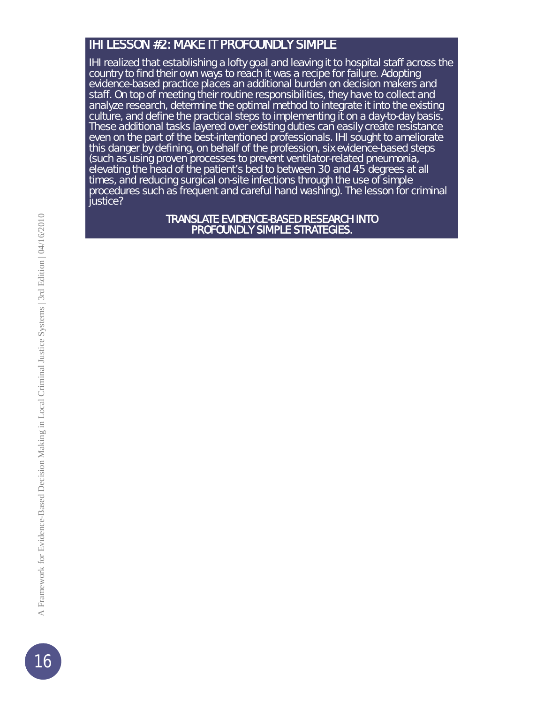#### IHI LESSON #2: MAKE IT PROFOUNDLY SIMPLE

IHI realized that establishing a lofty goal and leaving it to hospital staff across the country to find their own ways to reach it was a recipe for failure. Adopting evidence-based practice places an additional burden on decision makers and staff. On top of meeting their routine responsibilities, they have to collect and analyze research, determine the optimal method to integrate it into the existing culture, and define the practical steps to implementing it on a day-to-day basis. These additional tasks layered over existing duties can easily create resistance even on the part of the best-intentioned professionals. IHI sought to ameliorate this danger by defining, on behalf of the profession, six evidence-based steps (such as using proven processes to prevent ventilator-related pneumonia, elevating the head of the patient's bed to between 30 and 45 degrees at all times, and reducing surgical on-site infections through the use of simple procedures such as frequent and careful hand washing). The lesson for criminal justice?

#### TRANSLATE EVIDENCE-BASED RESEARCH INTO PROFOUNDLY SIMPLE STRATEGIES.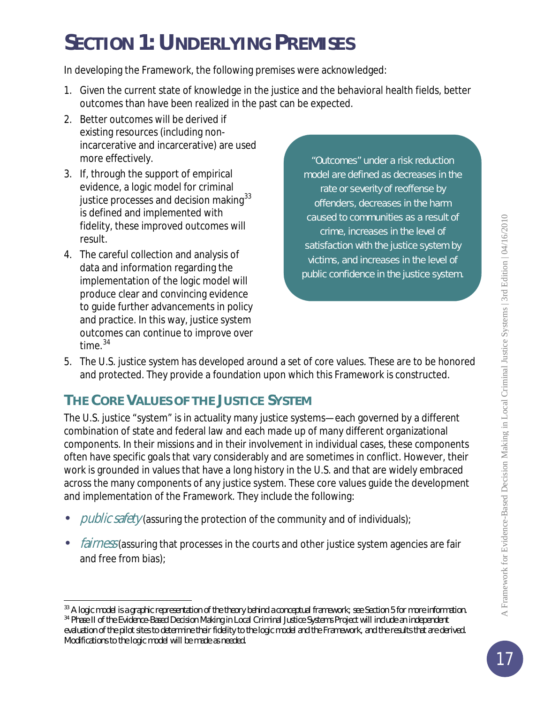# *SECTION 1: UNDERLYING PREMISES*

In developing the Framework, the following premises were acknowledged:

- 1. Given the current state of knowledge in the justice and the behavioral health fields, better outcomes than have been realized in the past can be expected.
- 2. Better outcomes will be derived if existing resources (including nonincarcerative and incarcerative) are used more effectively.
- 3. If, through the support of empirical evidence, a logic model for criminal justice processes and decision making<sup>[33](#page-16-0)</sup> is defined and implemented with fidelity, these improved outcomes will result.
- 4. The careful collection and analysis of data and information regarding the implementation of the logic model will produce clear and convincing evidence to guide further advancements in policy and practice. In this way, justice system outcomes can continue to improve over time  $34$

"Outcomes" under a risk reduction model are defined as decreases in the rate or severity of reoffense by offenders, decreases in the harm caused to communities as a result of crime, increases in the level of satisfaction with the justice system by victims, and increases in the level of public confidence in the justice system.

5. The U.S. justice system has developed around a set of core values. These are to be honored and protected. They provide a foundation upon which this Framework is constructed.

## **THE CORE VALUES OF THE JUSTICE SYSTEM**

The U.S. justice "system" is in actuality many justice systems—each governed by a different combination of state and federal law and each made up of many different organizational components. In their missions and in their involvement in individual cases, these components often have specific goals that vary considerably and are sometimes in conflict. However, their work is grounded in values that have a long history in the U.S. and that are widely embraced across the many components of any justice system. These core values guide the development and implementation of the Framework. They include the following:

- public safety (assuring the protection of the community and of individuals);
- fairness (assuring that processes in the courts and other justice system agencies are fair and free from bias);

<span id="page-16-0"></span>l <sup>33</sup> A logic model is a graphic representation of the theory behind a conceptual framework; see Section 5 for more information. <sup>34</sup> Phase II of the Evidence-Based Decision Making in Local Criminal Justice Systems Project will include an independent

<span id="page-16-1"></span>evaluation of the pilot sites to determine their fidelity to the logic model and the Framework, and the results that are derived. Modifications to the logic model will be made as needed.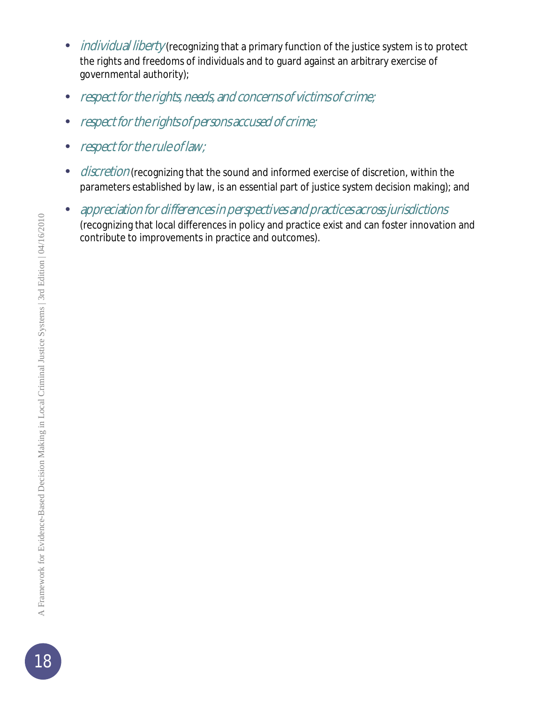- individual liberty (recognizing that a primary function of the justice system is to protect the rights and freedoms of individuals and to guard against an arbitrary exercise of governmental authority);
- respect for the rights, needs, and concerns of victims of crime;
- respect for the rights of persons accused of crime;
- respect for the rule of law;
- discretion (recognizing that the sound and informed exercise of discretion, within the parameters established by law, is an essential part of justice system decision making); and
- appreciation for differences in perspectives and practices across jurisdictions (recognizing that local differences in policy and practice exist and can foster innovation and contribute to improvements in practice and outcomes).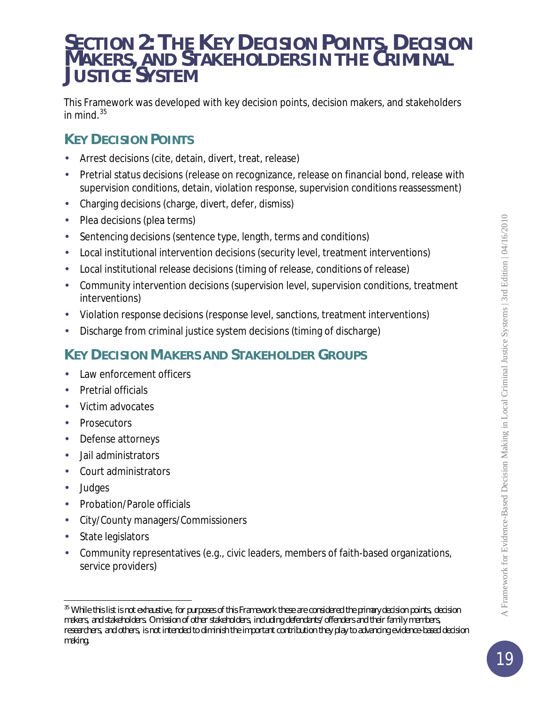## *SECTION 2: THE KEY DECISION POINTS, DECISION MAKERS, AND STAKEHOLDERS IN THE CRIMINAL JUSTICE SYSTEM*

This Framework was developed with key decision points, decision makers, and stakeholders in mind. $35$ 

## **KEY DECISION POINTS**

- Arrest decisions (cite, detain, divert, treat, release)
- Pretrial status decisions (release on recognizance, release on financial bond, release with supervision conditions, detain, violation response, supervision conditions reassessment)
- Charging decisions (charge, divert, defer, dismiss)
- Plea decisions (plea terms)
- Sentencing decisions (sentence type, length, terms and conditions)
- Local institutional intervention decisions (security level, treatment interventions)
- Local institutional release decisions (timing of release, conditions of release)
- Community intervention decisions (supervision level, supervision conditions, treatment interventions)
- Violation response decisions (response level, sanctions, treatment interventions)
- Discharge from criminal justice system decisions (timing of discharge)

## **KEY DECISION MAKERS AND STAKEHOLDER GROUPS**

- Law enforcement officers
- Pretrial officials
- Victim advocates
- **Prosecutors**
- Defense attorneys
- Jail administrators
- Court administrators
- Judges

l

- Probation/Parole officials
- City/County managers/Commissioners
- State legislators
- Community representatives (e.g., civic leaders, members of faith-based organizations, service providers)

<span id="page-18-0"></span><sup>35</sup> While this list is not exhaustive, for purposes of this Framework these are considered the *primary* decision points, decision makers, and stakeholders. Omission of other stakeholders, including defendants/offenders and their family members, researchers, and others, is not intended to diminish the important contribution they play to advancing evidence-based decision making.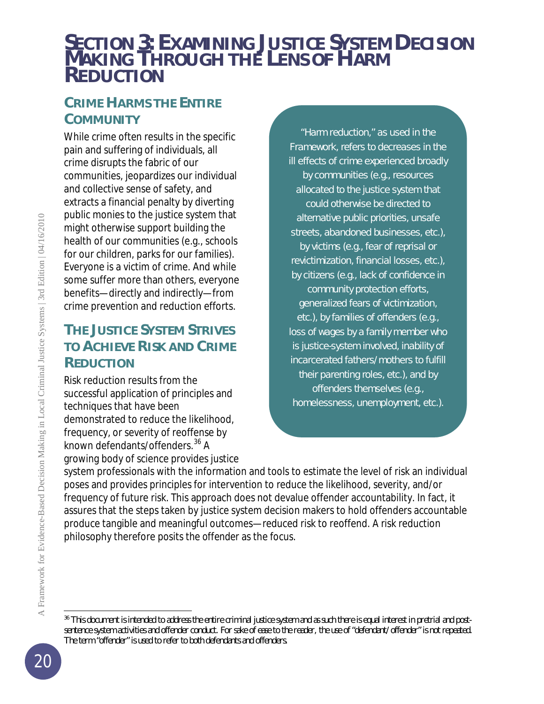## *SECTION 3: EXAMINING JUSTICE SYSTEM DECISION MAKING THROUGH THE LENS OF HARM REDUCTION*

## **CRIME HARMS THE ENTIRE COMMUNITY**

While crime often results in the specific pain and suffering of individuals, all crime disrupts the fabric of our communities, jeopardizes our individual and collective sense of safety, and extracts a financial penalty by diverting public monies to the justice system that might otherwise support building the health of our communities (e.g., schools for our children, parks for our families). Everyone is a victim of crime. And while some suffer more than others, everyone benefits—directly and indirectly—from crime prevention and reduction efforts.

## **THE JUSTICE SYSTEM STRIVES TO ACHIEVE RISK AND CRIME REDUCTION**

Risk reduction results from the successful application of principles and techniques that have been demonstrated to reduce the likelihood, frequency, or severity of reoffense by known defendants/offenders.<sup>[36](#page-19-0)</sup> A growing body of science provides justice

"Harm reduction," as used in the Framework, refers to decreases in the ill effects of crime experienced broadly by communities (e.g., resources allocated to the justice system that could otherwise be directed to alternative public priorities, unsafe streets, abandoned businesses, etc.), by victims (e.g., fear of reprisal or revictimization, financial losses, etc.), by citizens (e.g., lack of confidence in community protection efforts, generalized fears of victimization, etc.), by families of offenders (e.g., loss of wages by a family member who is justice-system involved, inability of incarcerated fathers/mothers to fulfill their parenting roles, etc.), and by offenders themselves (e.g., homelessness, unemployment, etc.).

system professionals with the information and tools to estimate the level of risk an individual poses and provides principles for intervention to reduce the likelihood, severity, and/or frequency of future risk. This approach does not devalue offender accountability. In fact, it assures that the steps taken by justice system decision makers to hold offenders accountable produce tangible and meaningful outcomes—reduced risk to reoffend. A risk reduction philosophy therefore posits *the offender* as the focus.

l

<span id="page-19-0"></span><sup>&</sup>lt;sup>36</sup> This document is intended to address the entire criminal justice system and as such there is equal interest in pretrial and postsentence system activities and offender conduct. For sake of ease to the reader, the use of "defendant/offender" is not repeated. The term "offender" is used to refer to both defendants and offenders.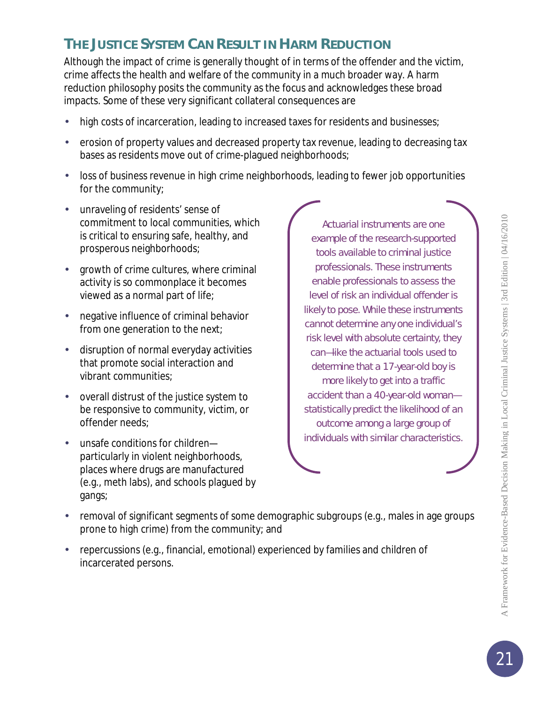## **THE JUSTICE SYSTEM CAN RESULT IN HARM REDUCTION**

Although the impact of crime is generally thought of in terms of the offender and the victim, crime affects the health and welfare of the community in a much broader way. A harm reduction philosophy posits *the community* as the focus and acknowledges these broad impacts. Some of these very significant collateral consequences are

- high costs of incarceration, leading to increased taxes for residents and businesses;
- erosion of property values and decreased property tax revenue, leading to decreasing tax bases as residents move out of crime-plagued neighborhoods;
- loss of business revenue in high crime neighborhoods, leading to fewer job opportunities for the community;
- unraveling of residents' sense of commitment to local communities, which is critical to ensuring safe, healthy, and prosperous neighborhoods;
- growth of crime cultures, where criminal activity is so commonplace it becomes viewed as a normal part of life;
- negative influence of criminal behavior from one generation to the next;
- disruption of normal everyday activities that promote social interaction and vibrant communities;
- overall distrust of the justice system to be responsive to community, victim, or offender needs;
- unsafe conditions for children particularly in violent neighborhoods, places where drugs are manufactured (e.g., meth labs), and schools plagued by gangs;

Actuarial instruments are one example of the research-supported tools available to criminal justice professionals. These instruments enable professionals to assess the level of risk an individual offender is likely to pose. While these instruments cannot determine any *one* individual's risk level with absolute certainty, they can—like the actuarial tools used to determine that a 17-year-old boy is more likely to get into a traffic accident than a 40-year-old woman statistically predict the likelihood of an outcome among a large group of individuals with similar characteristics.

- removal of significant segments of some demographic subgroups (e.g., males in age groups prone to high crime) from the community; and
- repercussions (e.g., financial, emotional) experienced by families and children of incarcerated persons.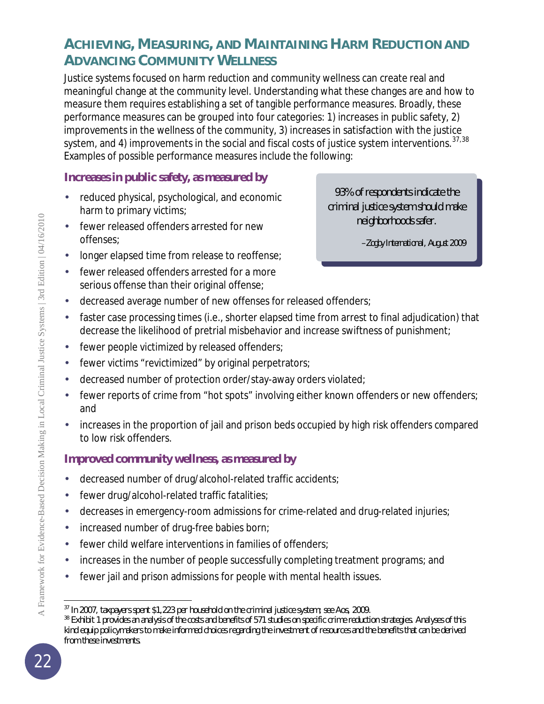## **ACHIEVING, MEASURING, AND MAINTAINING HARM REDUCTION AND ADVANCING COMMUNITY WELLNESS**

Justice systems focused on harm reduction and community wellness can create real and meaningful change at the community level. Understanding what these changes are and how to measure them requires establishing a set of tangible performance measures. Broadly, these performance measures can be grouped into four categories: 1) increases in public safety, 2) improvements in the wellness of the community, 3) increases in satisfaction with the justice system, and 4) improvements in the social and fiscal costs of justice system interventions.  $37,38$  $37,38$  $37,38$ Examples of possible performance measures include the following:

#### **Increases in public safety, as measured by**

- reduced physical, psychological, and economic harm to primary victims;
- fewer released offenders arrested for new offenses;
- longer elapsed time from release to reoffense;
- fewer released offenders arrested for a more serious offense than their original offense;
- 93% of respondents indicate the criminal justice system should make neighborhoods safer.

*–Zogby International, August 2009*

- decreased average number of new offenses for released offenders;
- faster case processing times (i.e., shorter elapsed time from arrest to final adjudication) that decrease the likelihood of pretrial misbehavior and increase swiftness of punishment;
- fewer people victimized by released offenders;
- fewer victims "revictimized" by original perpetrators;
- decreased number of protection order/stay-away orders violated;
- fewer reports of crime from "hot spots" involving either known offenders or new offenders; and
- increases in the proportion of jail and prison beds occupied by high risk offenders compared to low risk offenders.

#### **Improved community wellness, as measured by**

- decreased number of drug/alcohol-related traffic accidents;
- fewer drug/alcohol-related traffic fatalities;
- decreases in emergency-room admissions for crime-related and drug-related injuries;
- increased number of drug-free babies born;
- fewer child welfare interventions in families of offenders;
- increases in the number of people successfully completing treatment programs; and
- fewer jail and prison admissions for people with mental health issues.

<span id="page-21-0"></span>l <sup>37</sup> In 2007, taxpayers spent \$1,223 per household on the criminal justice system; see Aos, 2009.

<span id="page-21-1"></span><sup>&</sup>lt;sup>38</sup> Exhibit 1 provides an analysis of the costs and benefits of 571 studies on specific crime reduction strategies. Analyses of this kind equip policymakers to make informed choices regarding the investment of resources and the benefits that can be derived from these investments.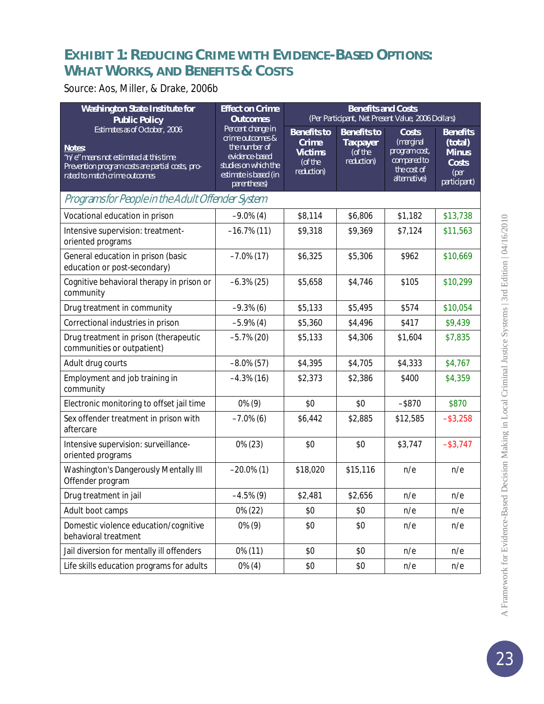## **EXHIBIT 1: REDUCING CRIME WITH EVIDENCE-BASED OPTIONS: WHAT WORKS, AND BENEFITS & COSTS**

#### Source: Aos, Miller, & Drake, 2006b

| <b>Washington State Institute for</b><br><b>Public Policy</b>                                                                                                          | <b>Effect on Crime</b><br><b>Outcomes</b>                                                                                                 | <b>Benefits and Costs</b><br>(Per Participant, Net Present Value, 2006 Dollars) |                                                                |                                                                                   |                                                                             |
|------------------------------------------------------------------------------------------------------------------------------------------------------------------------|-------------------------------------------------------------------------------------------------------------------------------------------|---------------------------------------------------------------------------------|----------------------------------------------------------------|-----------------------------------------------------------------------------------|-----------------------------------------------------------------------------|
| Estimates as of October, 2006<br>Notes:<br>"n/e" means not estimated at this time<br>Prevention program costs are partial costs, pro-<br>rated to match crime outcomes | Percent change in<br>crime outcomes &<br>the number of<br>evidence-based<br>studies on which the<br>estimate is based (in<br>parentheses) | <b>Benefits to</b><br><b>Crime</b><br><b>Victims</b><br>(of the<br>reduction)   | <b>Benefits to</b><br><b>Taxpayer</b><br>(of the<br>reduction) | Costs<br>(marginal<br>program cost,<br>compared to<br>the cost of<br>alternative) | <b>Benefits</b><br>(total)<br><b>Minus</b><br>Costs<br>(per<br>participant) |
| Programsfor People in the Adult Offender System                                                                                                                        |                                                                                                                                           |                                                                                 |                                                                |                                                                                   |                                                                             |
| Vocational education in prison                                                                                                                                         | $-9.0\%$ (4)                                                                                                                              | \$8,114                                                                         | \$6,806                                                        | \$1,182                                                                           | \$13,738                                                                    |
| Intensive supervision: treatment-<br>oriented programs                                                                                                                 | $-16.7\%$ (11)                                                                                                                            | \$9,318                                                                         | \$9,369                                                        | \$7,124                                                                           | \$11,563                                                                    |
| General education in prison (basic<br>education or post-secondary)                                                                                                     | $-7.0\%$ (17)                                                                                                                             | \$6,325                                                                         | \$5,306                                                        | \$962                                                                             | \$10,669                                                                    |
| Cognitive behavioral therapy in prison or<br>community                                                                                                                 | $-6.3\%$ (25)                                                                                                                             | \$5,658                                                                         | \$4,746                                                        | \$105                                                                             | \$10,299                                                                    |
| Drug treatment in community                                                                                                                                            | $-9.3\%$ (6)                                                                                                                              | \$5,133                                                                         | \$5,495                                                        | \$574                                                                             | \$10,054                                                                    |
| Correctional industries in prison                                                                                                                                      | $-5.9\%$ (4)                                                                                                                              | \$5,360                                                                         | \$4,496                                                        | \$417                                                                             | \$9,439                                                                     |
| Drug treatment in prison (therapeutic<br>communities or outpatient)                                                                                                    | $-5.7\%$ (20)                                                                                                                             | \$5,133                                                                         | \$4,306                                                        | \$1,604                                                                           | \$7,835                                                                     |
| Adult drug courts                                                                                                                                                      | $-8.0\%$ (57)                                                                                                                             | \$4,395                                                                         | \$4,705                                                        | \$4,333                                                                           | \$4,767                                                                     |
| Employment and job training in<br>community                                                                                                                            | $-4.3\%$ (16)                                                                                                                             | \$2,373                                                                         | \$2,386                                                        | \$400                                                                             | \$4,359                                                                     |
| Electronic monitoring to offset jail time                                                                                                                              | $0\%$ (9)                                                                                                                                 | \$0                                                                             | \$0                                                            | $-$ \$870                                                                         | \$870                                                                       |
| Sex offender treatment in prison with<br>aftercare                                                                                                                     | $-7.0\%$ (6)                                                                                                                              | \$6,442                                                                         | \$2,885                                                        | \$12,585                                                                          | $-$ \$3,258                                                                 |
| Intensive supervision: surveillance-<br>oriented programs                                                                                                              | $0\%$ (23)                                                                                                                                | \$0                                                                             | \$0                                                            | \$3,747                                                                           | $-$ \$3,747                                                                 |
| Washington's Dangerously Mentally III<br>Offender program                                                                                                              | $-20.0\%$ (1)                                                                                                                             | \$18,020                                                                        | \$15,116                                                       | n/e                                                                               | n/e                                                                         |
| Drug treatment in jail                                                                                                                                                 | $-4.5\%$ (9)                                                                                                                              | \$2,481                                                                         | \$2,656                                                        | n/e                                                                               | n/e                                                                         |
| Adult boot camps                                                                                                                                                       | 0% (22)                                                                                                                                   | \$0                                                                             | \$0                                                            | n/e                                                                               | n/e                                                                         |
| Domestic violence education/cognitive<br>behavioral treatment                                                                                                          | $0\%$ (9)                                                                                                                                 | \$0                                                                             | \$0                                                            | n/e                                                                               | n/e                                                                         |
| Jail diversion for mentally ill offenders                                                                                                                              | 0% (11)                                                                                                                                   | \$0                                                                             | \$0                                                            | n/e                                                                               | n/e                                                                         |
| Life skills education programs for adults                                                                                                                              | $0\%$ (4)                                                                                                                                 | \$0                                                                             | \$0                                                            | n/e                                                                               | n/e                                                                         |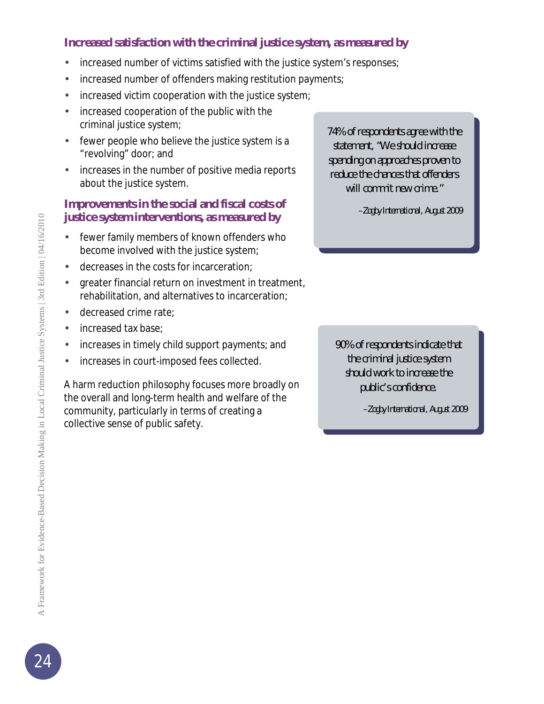#### **Increased satisfaction with the criminal justice system, as measured by**

- increased number of victims satisfied with the justice system's responses;
- increased number of offenders making restitution payments;
- increased victim cooperation with the justice system;
- increased cooperation of the public with the criminal justice system;
- fewer people who believe the justice system is a "revolving" door; and
- increases in the number of positive media reports about the justice system.

#### **Improvements in the social and fiscal costs of justice system interventions, as measured by**

- fewer family members of known offenders who become involved with the justice system;
- decreases in the costs for incarceration;
- greater financial return on investment in treatment, rehabilitation, and alternatives to incarceration;
- decreased crime rate;
- increased tax base;
- increases in timely child support payments; and
- increases in court-imposed fees collected.

A harm reduction philosophy focuses more broadly on the overall and long-term health and welfare of the community, particularly in terms of creating a collective sense of public safety.

74% of respondents agree with the statement, "We should increase spending on approaches proven to reduce the chances that offenders will commit new crime."

*–Zogby International, August 2009*

90% of respondents indicate that the criminal justice system should work to increase the public's confidence.

*–Zogby International, August 2009*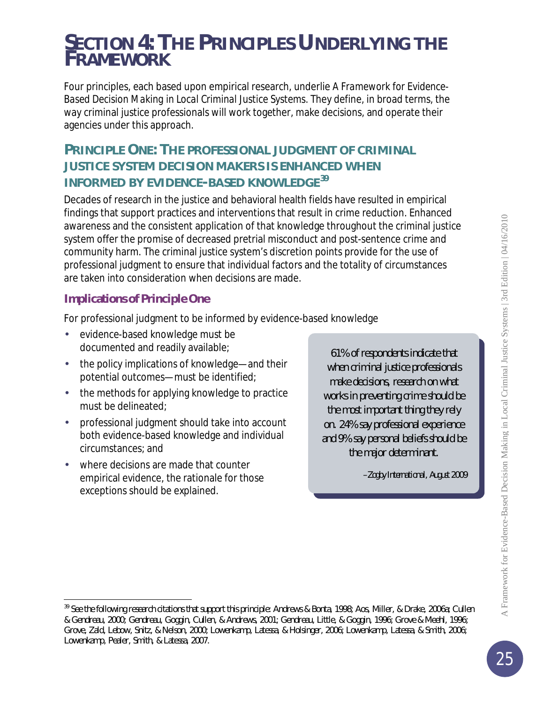## *SECTION 4: THE PRINCIPLES UNDERLYING THE FRAMEWORK*

Four principles, each based upon empirical research, underlie *A Framework for Evidence-Based Decision Making in Local Criminal Justice Systems*. They define, in broad terms, the way criminal justice professionals will work together, make decisions, and operate their agencies under this approach.

## **PRINCIPLE ONE: THE PROFESSIONAL JUDGMENT OF CRIMINAL JUSTICE SYSTEM DECISION MAKERS IS ENHANCED WHEN INFORMED BY EVIDENCE-BASED KNOWLEDGE[39](#page-24-0)**

Decades of research in the justice and behavioral health fields have resulted in empirical findings that support practices and interventions that result in crime reduction. Enhanced awareness and the consistent application of that knowledge throughout the criminal justice system offer the promise of decreased pretrial misconduct and post-sentence crime and community harm. The criminal justice system's discretion points provide for the use of professional judgment to ensure that individual factors and the totality of circumstances are taken into consideration when decisions are made.

#### **Implications of Principle One**

For professional judgment to be informed by evidence-based knowledge

- evidence-based knowledge must be documented and readily available;
- the policy implications of knowledge—and their potential outcomes—must be identified;
- the methods for applying knowledge to practice must be delineated;
- professional judgment should take into account both evidence-based knowledge and individual circumstances; and
- where decisions are made that counter empirical evidence, the rationale for those exceptions should be explained.

l

61% of respondents indicate that when criminal justice professionals make decisions, research on what works in preventing crime should be the most important thing they rely on. 24% say professional experience and 9% say personal beliefs should be the major determinant.

*–Zogby International, August 2009*

4/16/2010

<span id="page-24-0"></span><sup>39</sup> See the following research citations that support this principle: Andrews & Bonta, 1998; Aos, Miller, & Drake, 2006a; Cullen & Gendreau, 2000; Gendreau, Goggin, Cullen, & Andrews, 2001; Gendreau, Little, & Goggin, 1996; Grove & Meehl, 1996; Grove, Zald, Lebow, Snitz, & Nelson, 2000; Lowenkamp, Latessa, & Holsinger, 2006; Lowenkamp, Latessa, & Smith, 2006; Lowenkamp, Pealer, Smith, & Latessa, 2007.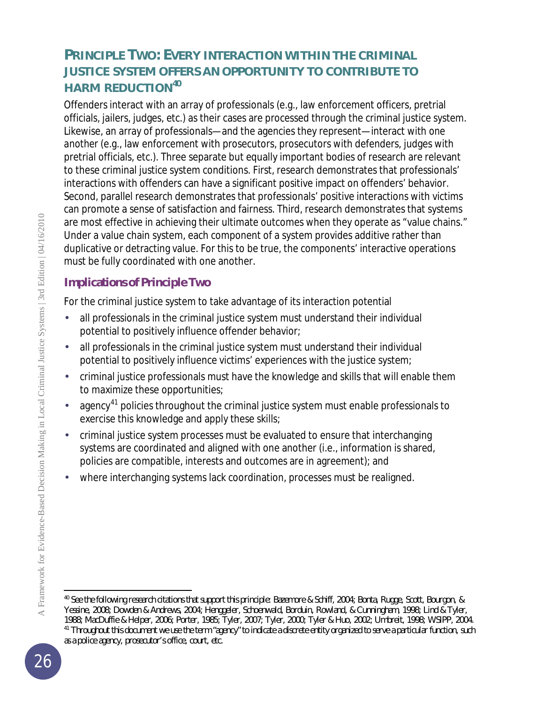## **PRINCIPLE TWO: EVERY INTERACTION WITHIN THE CRIMINAL JUSTICE SYSTEM OFFERS AN OPPORTUNITY TO CONTRIBUTE TO HARM REDUCTION[40](#page-25-0)**

Offenders interact with an array of professionals (e.g., law enforcement officers, pretrial officials, jailers, judges, etc.) as their cases are processed through the criminal justice system. Likewise, an array of professionals—and the agencies they represent—interact with *one another* (e.g., law enforcement with prosecutors, prosecutors with defenders, judges with pretrial officials, etc.). Three separate but equally important bodies of research are relevant to these criminal justice system conditions. First, research demonstrates that professionals' interactions with offenders can have a significant positive impact on offenders' behavior. Second, parallel research demonstrates that professionals' positive interactions with victims can promote a sense of satisfaction and fairness. Third, research demonstrates that systems are most effective in achieving their ultimate outcomes when they operate as "value chains." Under a value chain system, each component of a system provides additive rather than duplicative or detracting value. For this to be true, the components' interactive operations must be fully coordinated with one another.

#### **Implications of Principle Two**

For the criminal justice system to take advantage of its interaction potential

- all professionals in the criminal justice system must understand their individual potential to positively influence offender behavior;
- all professionals in the criminal justice system must understand their individual potential to positively influence victims' experiences with the justice system;
- criminal justice professionals must have the knowledge and skills that will enable them to maximize these opportunities;
- agency<sup>[41](#page-25-1)</sup> policies throughout the criminal justice system must enable professionals to exercise this knowledge and apply these skills;
- criminal justice system processes must be evaluated to ensure that interchanging systems are coordinated and aligned with one another (i.e., information is shared, policies are compatible, interests and outcomes are in agreement); and
- where interchanging systems lack coordination, processes must be realigned.

<span id="page-25-1"></span><span id="page-25-0"></span>l <sup>40</sup> See the following research citations that support this principle: Bazemore & Schiff, 2004; Bonta, Rugge, Scott, Bourgon, & Yessine, 2008; Dowden & Andrews, 2004; Henggeler, Schoenwald, Borduin, Rowland, & Cunningham, 1998; Lind & Tyler, 1988; MacDuffie & Helper, 2006; Porter, 1985; Tyler, 2007; Tyler, 2000; Tyler & Huo, 2002; Umbreit, 1998; WSIPP, 2004. <sup>41</sup> Throughout this document we use the term "agency" to indicate a discrete entity organized to serve a particular function, such as a police agency, prosecutor's office, court, etc.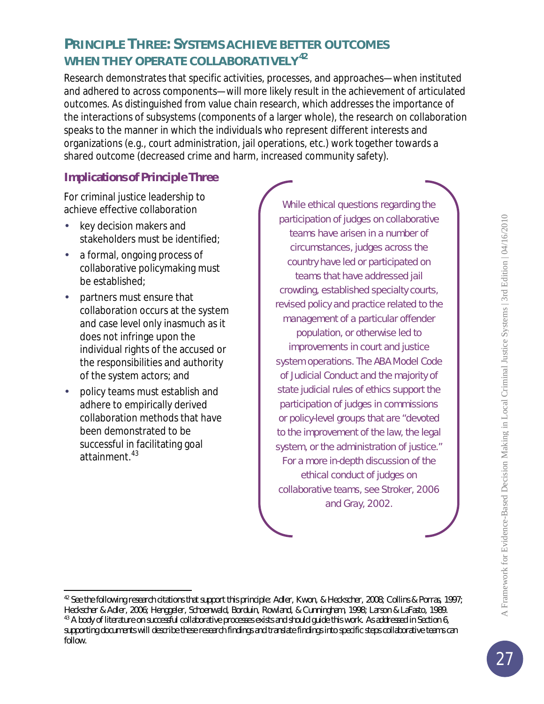## **PRINCIPLE THREE: SYSTEMS ACHIEVE BETTER OUTCOMES WHEN THEY OPERATE COLLABORATIVELY[42](#page-26-0)**

Research demonstrates that specific activities, processes, and approaches—when instituted and adhered to across components—will more likely result in the achievement of articulated outcomes. As distinguished from value chain research, which addresses the importance of the interactions of *subsystems* (components of a larger whole), the research on collaboration speaks to the manner in which the *individuals* who represent different interests and organizations (e.g., court administration, jail operations, etc.) work together towards a shared outcome (decreased crime and harm, increased community safety).

#### **Implications of Principle Three**

For criminal justice leadership to achieve effective collaboration

- key decision makers and stakeholders must be identified;
- a formal, ongoing process of collaborative policymaking must be established;
- partners must ensure that collaboration occurs at the system and case level only inasmuch as it does not infringe upon the individual rights of the accused or the responsibilities and authority of the system actors; and
- policy teams must establish and adhere to empirically derived collaboration methods that have been demonstrated to be successful in facilitating goal attainment. [43](#page-26-1)

While ethical questions regarding the participation of judges on collaborative teams have arisen in a number of circumstances, judges across the country have led or participated on teams that have addressed jail crowding, established specialty courts, revised policy and practice related to the management of a particular offender population, or otherwise led to improvements in court and justice system operations. The ABA Model Code of Judicial Conduct and the majority of state judicial rules of ethics support the participation of judges in commissions or policy-level groups that are "devoted to the improvement of the law, the legal system, or the administration of justice." For a more in-depth discussion of the ethical conduct of judges on collaborative teams, see Stroker, 2006 and Gray, 2002.

<span id="page-26-0"></span>l <sup>42</sup> See the following research citations that support this principle: Adler, Kwon, & Heckscher, 2008; Collins & Porras, 1997; Heckscher & Adler, 2006; Henggeler, Schoenwald, Borduin, Rowland, & Cunningham, 1998; Larson & LaFasto, 1989.

<span id="page-26-1"></span><sup>&</sup>lt;sup>43</sup> A body of literature on successful collaborative processes exists and should guide this work. As addressed in Section 6, supporting documents will describe these research findings and translate findings into specific steps collaborative teams can follow.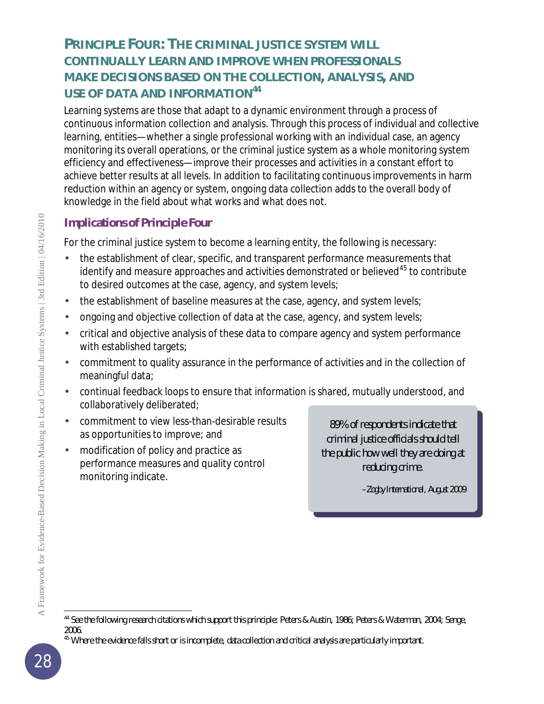## **PRINCIPLE FOUR: THE CRIMINAL JUSTICE SYSTEM WILL CONTINUALLY LEARN AND IMPROVE WHEN PROFESSIONALS MAKE DECISIONS BASED ON THE COLLECTION, ANALYSIS, AND USE OF DATA AND INFORMATION[44](#page-27-0)**

Learning systems are those that adapt to a dynamic environment through a process of continuous information collection and analysis. Through this process of individual and collective learning, entities—whether a single professional working with an individual case, an agency monitoring its overall operations, or the criminal justice system as a whole monitoring system efficiency and effectiveness—improve their processes and activities in a constant effort to achieve better results at all levels. In addition to facilitating continuous improvements in harm reduction within an agency or system, ongoing data collection adds to the overall body of knowledge in the field about what works and what does not.

#### **Implications of Principle Four**

For the criminal justice system to become a learning entity, the following is necessary:

- the establishment of clear, specific, and transparent performance measurements that identify and measure approaches and activities demonstrated or believed $^{45}$  $^{45}$  $^{45}$  to contribute to desired outcomes at the case, agency, and system levels;
- the establishment of baseline measures at the case, agency, and system levels;
- ongoing and objective collection of data at the case, agency, and system levels;
- critical and objective analysis of these data to compare agency and system performance with established targets;
- commitment to quality assurance in the performance of activities and in the collection of meaningful data;
- continual feedback loops to ensure that information is shared, mutually understood, and collaboratively deliberated;
- commitment to view less-than-desirable results as opportunities to improve; and
- modification of policy and practice as performance measures and quality control monitoring indicate.

89% of respondents indicate that criminal justice officials should tell the public how well they are doing at reducing crime.

*–Zogby Internation*a*l, August 2009*

l

<span id="page-27-0"></span><sup>&</sup>lt;sup>44</sup> See the following research citations which support this principle: Peters & Austin, 1986; Peters & Waterman, 2004; Senge, 2006.

<span id="page-27-1"></span><sup>&</sup>lt;sup>45</sup> Where the evidence falls short or is incomplete, data collection and critical analysis are particularly important.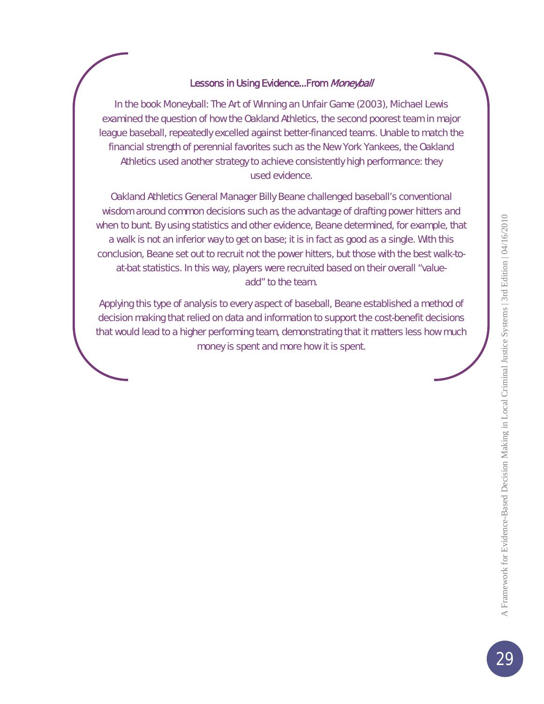#### Lessons in Using Evidence...From Moneyball

In the book *Moneyball: The Art of Winning an Unfair Game* (2003), Michael Lewis examined the question of how the Oakland Athletics, the second poorest team in major league baseball, repeatedly excelled against better-financed teams. Unable to match the financial strength of perennial favorites such as the New York Yankees, the Oakland Athletics used another strategy to achieve consistently high performance: they used evidence.

Oakland Athletics General Manager Billy Beane challenged baseball's conventional wisdom around common decisions such as the advantage of drafting power hitters and when to bunt. By using statistics and other evidence, Beane determined, for example, that a walk is not an inferior way to get on base; it is in fact as good as a single. With this conclusion, Beane set out to recruit not the power hitters, but those with the best walk-toat-bat statistics. In this way, players were recruited based on their overall "valueadd" to the team.

Applying this type of analysis to every aspect of baseball, Beane established a method of decision making that relied on data and information to support the cost-benefit decisions that would lead to a higher performing team, demonstrating that it matters less how *much* money is spent and more *how* it is spent.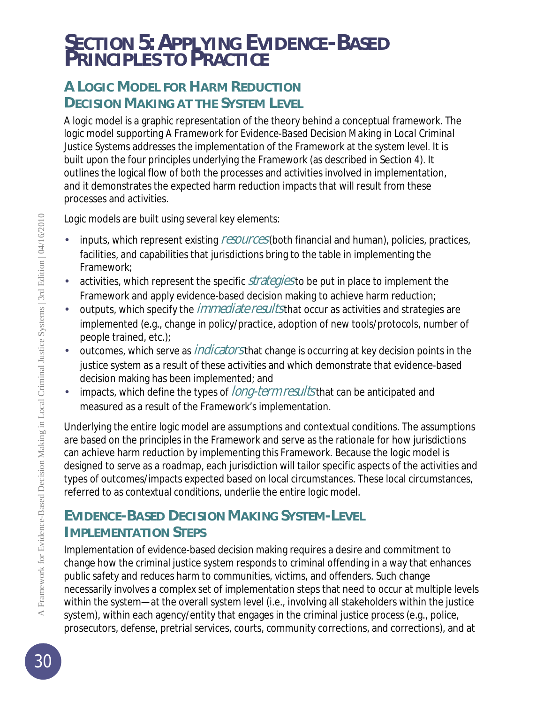## *SECTION 5: APPLYING EVIDENCE-BASED PRINCIPLES TO PRACTICE*

## **A LOGIC MODEL FOR HARM REDUCTION DECISION MAKING AT THE SYSTEM LEVEL**

A logic model is a graphic representation of the theory behind a conceptual framework. The logic model supporting *A Framework for Evidence-Based Decision Making in Local Criminal Justice Systems* addresses the implementation of the Framework at the *system* level. It is built upon the four principles underlying the Framework (as described in Section 4). It outlines the logical flow of both the processes and activities involved in implementation, and it demonstrates the expected harm reduction impacts that will result from these processes and activities.

Logic models are built using several key elements:

- inputs, which represent existing *resources* (both financial and human), policies, practices, facilities, and capabilities that jurisdictions bring to the table in implementing the Framework;
- activities, which represent the specific *strategiesto* be put in place to implement the Framework and apply evidence-based decision making to achieve harm reduction;
- outputs, which specify the *immediate results* that occur as activities and strategies are implemented (e.g., change in policy/practice, adoption of new tools/protocols, number of people trained, etc.);
- outcomes, which serve as *indicators* that change is occurring at key decision points in the justice system as a result of these activities and which demonstrate that evidence-based decision making has been implemented; and
- impacts, which define the types of *long-term results* that can be anticipated and measured as a result of the Framework's implementation.

Underlying the entire logic model are assumptions and contextual conditions. The assumptions are based on the principles in the Framework and serve as the rationale for how jurisdictions can achieve harm reduction by implementing this Framework. Because the logic model is designed to serve as a roadmap, each jurisdiction will tailor specific aspects of the activities and types of outcomes/impacts expected based on local circumstances. These local circumstances, referred to as contextual conditions, underlie the entire logic model.

## **EVIDENCE-BASED DECISION MAKING SYSTEM-LEVEL IMPLEMENTATION STEPS**

Implementation of evidence-based decision making requires a desire and commitment to change how the criminal justice system responds to criminal offending in a way that enhances public safety and reduces harm to communities, victims, and offenders. Such change necessarily involves a complex set of implementation steps that need to occur at multiple levels within the system—at the overall system level (i.e., involving all stakeholders within the justice system), within each agency/entity that engages in the criminal justice process (e.g., police, prosecutors, defense, pretrial services, courts, community corrections, and corrections), and at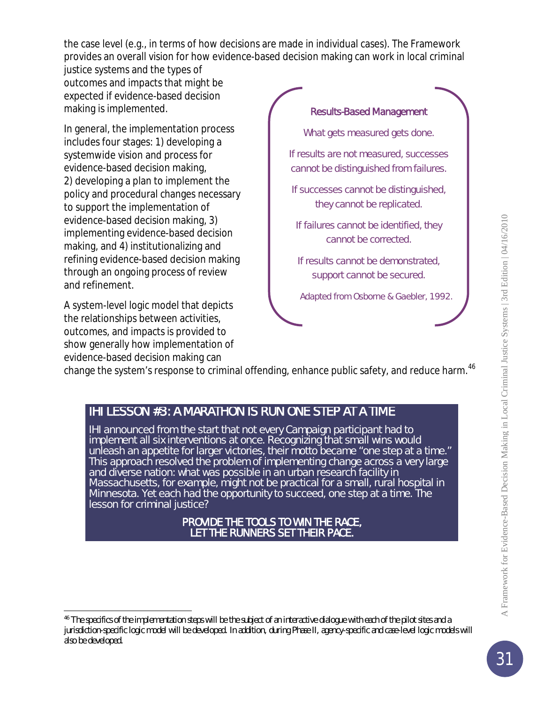the case level (e.g., in terms of how decisions are made in individual cases). The Framework provides an overall vision for how evidence-based decision making can work in local criminal

justice systems and the types of outcomes and impacts that might be expected if evidence-based decision making is implemented.

In general, the implementation process includes four stages: 1) developing a systemwide vision and process for evidence-based decision making, 2) developing a plan to implement the policy and procedural changes necessary to support the implementation of evidence-based decision making, 3) implementing evidence-based decision making, and 4) institutionalizing and refining evidence-based decision making through an ongoing process of review and refinement.

A system-level logic model that depicts the relationships between activities, outcomes, and impacts is provided to show generally how implementation of evidence-based decision making can

l

#### Results-Based Management

What gets measured gets done.

If results are not measured, successes cannot be distinguished from failures.

If successes cannot be distinguished, they cannot be replicated.

If failures cannot be identified, they cannot be corrected.

If results cannot be demonstrated, support cannot be secured.

*Adapted from Osborne & Gaebler, 1992.* 

change the system's response to criminal offending, enhance public safety, and reduce harm.<sup>[46](#page-30-0)</sup>

#### IHI LESSON #3: A MARATHON IS RUN ONE STEP AT A TIME

IHI announced from the start that not every Campaign participant had to implement all six interventions at once. Recognizing that small wins would unleash an appetite for larger victories, their motto became "one step at a time." This approach resolved the problem of implementing change across a very large and diverse nation: what was possible in an urban research facility in Massachusetts, for example, might not be practical for a small, rural hospital in Minnesota. Yet each had the opportunity to succeed, one step at a time. The lesson for criminal justice?

# PROVIDE THE TOOLS TO WIN THE RACE, LET THE RUNNERS SET THEIR PACE.

<span id="page-30-0"></span><sup>&</sup>lt;sup>46</sup> The specifics of the implementation steps will be the subject of an interactive dialogue with each of the pilot sites and a jurisdiction-specific logic model will be developed. In addition, during Phase II, agency-specific and case-level logic models will also be developed.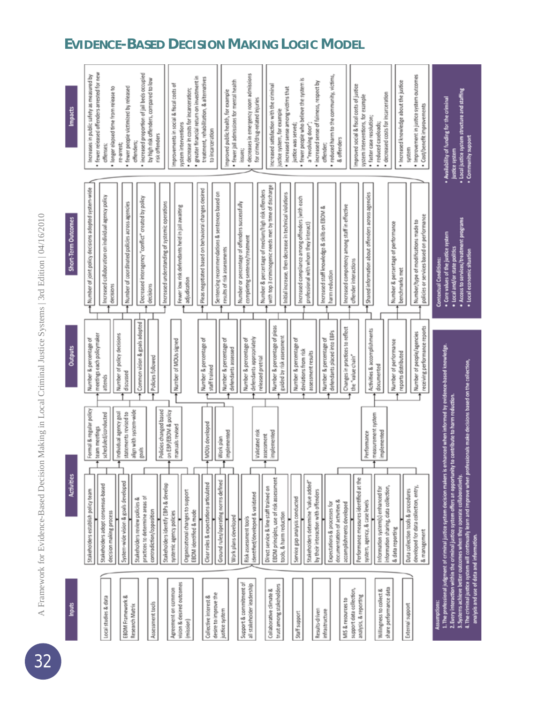# A Framework for Evidence-Based Decision Making in Local Criminal Justice Systems | 3rd Edition | 04/16/2010 A Framework for Evidence-Based Decision Making in Local Criminal Justice Systems | 3rd Edition | 04/16/2010



## **EVIDENCE-BASED DECISION MAKING LOGIC MODEL**

32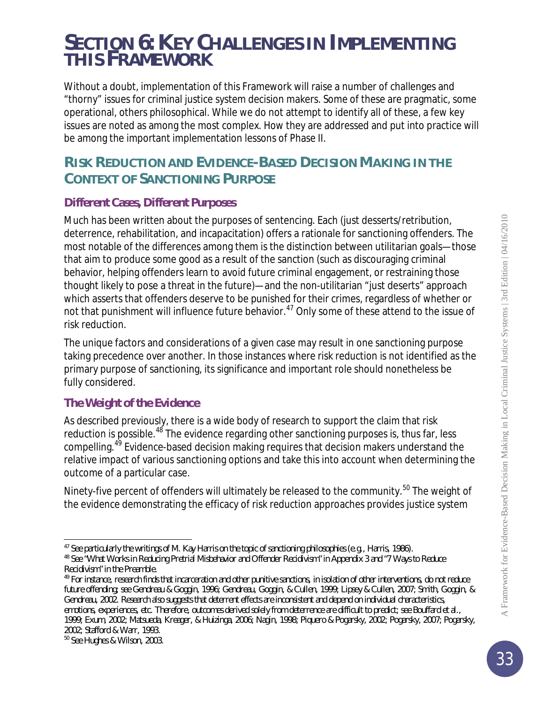## *SECTION 6: KEY CHALLENGES IN IMPLEMENTING THIS FRAMEWORK*

Without a doubt, implementation of this Framework will raise a number of challenges and "thorny" issues for criminal justice system decision makers. Some of these are pragmatic, some operational, others philosophical. While we do not attempt to identify all of these, a few key issues are noted as among the most complex. How they are addressed and put into practice will be among the important implementation lessons of Phase II.

## **RISK REDUCTION AND EVIDENCE-BASED DECISION MAKING IN THE CONTEXT OF SANCTIONING PURPOSE**

## **Different Cases, Different Purposes**

Much has been written about the purposes of sentencing. Each (just desserts/retribution, deterrence, rehabilitation, and incapacitation) offers a rationale for sanctioning offenders. The most notable of the differences among them is the distinction between utilitarian goals—those that aim to produce some good as a result of the sanction (such as discouraging criminal behavior, helping offenders learn to avoid future criminal engagement, or restraining those thought likely to pose a threat in the future)—and the non-utilitarian "just deserts" approach which asserts that offenders deserve to be punished for their crimes, regardless of whether or not that punishment will influence future behavior.<sup>[47](#page-32-0)</sup> Only some of these attend to the issue of risk reduction.

The unique factors and considerations of a given case may result in one sanctioning purpose taking precedence over another. In those instances where risk reduction is not identified as the primary purpose of sanctioning, its significance and important role should nonetheless be fully considered.

#### **The Weight of the Evidence**

As described previously, there is a wide body of research to support the claim that risk reduction is possible.<sup>[48](#page-32-1)</sup> The evidence regarding other sanctioning purposes is, thus far, less compelling.<sup>[49](#page-32-2)</sup> Evidence-based decision making requires that decision makers understand the relative impact of various sanctioning options and take this into account when determining the outcome of a particular case.

Ninety-five percent of offenders will ultimately be released to the community.<sup>[50](#page-32-3)</sup> The weight of the evidence demonstrating the efficacy of risk reduction approaches provides justice system

<span id="page-32-3"></span><sup>50</sup> See Hughes & Wilson, 2003.

l <sup>47</sup> See particularly the writings of M. Kay Harris on the topic of sanctioning philosophies (e.g., Harris, 1986).

<span id="page-32-1"></span><span id="page-32-0"></span><sup>&</sup>lt;sup>48</sup> See "What Works in Reducing Pretrial Misbehavior and Offender Recidivism" in Appendix 3 and "7 Ways to Reduce Recidivism" in the Preamble.

<span id="page-32-2"></span><sup>&</sup>lt;sup>49</sup> For instance, research finds that incarceration and other punitive sanctions, in isolation of other interventions, do not reduce future offending; see Gendreau & Goggin, 1996; Gendreau, Goggin, & Cullen, 1999; Lipsey & Cullen, 2007; Smith, Goggin, & Gendreau, 2002. Research also suggests that deterrent effects are inconsistent and depend on individual characteristics, emotions, experiences, etc. Therefore, outcomes derived solely from deterrence are difficult to predict; see Bouffard et al., 1999; Exum, 2002; Matsueda, Kreager, & Huizinga, 2006; Nagin, 1998; Piquero & Pogarsky, 2002; Pogarsky, 2007; Pogarsky, 2002; Stafford & Warr, 1993.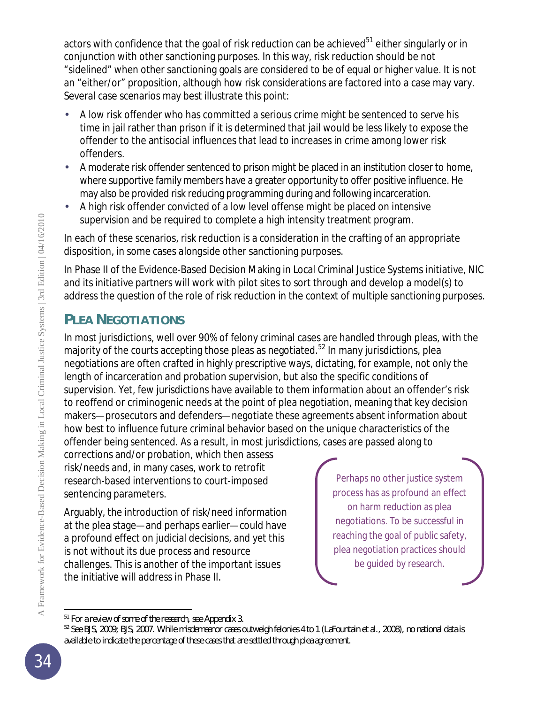actors with confidence that the goal of risk reduction can be achieved $^{51}$  $^{51}$  $^{51}$  either singularly or in conjunction with other sanctioning purposes. In this way, risk reduction should be not "sidelined" when other sanctioning goals are considered to be of equal or higher value. It is not an "either/or" proposition, although *how* risk considerations are factored into a case may vary. Several case scenarios may best illustrate this point:

- A low risk offender who has committed a serious crime might be sentenced to serve his time in jail rather than prison if it is determined that jail would be less likely to expose the offender to the antisocial influences that lead to increases in crime among lower risk offenders.
- A moderate risk offender sentenced to prison might be placed in an institution closer to home, where supportive family members have a greater opportunity to offer positive influence. He may also be provided risk reducing programming during and following incarceration.
- A high risk offender convicted of a low level offense might be placed on intensive supervision and be required to complete a high intensity treatment program.

In each of these scenarios, risk reduction is a consideration in the crafting of an appropriate disposition, in some cases *alongside* other sanctioning purposes.

In Phase II of the Evidence-Based Decision Making in Local Criminal Justice Systems initiative, NIC and its initiative partners will work with pilot sites to sort through and develop a model(s) to address the question of the role of risk reduction in the context of multiple sanctioning purposes.

## **PLEA NEGOTIATIONS**

In most jurisdictions, well over 90% of felony criminal cases are handled through pleas, with the majority of the courts accepting those pleas as negotiated.<sup>[52](#page-33-1)</sup> In many jurisdictions, plea negotiations are often crafted in highly prescriptive ways, dictating, for example, not only the length of incarceration and probation supervision, but also the specific conditions of supervision. Yet, few jurisdictions have available to them information about an offender's risk to reoffend or criminogenic needs at the point of plea negotiation, meaning that key decision makers—prosecutors and defenders—negotiate these agreements absent information about how best to influence future criminal behavior based on the unique characteristics of the offender being sentenced. As a result, in most jurisdictions, cases are passed along to

corrections and/or probation, which then assess risk/needs and, in many cases, work to retrofit research-based interventions to court-imposed sentencing parameters.

Arguably, the introduction of risk/need information at the plea stage—and perhaps earlier—could have a profound effect on judicial decisions, and yet this is not without its due process and resource challenges. This is another of the important issues the initiative will address in Phase II.

Perhaps no other justice system process has as profound an effect on harm reduction as plea negotiations. To be successful in reaching the goal of public safety, plea negotiation practices should be guided by research.

l <sup>51</sup> For a review of some of the research, see Appendix 3.

<span id="page-33-1"></span><span id="page-33-0"></span><sup>52</sup> See BJS, 2009; BJS, 2007. While misdemeanor cases outweigh felonies 4 to 1 (LaFountain et al., 2008), no national data is available to indicate the percentage of these cases that are settled through plea agreement.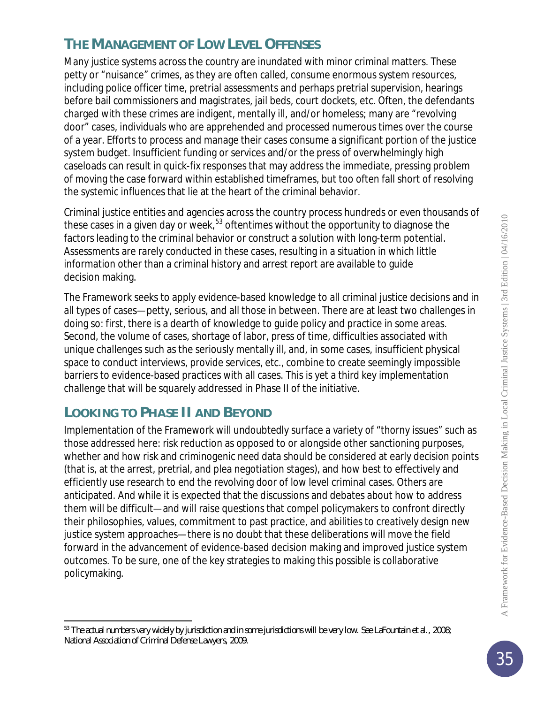## **THE MANAGEMENT OF LOW LEVEL OFFENSES**

Many justice systems across the country are inundated with minor criminal matters. These petty or "nuisance" crimes, as they are often called, consume enormous system resources, including police officer time, pretrial assessments and perhaps pretrial supervision, hearings before bail commissioners and magistrates, jail beds, court dockets, etc. Often, the defendants charged with these crimes are indigent, mentally ill, and/or homeless; many are "revolving door" cases, individuals who are apprehended and processed numerous times over the course of a year. Efforts to process and manage their cases consume a significant portion of the justice system budget. Insufficient funding or services and/or the press of overwhelmingly high caseloads can result in quick-fix responses that may address the immediate, pressing problem of moving the case forward within established timeframes, but too often fall short of resolving the systemic influences that lie at the heart of the criminal behavior.

Criminal justice entities and agencies across the country process hundreds or even thousands of these cases in a given day or week,<sup>[53](#page-34-0)</sup> oftentimes without the opportunity to diagnose the factors leading to the criminal behavior or construct a solution with long-term potential. Assessments are rarely conducted in these cases, resulting in a situation in which little information other than a criminal history and arrest report are available to guide decision making.

The Framework seeks to apply evidence-based knowledge to all criminal justice decisions and in all types of cases—petty, serious, and all those in between. There are at least two challenges in doing so: first, there is a dearth of knowledge to guide policy and practice in some areas. Second, the volume of cases, shortage of labor, press of time, difficulties associated with unique challenges such as the seriously mentally ill, and, in some cases, insufficient physical space to conduct interviews, provide services, etc., combine to create seemingly impossible barriers to evidence-based practices with all cases. This is yet a third key implementation challenge that will be squarely addressed in Phase II of the initiative.

## **LOOKING TO PHASE II AND BEYOND**

Implementation of the Framework will undoubtedly surface a variety of "thorny issues" such as those addressed here: risk reduction as opposed to or alongside other sanctioning purposes, whether and how risk and criminogenic need data should be considered at early decision points (that is, at the arrest, pretrial, and plea negotiation stages), and how best to effectively and efficiently use research to end the revolving door of low level criminal cases. Others are anticipated. And while it is expected that the discussions and debates about how to address them will be difficult—and will raise questions that compel policymakers to confront directly their philosophies, values, commitment to past practice, and abilities to creatively design new justice system approaches—there is no doubt that these deliberations will move the field forward in the advancement of evidence-based decision making and improved justice system outcomes. To be sure, one of the key strategies to making this possible is collaborative policymaking.

<span id="page-34-0"></span>j <sup>53</sup> The actual numbers vary widely by jurisdiction and in some jurisdictions will be very low. See LaFountain et al., 2008; National Association of Criminal Defense Lawyers, 2009.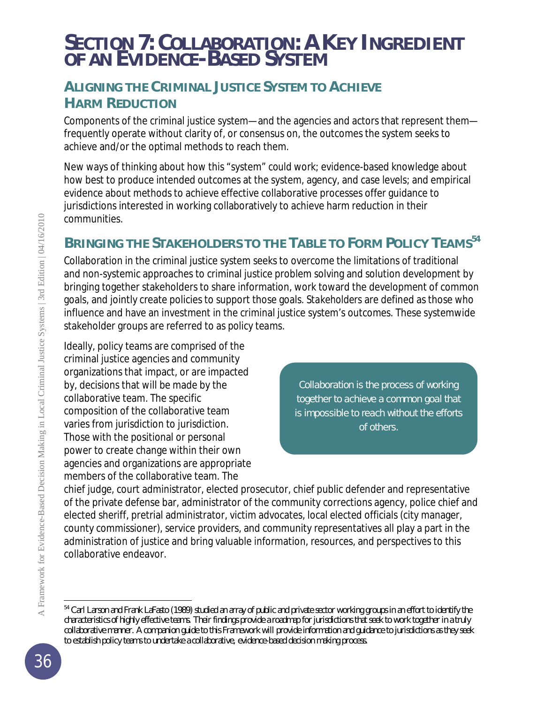## *SECTION 7: COLLABORATION: A KEY INGREDIENT OF AN EVIDENCE-BASED SYSTEM*

## **ALIGNING THE CRIMINAL JUSTICE SYSTEM TO ACHIEVE HARM REDUCTION**

Components of the criminal justice system—and the agencies and actors that represent them frequently operate without clarity of, or consensus on, the outcomes the system seeks to achieve and/or the optimal methods to reach them.

New ways of thinking about how this "system" *could* work; evidence-based knowledge about how best to produce intended outcomes at the system, agency, and case levels; and empirical evidence about methods to achieve effective collaborative processes offer guidance to jurisdictions interested in working collaboratively to achieve harm reduction in their communities.

## **BRINGING THE STAKEHOLDERS TO THE TABLE TO FORM POLICY TEAMS[54](#page-35-0)**

Collaboration in the criminal justice system seeks to overcome the limitations of traditional and non-systemic approaches to criminal justice problem solving and solution development by bringing together stakeholders to share information, work toward the development of common goals, and jointly create policies to support those goals. *Stakeholders* are defined as those who influence and have an investment in the criminal justice system's outcomes. These systemwide stakeholder groups are referred to as *policy teams*.

Ideally, policy teams are comprised of the criminal justice agencies and community organizations that impact, or are impacted by, decisions that will be made by the collaborative team. The specific composition of the collaborative team varies from jurisdiction to jurisdiction. Those with the positional or personal power to create change within their own agencies and organizations are appropriate members of the collaborative team. The

Collaboration is the process of working together to achieve a common goal that is impossible to reach without the efforts of others.

chief judge, court administrator, elected prosecutor, chief public defender and representative of the private defense bar, administrator of the community corrections agency, police chief and elected sheriff, pretrial administrator, victim advocates, local elected officials (city manager, county commissioner), service providers, and community representatives all play a part in the administration of justice and bring valuable information, resources, and perspectives to this collaborative endeavor.

j

<span id="page-35-0"></span><sup>&</sup>lt;sup>54</sup> Carl Larson and Frank LaFasto (1989) studied an array of public and private sector working groups in an effort to identify the characteristics of highly effective teams. Their findings provide a roadmap for jurisdictions that seek to work together in a truly collaborative manner. A companion guide to this Framework will provide information and guidance to jurisdictions as they seek to establish policy teams to undertake a collaborative, evidence-based decision making process.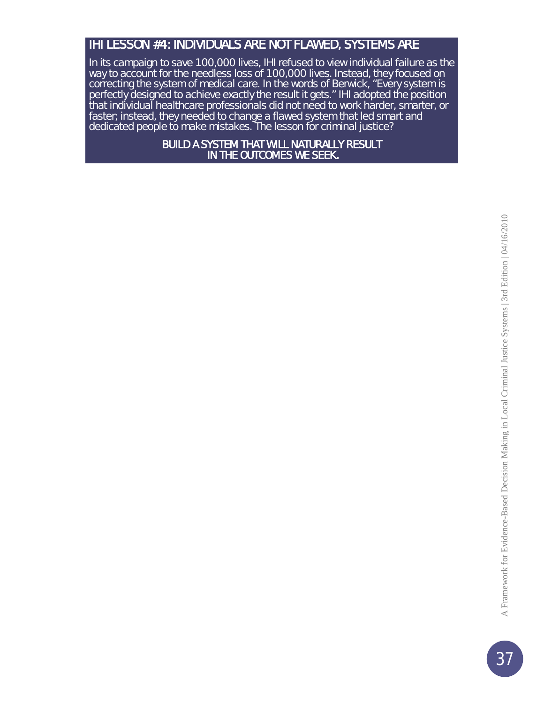### IHI LESSON #4: INDIVIDUALS ARE NOT FLAWED, SYSTEMS ARE

In its campaign to save 100,000 lives, IHI refused to view individual failure as the way to account for the needless loss of 100,000 lives. Instead, they focused on correcting the system of medical care. In the words of Berwick, "Every system is perfectly designed to achieve exactly the result it gets." IHI adopted the position that individual healthcare professionals did not need to work harder, smarter, or faster; instead, they needed to change a flawed system that led smart and dedicated people to make mistakes. The lesson for criminal justice?

> BUILD A SYSTEM THAT WILL NATURALLY RESULT IN THE OUTCOMES WE SEEK.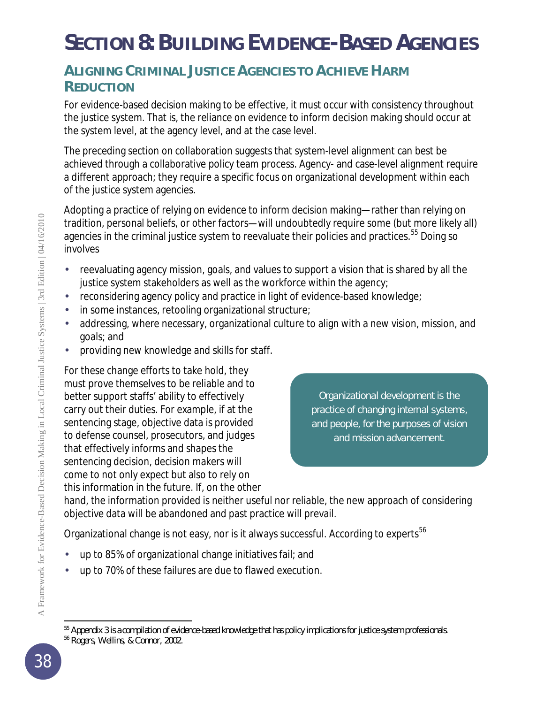# *SECTION 8: BUILDING EVIDENCE-BASED AGENCIES*

## **ALIGNING CRIMINAL JUSTICE AGENCIES TO ACHIEVE HARM REDUCTION**

For evidence-based decision making to be effective, it must occur with consistency throughout the justice system. That is, the reliance on evidence to inform decision making should occur at the system level, at the agency level, and at the case level.

The preceding section on collaboration suggests that system-level alignment can best be achieved through a collaborative policy team process. Agency- and case-level alignment require a different approach; they require a specific focus on organizational development within each of the justice system agencies.

Adopting a practice of relying on evidence to inform decision making—rather than relying on tradition, personal beliefs, or other factors—will undoubtedly require some (but more likely all) agencies in the criminal justice system to reevaluate their policies and practices.<sup>[55](#page-37-0)</sup> Doing so involves

- reevaluating agency mission, goals, and values to support a vision that is shared by all the justice system stakeholders as well as the workforce within the agency;
- reconsidering agency policy and practice in light of evidence-based knowledge;
- in some instances, retooling organizational structure;
- addressing, where necessary, organizational culture to align with a new vision, mission, and goals; and
- providing new knowledge and skills for staff.

For these change efforts to take hold, they must prove themselves to be reliable and to better support staffs' ability to effectively carry out their duties. For example, if at the sentencing stage, objective data is provided to defense counsel, prosecutors, and judges that effectively informs and shapes the sentencing decision, decision makers will come to not only expect but also to rely on this information in the future. If, on the other

Organizational development is the practice of changing internal systems, and people, for the purposes of vision and mission advancement.

hand, the information provided is neither useful nor reliable, the new approach of considering objective data will be abandoned and past practice will prevail.

Organizational change is not easy, nor is it always successful. According to experts<sup>[56](#page-37-1)</sup>

- up to 85% of organizational change initiatives fail; and
- up to 70% of these failures are due to flawed execution.

j <sup>55</sup> Appendix 3 is a compilation of evidence-based knowledge that has policy implications for justice system professionals.

<span id="page-37-1"></span><span id="page-37-0"></span><sup>56</sup> Rogers, Wellins, & Connor, 2002.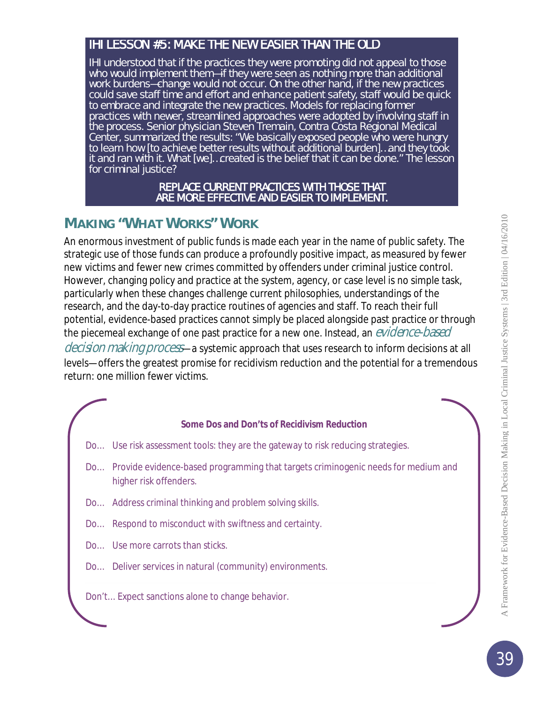#### IHI LESSON #5: MAKE THE NEW EASIER THAN THE OLD

IHI understood that if the practices they were promoting did not appeal to those who would implement them—if they were seen as nothing more than additional work burdens-change would not occur. On the other hand, if the new practices could save staff time and effort and enhance patient safety, staff would be quick to embrace and integrate the new practices. Models for replacing former practices with newer, streamlined approaches were adopted by involving staff in the process. Senior physician Steven Tremain, Contra Costa Regional Medical Center, summarized the results: "We basically exposed people who were hungry to learn how [to achieve better results without additional burden]…and they took it and ran with it. What [we]…created is the belief that it can be done." The lesson for criminal justice?

#### REPLACE CURRENT PRACTICES WITH THOSE THAT ARE MORE EFFECTIVE AND EASIER TO IMPLEMENT.

## **MAKING "WHAT WORKS" WORK**

An enormous investment of public funds is made each year in the name of public safety. The strategic use of those funds can produce a profoundly positive impact, as measured by fewer new victims and fewer new crimes committed by offenders under criminal justice control. However, changing policy and practice at the system, agency, or case level is no simple task, particularly when these changes challenge current philosophies, understandings of the research, and the day-to-day practice routines of agencies and staff. To reach their full potential, evidence-based practices cannot simply be placed alongside past practice or through the piecemeal exchange of one past practice for a new one. Instead, an *evidence-based* decision making process—a systemic approach that uses research to inform decisions at all

levels—offers the greatest promise for recidivism reduction and the potential for a tremendous return: one million fewer victims.

#### **Some Dos and Don'ts of Recidivism Reduction**

- *Do…* Use risk assessment tools: they are the gateway to risk reducing strategies.
- *Do…* Provide evidence-based programming that targets criminogenic needs for medium and higher risk offenders.
- *Do…* Address criminal thinking and problem solving skills.
- *Do…* Respond to misconduct with swiftness and certainty.
- *Do…* Use more carrots than sticks.
- *Do…* Deliver services in natural (community) environments.

*Don't…* Expect sanctions alone to change behavior.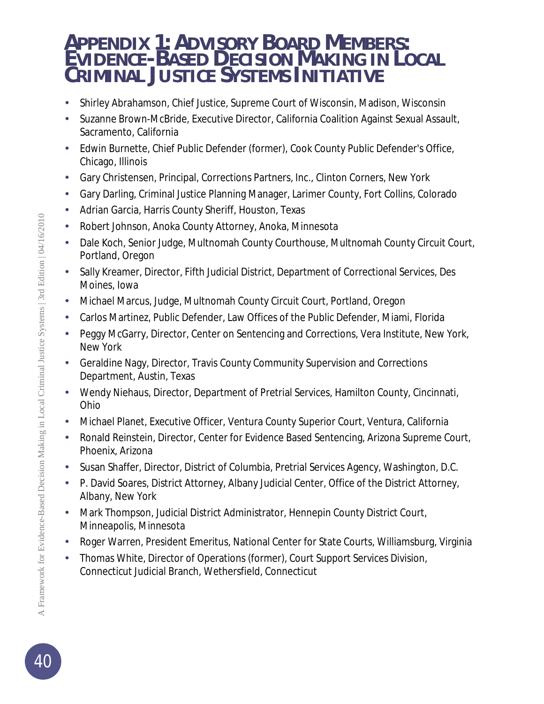## *APPENDIX 1: ADVISORY BOARD MEMBERS: EVIDENCE-BASED DECISION MAKING IN LOCAL CRIMINAL JUSTICE SYSTEMS INITIATIVE*

- Shirley Abrahamson, Chief Justice, Supreme Court of Wisconsin, Madison, Wisconsin
- Suzanne Brown-McBride, Executive Director, California Coalition Against Sexual Assault, Sacramento, California
- Edwin Burnette, Chief Public Defender (former), Cook County Public Defender's Office, Chicago, Illinois
- Gary Christensen, Principal, Corrections Partners, Inc., Clinton Corners, New York
- Gary Darling, Criminal Justice Planning Manager, Larimer County, Fort Collins, Colorado  $\mathcal{L}_{\mathcal{A}}$
- Adrian Garcia, Harris County Sheriff, Houston, Texas à.
- Robert Johnson, Anoka County Attorney, Anoka, Minnesota
- Dale Koch, Senior Judge, Multnomah County Courthouse, Multnomah County Circuit Court, Portland, Oregon
- Sally Kreamer, Director, Fifth Judicial District, Department of Correctional Services, Des Moines, Iowa
- Michael Marcus, Judge, Multnomah County Circuit Court, Portland, Oregon
- Carlos Martinez, Public Defender, Law Offices of the Public Defender, Miami, Florida
- Peggy McGarry, Director, Center on Sentencing and Corrections, Vera Institute, New York, New York
- Geraldine Nagy, Director, Travis County Community Supervision and Corrections Department, Austin, Texas
- Wendy Niehaus, Director, Department of Pretrial Services, Hamilton County, Cincinnati, Ohio
- Michael Planet, Executive Officer, Ventura County Superior Court, Ventura, California
- Ronald Reinstein, Director, Center for Evidence Based Sentencing, Arizona Supreme Court, Phoenix, Arizona
- Susan Shaffer, Director, District of Columbia, Pretrial Services Agency, Washington, D.C.
- P. David Soares, District Attorney, Albany Judicial Center, Office of the District Attorney, Albany, New York
- Mark Thompson, Judicial District Administrator, Hennepin County District Court, Minneapolis, Minnesota
- Roger Warren, President Emeritus, National Center for State Courts, Williamsburg, Virginia
- Thomas White, Director of Operations (former), Court Support Services Division, ä, Connecticut Judicial Branch, Wethersfield, Connecticut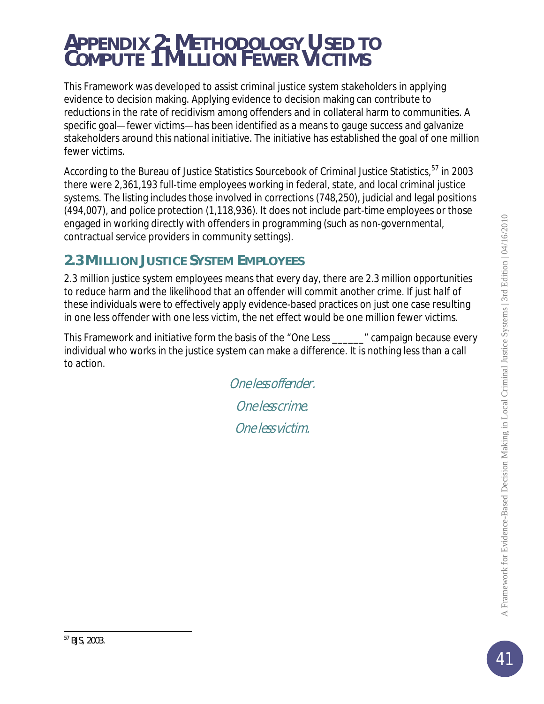## *APPENDIX 2: METHODOLOGY USED TO COMPUTE 1 MILLION FEWER VICTIMS*

This Framework was developed to assist criminal justice system stakeholders in applying evidence to decision making. Applying evidence to decision making can contribute to reductions in the rate of recidivism among offenders and in collateral harm to communities. A specific goal—fewer victims—has been identified as a means to gauge success and galvanize stakeholders around this national initiative. The initiative has established the goal of one million fewer victims.

According to the Bureau of Justice Statistics Sourcebook of Criminal Justice Statistics, <sup>[57](#page-40-0)</sup> in 2003 there were 2,361,193 full-time employees working in federal, state, and local criminal justice systems. The listing includes those involved in corrections (748,250), judicial and legal positions (494,007), and police protection (1,118,936). It does not include part-time employees or those engaged in working directly with offenders in programming (such as non-governmental, contractual service providers in community settings).

## **2.3 MILLION JUSTICE SYSTEM EMPLOYEES**

2.3 million justice system employees means that every day, there are 2.3 million opportunities to reduce harm and the likelihood that an offender will commit another crime. If just *half* of these individuals were to effectively apply evidence-based practices on just one case resulting in one less offender with one less victim, the net effect would be one million fewer victims.

<span id="page-40-0"></span>This Framework and initiative form the basis of the "One Less \_\_\_\_\_\_" campaign because every individual who works in the justice system *can* make a difference. It is nothing less than a call to action.

> One less offender. One less crime. One less victim.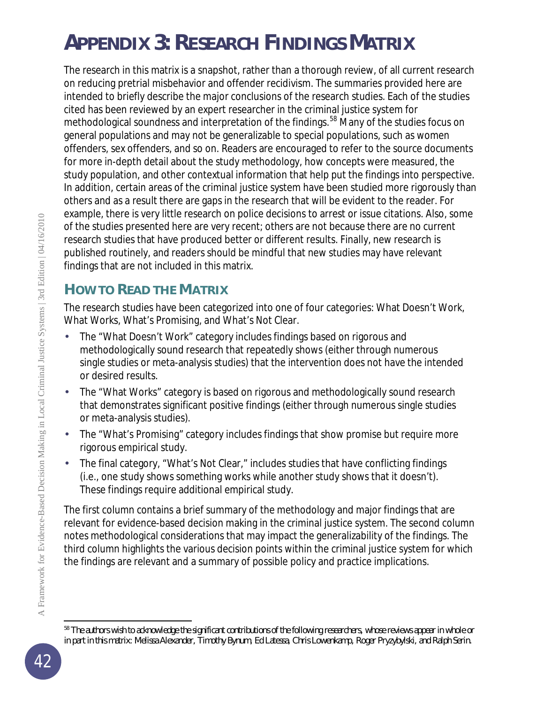# *APPENDIX 3: RESEARCH FINDINGS MATRIX*

The research in this matrix is a snapshot, rather than a thorough review, of all current research on reducing pretrial misbehavior and offender recidivism. The summaries provided here are intended to briefly describe the major conclusions of the research studies. Each of the studies cited has been reviewed by an expert researcher in the criminal justice system for methodological soundness and interpretation of the findings.<sup>[58](#page-41-0)</sup> Many of the studies focus on general populations and may not be generalizable to special populations, such as women offenders, sex offenders, and so on. Readers are encouraged to refer to the source documents for more in-depth detail about the study methodology, how concepts were measured, the study population, and other contextual information that help put the findings into perspective. In addition, certain areas of the criminal justice system have been studied more rigorously than others and as a result there are gaps in the research that will be evident to the reader. For example, there is very little research on police decisions to arrest or issue citations. Also, some of the studies presented here are very recent; others are not because there are no current research studies that have produced better or different results. Finally, new research is published routinely, and readers should be mindful that new studies may have relevant findings that are not included in this matrix.

## **HOW TO READ THE MATRIX**

The research studies have been categorized into one of four categories: What Doesn't Work, What Works, What's Promising, and What's Not Clear.

- The "What Doesn't Work" category includes findings based on rigorous and methodologically sound research that repeatedly shows (either through numerous single studies or meta-analysis studies) that the intervention does not have the intended or desired results.
- The "What Works" category is based on rigorous and methodologically sound research that demonstrates significant positive findings (either through numerous single studies or meta-analysis studies).
- The "What's Promising" category includes findings that show promise but require more rigorous empirical study.
- The final category, "What's Not Clear," includes studies that have conflicting findings (i.e., one study shows something works while another study shows that it doesn't). These findings require additional empirical study.

The first column contains a brief summary of the methodology and major findings that are relevant for evidence-based decision making in the criminal justice system. The second column notes methodological considerations that may impact the generalizability of the findings. The third column highlights the various decision points within the criminal justice system for which the findings are relevant and a summary of possible policy and practice implications.

<span id="page-41-0"></span>j <sup>58</sup> The authors wish to acknowledge the significant contributions of the following researchers, whose reviews appear in whole or in part in this matrix: Melissa Alexander, Timothy Bynum, Ed Latessa, Chris Lowenkamp, Roger Pryzybylski, and Ralph Serin.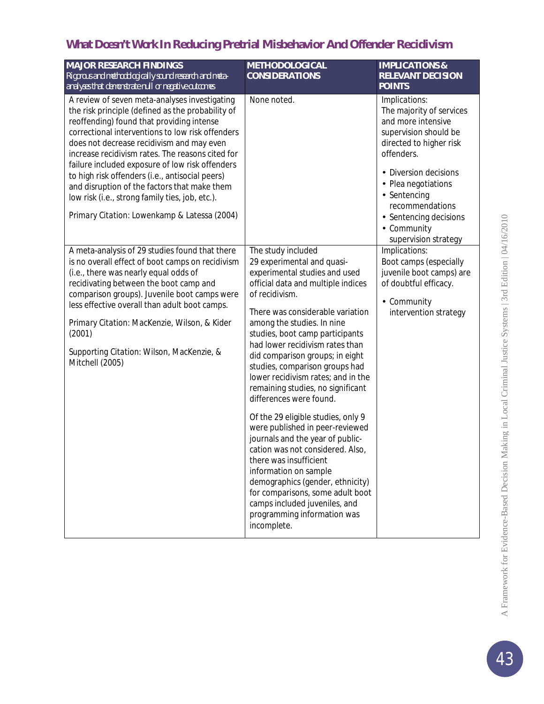## *What Doesn't Work* **In Reducing Pretrial Misbehavior And Offender Recidivism**

| <b>MAJOR RESEARCH FINDINGS</b><br>Rigorous and methodologically sound research and meta-<br>analyses that demonstrate null or negative outcomes                                                                                                                                                                                                                                                                                                                                                                                                               | <b>METHODOLOGICAL</b><br><b>CONSIDERATIONS</b>                                                                                                                                                                                                                                                                                                                                                                                                                                                                                                                                                                                                                                                                                                                                                                          | <b>IMPLICATIONS &amp;</b><br><b>RELEVANT DECISION</b><br><b>POINTS</b>                                                                                                                                                                                                              |
|---------------------------------------------------------------------------------------------------------------------------------------------------------------------------------------------------------------------------------------------------------------------------------------------------------------------------------------------------------------------------------------------------------------------------------------------------------------------------------------------------------------------------------------------------------------|-------------------------------------------------------------------------------------------------------------------------------------------------------------------------------------------------------------------------------------------------------------------------------------------------------------------------------------------------------------------------------------------------------------------------------------------------------------------------------------------------------------------------------------------------------------------------------------------------------------------------------------------------------------------------------------------------------------------------------------------------------------------------------------------------------------------------|-------------------------------------------------------------------------------------------------------------------------------------------------------------------------------------------------------------------------------------------------------------------------------------|
| A review of seven meta-analyses investigating<br>the risk principle (defined as the probability of<br>reoffending) found that providing intense<br>correctional interventions to low risk offenders<br>does not decrease recidivism and may even<br>increase recidivism rates. The reasons cited for<br>failure included exposure of low risk offenders<br>to high risk offenders (i.e., antisocial peers)<br>and disruption of the factors that make them<br>low risk (i.e., strong family ties, job, etc.).<br>Primary Citation: Lowenkamp & Latessa (2004) | None noted.                                                                                                                                                                                                                                                                                                                                                                                                                                                                                                                                                                                                                                                                                                                                                                                                             | Implications:<br>The majority of services<br>and more intensive<br>supervision should be<br>directed to higher risk<br>offenders.<br>· Diversion decisions<br>Plea negotiations<br>· Sentencing<br>recommendations<br>· Sentencing decisions<br>- Community<br>supervision strategy |
| A meta-analysis of 29 studies found that there<br>is no overall effect of boot camps on recidivism<br>(i.e., there was nearly equal odds of<br>recidivating between the boot camp and<br>comparison groups). Juvenile boot camps were<br>less effective overall than adult boot camps.<br>Primary Citation: MacKenzie, Wilson, & Kider<br>(2001)<br>Supporting Citation: Wilson, MacKenzie, &<br>Mitchell (2005)                                                                                                                                              | The study included<br>29 experimental and quasi-<br>experimental studies and used<br>official data and multiple indices<br>of recidivism.<br>There was considerable variation<br>among the studies. In nine<br>studies, boot camp participants<br>had lower recidivism rates than<br>did comparison groups; in eight<br>studies, comparison groups had<br>lower recidivism rates; and in the<br>remaining studies, no significant<br>differences were found.<br>Of the 29 eligible studies, only 9<br>were published in peer-reviewed<br>journals and the year of public-<br>cation was not considered. Also,<br>there was insufficient<br>information on sample<br>demographics (gender, ethnicity)<br>for comparisons, some adult boot<br>camps included juveniles, and<br>programming information was<br>incomplete. | Implications:<br>Boot camps (especially<br>juvenile boot camps) are<br>of doubtful efficacy.<br>Community<br>intervention strategy                                                                                                                                                  |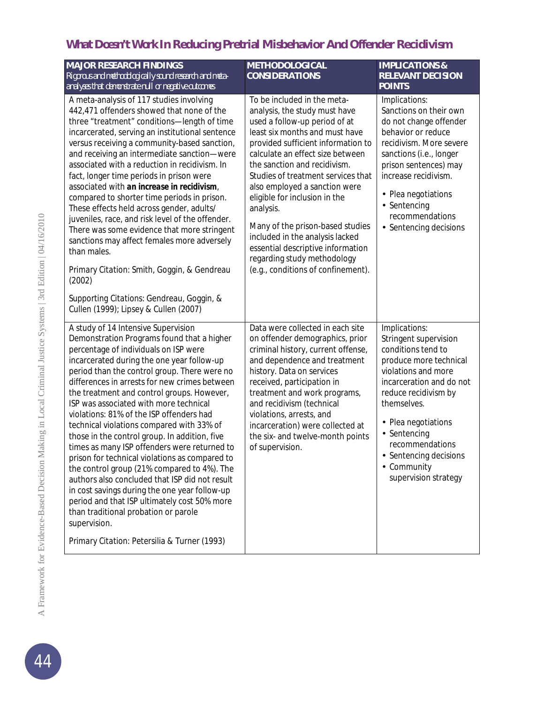## *What Doesn't Work* **In Reducing Pretrial Misbehavior And Offender Recidivism**

| <b>MAJOR RESEARCH FINDINGS</b><br>Rigorous and methodologically sound research and meta-<br>analyses that demonstrate null or negative outcomes                                                                                                                                                                                                                                                                                                                                                                                                                                                                                                                                                                                                                                                                                                                                                                         | <b>METHODOLOGICAL</b><br><b>CONSIDERATIONS</b>                                                                                                                                                                                                                                                                                                                                                                                                                                                                                                  | <b>IMPLICATIONS &amp;</b><br><b>RELEVANT DECISION</b><br><b>POINTS</b>                                                                                                                                                                                                                                  |
|-------------------------------------------------------------------------------------------------------------------------------------------------------------------------------------------------------------------------------------------------------------------------------------------------------------------------------------------------------------------------------------------------------------------------------------------------------------------------------------------------------------------------------------------------------------------------------------------------------------------------------------------------------------------------------------------------------------------------------------------------------------------------------------------------------------------------------------------------------------------------------------------------------------------------|-------------------------------------------------------------------------------------------------------------------------------------------------------------------------------------------------------------------------------------------------------------------------------------------------------------------------------------------------------------------------------------------------------------------------------------------------------------------------------------------------------------------------------------------------|---------------------------------------------------------------------------------------------------------------------------------------------------------------------------------------------------------------------------------------------------------------------------------------------------------|
| A meta-analysis of 117 studies involving<br>442,471 offenders showed that none of the<br>three "treatment" conditions-length of time<br>incarcerated, serving an institutional sentence<br>versus receiving a community-based sanction,<br>and receiving an intermediate sanction-were<br>associated with a reduction in recidivism. In<br>fact, longer time periods in prison were<br>associated with an increase in recidivism,<br>compared to shorter time periods in prison.<br>These effects held across gender, adults/<br>juveniles, race, and risk level of the offender.<br>There was some evidence that more stringent<br>sanctions may affect females more adversely<br>than males.<br>Primary Citation: Smith, Goggin, & Gendreau<br>(2002)                                                                                                                                                                 | To be included in the meta-<br>analysis, the study must have<br>used a follow-up period of at<br>least six months and must have<br>provided sufficient information to<br>calculate an effect size between<br>the sanction and recidivism.<br>Studies of treatment services that<br>also employed a sanction were<br>eligible for inclusion in the<br>analysis.<br>Many of the prison-based studies<br>included in the analysis lacked<br>essential descriptive information<br>regarding study methodology<br>(e.g., conditions of confinement). | Implications:<br>Sanctions on their own<br>do not change offender<br>behavior or reduce<br>recidivism. More severe<br>sanctions (i.e., longer<br>prison sentences) may<br>increase recidivism.<br>Plea negotiations<br>×,<br>Sentencing<br>l,<br>recommendations<br>· Sentencing decisions              |
| Supporting Citations: Gendreau, Goggin, &<br>Cullen (1999); Lipsey & Cullen (2007)                                                                                                                                                                                                                                                                                                                                                                                                                                                                                                                                                                                                                                                                                                                                                                                                                                      |                                                                                                                                                                                                                                                                                                                                                                                                                                                                                                                                                 |                                                                                                                                                                                                                                                                                                         |
| A study of 14 Intensive Supervision<br>Demonstration Programs found that a higher<br>percentage of individuals on ISP were<br>incarcerated during the one year follow-up<br>period than the control group. There were no<br>differences in arrests for new crimes between<br>the treatment and control groups. However,<br>ISP was associated with more technical<br>violations: 81% of the ISP offenders had<br>technical violations compared with 33% of<br>those in the control group. In addition, five<br>times as many ISP offenders were returned to<br>prison for technical violations as compared to<br>the control group (21% compared to 4%). The<br>authors also concluded that ISP did not result<br>in cost savings during the one year follow-up<br>period and that ISP ultimately cost 50% more<br>than traditional probation or parole<br>supervision.<br>Primary Citation: Petersilia & Turner (1993) | Data were collected in each site<br>on offender demographics, prior<br>criminal history, current offense,<br>and dependence and treatment<br>history. Data on services<br>received, participation in<br>treatment and work programs,<br>and recidivism (technical<br>violations, arrests, and<br>incarceration) were collected at<br>the six- and twelve-month points<br>of supervision.                                                                                                                                                        | Implications:<br>Stringent supervision<br>conditions tend to<br>produce more technical<br>violations and more<br>incarceration and do not<br>reduce recidivism by<br>themselves.<br>Plea negotiations<br>Sentencing<br>recommendations<br>· Sentencing decisions<br>- Community<br>supervision strategy |

A Framework for Evidence-Based Decision Making in Local Criminal Justice Systems | 3rd Edition | 04/16/2010 A Framework for Evidence-Based Decision Making in Local Criminal Justice Systems | 3rd Edition | 04/16/2010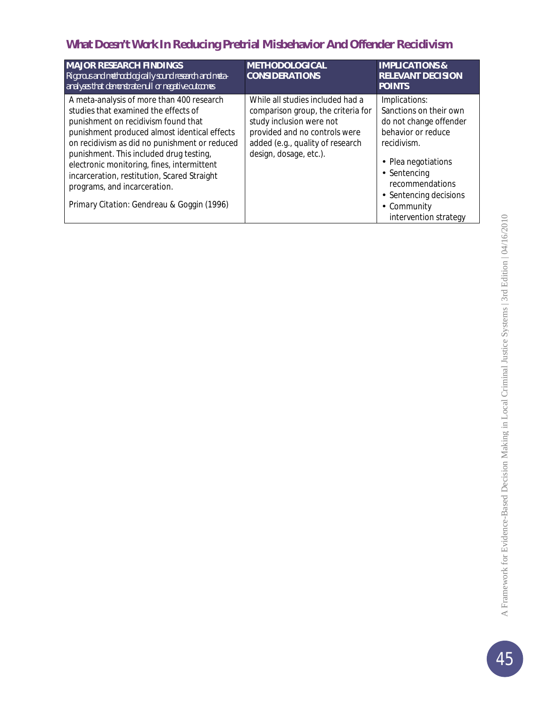## *What Doesn't Work* **In Reducing Pretrial Misbehavior And Offender Recidivism**

| <b>MAJOR RESEARCH FINDINGS</b><br>Rigorous and methodologically sound research and meta-<br>analyses that demonstrate null or negative outcomes                                                                                                                                                                                                                                                                                                 | <b>METHODOLOGICAL</b><br><b>CONSIDERATIONS</b>                                                                                                                                                    | <b>IMPLICATIONS &amp;</b><br><b>RELEVANT DECISION</b><br><b>POINTS</b>                                                                                                                                                                         |
|-------------------------------------------------------------------------------------------------------------------------------------------------------------------------------------------------------------------------------------------------------------------------------------------------------------------------------------------------------------------------------------------------------------------------------------------------|---------------------------------------------------------------------------------------------------------------------------------------------------------------------------------------------------|------------------------------------------------------------------------------------------------------------------------------------------------------------------------------------------------------------------------------------------------|
| A meta-analysis of more than 400 research<br>studies that examined the effects of<br>punishment on recidivism found that<br>punishment produced almost identical effects<br>on recidivism as did no punishment or reduced<br>punishment. This included drug testing,<br>electronic monitoring, fines, intermittent<br>incarceration, restitution, Scared Straight<br>programs, and incarceration.<br>Primary Citation: Gendreau & Goggin (1996) | While all studies included had a<br>comparison group, the criteria for<br>study inclusion were not<br>provided and no controls were<br>added (e.g., quality of research<br>design, dosage, etc.). | Implications:<br>Sanctions on their own<br>do not change offender<br>behavior or reduce<br>recidivism.<br>Plea negotiations<br>٠<br>Sentencing<br>٠<br>recommendations<br>Sentencing decisions<br>٠<br>Community<br>٠<br>intervention strategy |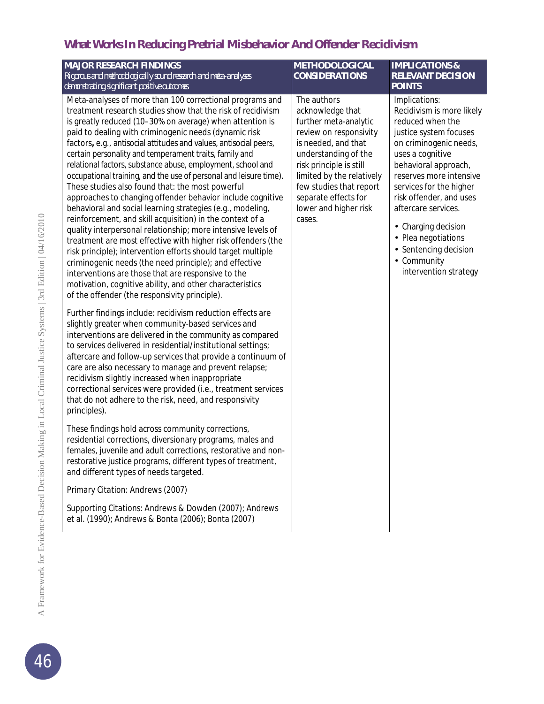| <b>MAJOR RESEARCH FINDINGS</b><br>Rigorous and methodologically sound research and meta-analyses<br>demonstrating significant positive outcomes                                                                                                                                                                                                                                                                                                                                                                                                                                                                                                                                                                                                                                                                                                                                                                                                                                                                                                                                                                                                                                           | <b>METHODOLOGICAL</b><br><b>CONSIDERATIONS</b>                                                                                                                                                                                                                                  | <b>IMPLICATIONS &amp;</b><br><b>RELEVANT DECISION</b><br><b>POINTS</b>                                                                                                                                                                                                                                                                                                          |
|-------------------------------------------------------------------------------------------------------------------------------------------------------------------------------------------------------------------------------------------------------------------------------------------------------------------------------------------------------------------------------------------------------------------------------------------------------------------------------------------------------------------------------------------------------------------------------------------------------------------------------------------------------------------------------------------------------------------------------------------------------------------------------------------------------------------------------------------------------------------------------------------------------------------------------------------------------------------------------------------------------------------------------------------------------------------------------------------------------------------------------------------------------------------------------------------|---------------------------------------------------------------------------------------------------------------------------------------------------------------------------------------------------------------------------------------------------------------------------------|---------------------------------------------------------------------------------------------------------------------------------------------------------------------------------------------------------------------------------------------------------------------------------------------------------------------------------------------------------------------------------|
| Meta-analyses of more than 100 correctional programs and<br>treatment research studies show that the risk of recidivism<br>is greatly reduced (10-30% on average) when attention is<br>paid to dealing with criminogenic needs (dynamic risk<br>factors, e.g., antisocial attitudes and values, antisocial peers,<br>certain personality and temperament traits, family and<br>relational factors, substance abuse, employment, school and<br>occupational training, and the use of personal and leisure time).<br>These studies also found that: the most powerful<br>approaches to changing offender behavior include cognitive<br>behavioral and social learning strategies (e.g., modeling,<br>reinforcement, and skill acquisition) in the context of a<br>quality interpersonal relationship; more intensive levels of<br>treatment are most effective with higher risk offenders (the<br>risk principle); intervention efforts should target multiple<br>criminogenic needs (the need principle); and effective<br>interventions are those that are responsive to the<br>motivation, cognitive ability, and other characteristics<br>of the offender (the responsivity principle). | The authors<br>acknowledge that<br>further meta-analytic<br>review on responsivity<br>is needed, and that<br>understanding of the<br>risk principle is still<br>limited by the relatively<br>few studies that report<br>separate effects for<br>lower and higher risk<br>cases. | Implications:<br>Recidivism is more likely<br>reduced when the<br>justice system focuses<br>on criminogenic needs,<br>uses a cognitive<br>behavioral approach,<br>reserves more intensive<br>services for the higher<br>risk offender, and uses<br>aftercare services.<br>Charging decision<br>Plea negotiations<br>Sentencing decision<br>- Community<br>intervention strategy |
| Further findings include: recidivism reduction effects are<br>slightly greater when community-based services and<br>interventions are delivered in the community as compared<br>to services delivered in residential/institutional settings;<br>aftercare and follow-up services that provide a continuum of<br>care are also necessary to manage and prevent relapse;<br>recidivism slightly increased when inappropriate<br>correctional services were provided (i.e., treatment services<br>that do not adhere to the risk, need, and responsivity<br>principles).                                                                                                                                                                                                                                                                                                                                                                                                                                                                                                                                                                                                                     |                                                                                                                                                                                                                                                                                 |                                                                                                                                                                                                                                                                                                                                                                                 |
| These findings hold across community corrections,<br>residential corrections, diversionary programs, males and<br>females, juvenile and adult corrections, restorative and non-<br>restorative justice programs, different types of treatment,<br>and different types of needs targeted.                                                                                                                                                                                                                                                                                                                                                                                                                                                                                                                                                                                                                                                                                                                                                                                                                                                                                                  |                                                                                                                                                                                                                                                                                 |                                                                                                                                                                                                                                                                                                                                                                                 |
| Primary Citation: Andrews (2007)                                                                                                                                                                                                                                                                                                                                                                                                                                                                                                                                                                                                                                                                                                                                                                                                                                                                                                                                                                                                                                                                                                                                                          |                                                                                                                                                                                                                                                                                 |                                                                                                                                                                                                                                                                                                                                                                                 |
| Supporting Citations: Andrews & Dowden (2007); Andrews<br>et al. (1990); Andrews & Bonta (2006); Bonta (2007)                                                                                                                                                                                                                                                                                                                                                                                                                                                                                                                                                                                                                                                                                                                                                                                                                                                                                                                                                                                                                                                                             |                                                                                                                                                                                                                                                                                 |                                                                                                                                                                                                                                                                                                                                                                                 |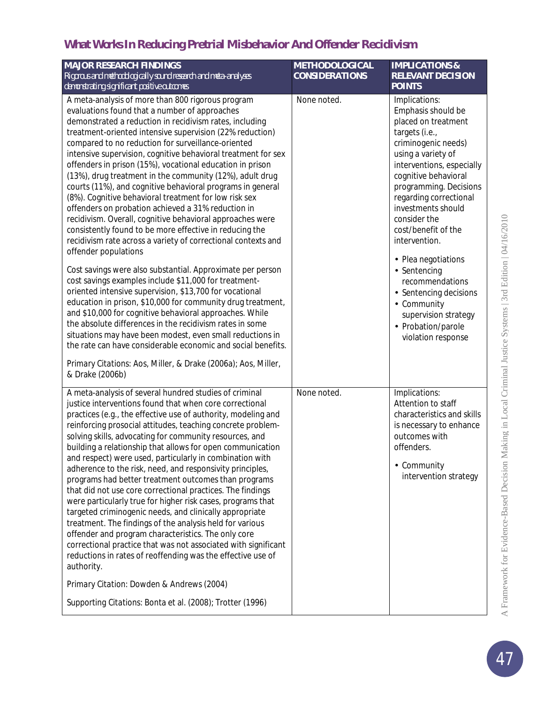| <b>MAJOR RESEARCH FINDINGS</b><br>Rigorous and methodologically sound research and meta-analyses                                                                                                                                                                                                                                                                                                                                                                                                                                                                                                                                                                                                                                                                                                                                                                                                                                                                                                                                                                                                                                                                                                                                                                                                                                                                                                                                                                 | <b>METHODOLOGICAL</b><br><b>CONSIDERATIONS</b> | <b>IMPLICATIONS &amp;</b><br><b>RELEVANT DECISION</b>                                                                                                                                                                                                                                                                                                                                                                                                                                   |
|------------------------------------------------------------------------------------------------------------------------------------------------------------------------------------------------------------------------------------------------------------------------------------------------------------------------------------------------------------------------------------------------------------------------------------------------------------------------------------------------------------------------------------------------------------------------------------------------------------------------------------------------------------------------------------------------------------------------------------------------------------------------------------------------------------------------------------------------------------------------------------------------------------------------------------------------------------------------------------------------------------------------------------------------------------------------------------------------------------------------------------------------------------------------------------------------------------------------------------------------------------------------------------------------------------------------------------------------------------------------------------------------------------------------------------------------------------------|------------------------------------------------|-----------------------------------------------------------------------------------------------------------------------------------------------------------------------------------------------------------------------------------------------------------------------------------------------------------------------------------------------------------------------------------------------------------------------------------------------------------------------------------------|
| demonstrating significant positive outcomes                                                                                                                                                                                                                                                                                                                                                                                                                                                                                                                                                                                                                                                                                                                                                                                                                                                                                                                                                                                                                                                                                                                                                                                                                                                                                                                                                                                                                      |                                                | <b>POINTS</b>                                                                                                                                                                                                                                                                                                                                                                                                                                                                           |
| A meta-analysis of more than 800 rigorous program<br>evaluations found that a number of approaches<br>demonstrated a reduction in recidivism rates, including<br>treatment-oriented intensive supervision (22% reduction)<br>compared to no reduction for surveillance-oriented<br>intensive supervision, cognitive behavioral treatment for sex<br>offenders in prison (15%), vocational education in prison<br>(13%), drug treatment in the community (12%), adult drug<br>courts (11%), and cognitive behavioral programs in general<br>(8%). Cognitive behavioral treatment for low risk sex<br>offenders on probation achieved a 31% reduction in<br>recidivism. Overall, cognitive behavioral approaches were<br>consistently found to be more effective in reducing the<br>recidivism rate across a variety of correctional contexts and<br>offender populations<br>Cost savings were also substantial. Approximate per person<br>cost savings examples include \$11,000 for treatment-<br>oriented intensive supervision, \$13,700 for vocational<br>education in prison, \$10,000 for community drug treatment,<br>and \$10,000 for cognitive behavioral approaches. While<br>the absolute differences in the recidivism rates in some<br>situations may have been modest, even small reductions in<br>the rate can have considerable economic and social benefits.<br>Primary Citations: Aos, Miller, & Drake (2006a); Aos, Miller,<br>& Drake (2006b) | None noted.                                    | Implications:<br>Emphasis should be<br>placed on treatment<br>targets (i.e.,<br>criminogenic needs)<br>using a variety of<br>interventions, especially<br>cognitive behavioral<br>programming. Decisions<br>regarding correctional<br>investments should<br>consider the<br>cost/benefit of the<br>intervention.<br>· Plea negotiations<br>· Sentencing<br>recommendations<br>· Sentencing decisions<br>- Community<br>supervision strategy<br>· Probation/parole<br>violation response |
| A meta-analysis of several hundred studies of criminal<br>justice interventions found that when core correctional<br>practices (e.g., the effective use of authority, modeling and<br>reinforcing prosocial attitudes, teaching concrete problem-<br>solving skills, advocating for community resources, and<br>building a relationship that allows for open communication<br>and respect) were used, particularly in combination with<br>adherence to the risk, need, and responsivity principles,<br>programs had better treatment outcomes than programs<br>that did not use core correctional practices. The findings<br>were particularly true for higher risk cases, programs that<br>targeted criminogenic needs, and clinically appropriate<br>treatment. The findings of the analysis held for various<br>offender and program characteristics. The only core<br>correctional practice that was not associated with significant<br>reductions in rates of reoffending was the effective use of<br>authority.<br>Primary Citation: Dowden & Andrews (2004)<br>Supporting Citations: Bonta et al. (2008); Trotter (1996)                                                                                                                                                                                                                                                                                                                                  | None noted.                                    | Implications:<br>Attention to staff<br>characteristics and skills<br>is necessary to enhance<br>outcomes with<br>offenders.<br>- Community<br>intervention strategy                                                                                                                                                                                                                                                                                                                     |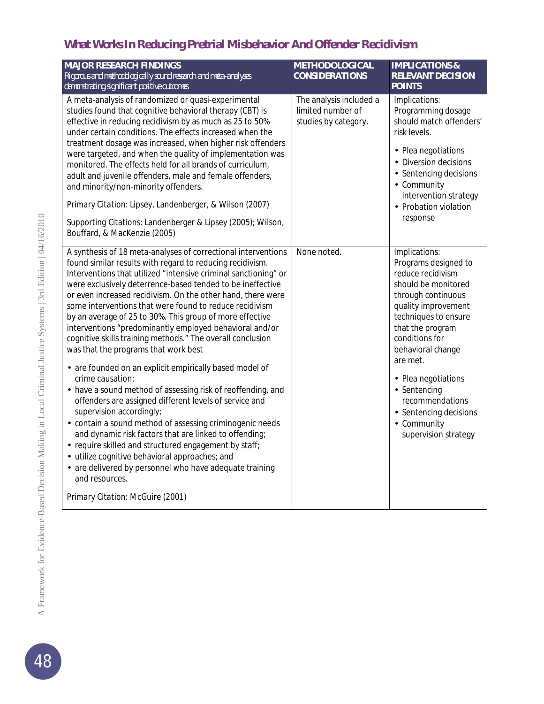| <b>MAJOR RESEARCH FINDINGS</b><br>Rigorous and methodologically sound research and meta-analyses<br>demonstrating significant positive outcomes                                                                                                                                                                                                                                                                                                                                                                                                                                                                                                                                                                                                                                                                                                                                                                                                                                                                                                                                                                                                                    | <b>METHODOLOGICAL</b><br><b>CONSIDERATIONS</b>                       | <b>IMPLICATIONS &amp;</b><br><b>RELEVANT DECISION</b><br><b>POINTS</b>                                                                                                                                                                                                                                                                                 |
|--------------------------------------------------------------------------------------------------------------------------------------------------------------------------------------------------------------------------------------------------------------------------------------------------------------------------------------------------------------------------------------------------------------------------------------------------------------------------------------------------------------------------------------------------------------------------------------------------------------------------------------------------------------------------------------------------------------------------------------------------------------------------------------------------------------------------------------------------------------------------------------------------------------------------------------------------------------------------------------------------------------------------------------------------------------------------------------------------------------------------------------------------------------------|----------------------------------------------------------------------|--------------------------------------------------------------------------------------------------------------------------------------------------------------------------------------------------------------------------------------------------------------------------------------------------------------------------------------------------------|
| A meta-analysis of randomized or quasi-experimental<br>studies found that cognitive behavioral therapy (CBT) is<br>effective in reducing recidivism by as much as 25 to 50%<br>under certain conditions. The effects increased when the<br>treatment dosage was increased, when higher risk offenders<br>were targeted, and when the quality of implementation was<br>monitored. The effects held for all brands of curriculum,<br>adult and juvenile offenders, male and female offenders,<br>and minority/non-minority offenders.<br>Primary Citation: Lipsey, Landenberger, & Wilson (2007)<br>Supporting Citations: Landenberger & Lipsey (2005); Wilson,<br>Bouffard, & MacKenzie (2005)                                                                                                                                                                                                                                                                                                                                                                                                                                                                      | The analysis included a<br>limited number of<br>studies by category. | Implications:<br>Programming dosage<br>should match offenders'<br>risk levels.<br>· Plea negotiations<br>Diversion decisions<br>Sentencing decisions<br>- Community<br>intervention strategy<br>· Probation violation<br>response                                                                                                                      |
| A synthesis of 18 meta-analyses of correctional interventions<br>found similar results with regard to reducing recidivism.<br>Interventions that utilized "intensive criminal sanctioning" or<br>were exclusively deterrence-based tended to be ineffective<br>or even increased recidivism. On the other hand, there were<br>some interventions that were found to reduce recidivism<br>by an average of 25 to 30%. This group of more effective<br>interventions "predominantly employed behavioral and/or<br>cognitive skills training methods." The overall conclusion<br>was that the programs that work best<br>- are founded on an explicit empirically based model of<br>crime causation;<br>- have a sound method of assessing risk of reoffending, and<br>offenders are assigned different levels of service and<br>supervision accordingly;<br>- contain a sound method of assessing criminogenic needs<br>and dynamic risk factors that are linked to offending;<br>· require skilled and structured engagement by staff;<br>utilize cognitive behavioral approaches; and<br>- are delivered by personnel who have adequate training<br>and resources. | None noted.                                                          | Implications:<br>Programs designed to<br>reduce recidivism<br>should be monitored<br>through continuous<br>quality improvement<br>techniques to ensure<br>that the program<br>conditions for<br>behavioral change<br>are met.<br>· Plea negotiations<br>· Sentencing<br>recommendations<br>Sentencing decisions<br>- Community<br>supervision strategy |
| Primary Citation: McGuire (2001)                                                                                                                                                                                                                                                                                                                                                                                                                                                                                                                                                                                                                                                                                                                                                                                                                                                                                                                                                                                                                                                                                                                                   |                                                                      |                                                                                                                                                                                                                                                                                                                                                        |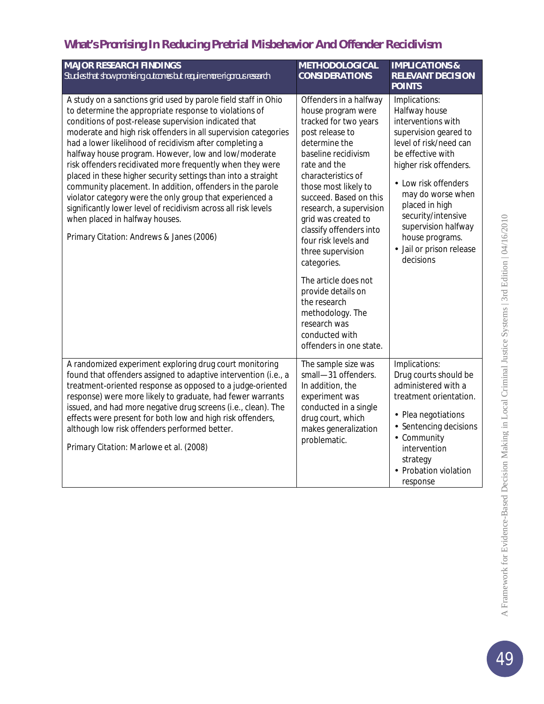| <b>MAJOR RESEARCH FINDINGS</b><br>Studies that show promising outcomes but require more rigorous research                                                                                                                                                                                                                                                                                                                                                                                                                                                                                                                                                                                                                                                                     | <b>METHODOLOGICAL</b><br><b>CONSIDERATIONS</b>                                                                                                                                                                                                                                                                                                                                                                                                      | <b>IMPLICATIONS &amp;</b><br><b>RELEVANT DECISION</b><br><b>POINTS</b>                                                                                                                                                                                                                                                     |
|-------------------------------------------------------------------------------------------------------------------------------------------------------------------------------------------------------------------------------------------------------------------------------------------------------------------------------------------------------------------------------------------------------------------------------------------------------------------------------------------------------------------------------------------------------------------------------------------------------------------------------------------------------------------------------------------------------------------------------------------------------------------------------|-----------------------------------------------------------------------------------------------------------------------------------------------------------------------------------------------------------------------------------------------------------------------------------------------------------------------------------------------------------------------------------------------------------------------------------------------------|----------------------------------------------------------------------------------------------------------------------------------------------------------------------------------------------------------------------------------------------------------------------------------------------------------------------------|
| A study on a sanctions grid used by parole field staff in Ohio<br>to determine the appropriate response to violations of<br>conditions of post-release supervision indicated that<br>moderate and high risk offenders in all supervision categories<br>had a lower likelihood of recidivism after completing a<br>halfway house program. However, low and low/moderate<br>risk offenders recidivated more frequently when they were<br>placed in these higher security settings than into a straight<br>community placement. In addition, offenders in the parole<br>violator category were the only group that experienced a<br>significantly lower level of recidivism across all risk levels<br>when placed in halfway houses.<br>Primary Citation: Andrews & Janes (2006) | Offenders in a halfway<br>house program were<br>tracked for two years<br>post release to<br>determine the<br>baseline recidivism<br>rate and the<br>characteristics of<br>those most likely to<br>succeed. Based on this<br>research, a supervision<br>grid was created to<br>classify offenders into<br>four risk levels and<br>three supervision<br>categories.<br>The article does not<br>provide details on<br>the research<br>methodology. The | Implications:<br>Halfway house<br>interventions with<br>supervision geared to<br>level of risk/need can<br>be effective with<br>higher risk offenders.<br>Low risk offenders<br>may do worse when<br>placed in high<br>security/intensive<br>supervision halfway<br>house programs.<br>Jail or prison release<br>decisions |
|                                                                                                                                                                                                                                                                                                                                                                                                                                                                                                                                                                                                                                                                                                                                                                               | research was<br>conducted with<br>offenders in one state.                                                                                                                                                                                                                                                                                                                                                                                           |                                                                                                                                                                                                                                                                                                                            |
| A randomized experiment exploring drug court monitoring<br>found that offenders assigned to adaptive intervention (i.e., a<br>treatment-oriented response as opposed to a judge-oriented<br>response) were more likely to graduate, had fewer warrants<br>issued, and had more negative drug screens (i.e., clean). The<br>effects were present for both low and high risk offenders,<br>although low risk offenders performed better.<br>Primary Citation: Marlowe et al. (2008)                                                                                                                                                                                                                                                                                             | The sample size was<br>small-31 offenders.<br>In addition, the<br>experiment was<br>conducted in a single<br>drug court, which<br>makes generalization<br>problematic.                                                                                                                                                                                                                                                                              | Implications:<br>Drug courts should be<br>administered with a<br>treatment orientation.<br>Plea negotiations<br>Sentencing decisions<br>- Community<br>intervention<br>strategy<br>Probation violation<br>response                                                                                                         |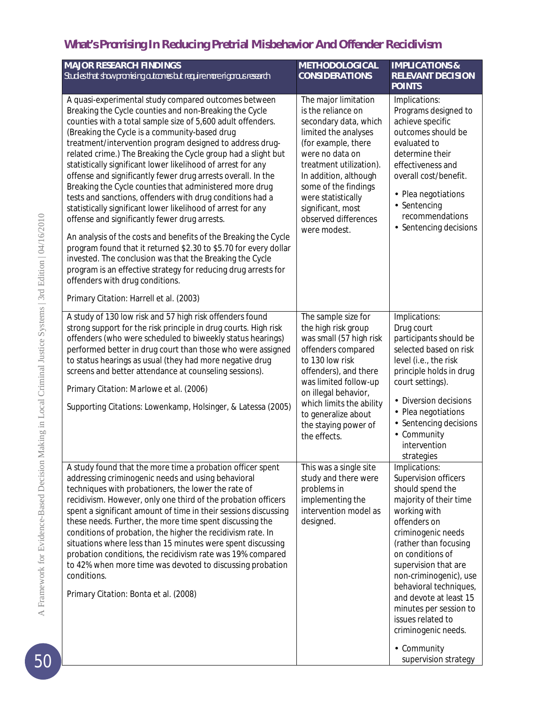| <b>MAJOR RESEARCH FINDINGS</b><br>Studies that show promising outcomes but require more rigorous research                                                                                                                                                                                                                                                                                                                                                                                                                                                                                                                                                                                                                                                                                                                                                                                                                                                                                                                                                                               | <b>METHODOLOGICAL</b><br><b>CONSIDERATIONS</b>                                                                                                                                                                                                                                                       | <b>IMPLICATIONS &amp;</b><br><b>RELEVANT DECISION</b><br><b>POINTS</b>                                                                                                                                                                                                                                                                                                                                       |
|-----------------------------------------------------------------------------------------------------------------------------------------------------------------------------------------------------------------------------------------------------------------------------------------------------------------------------------------------------------------------------------------------------------------------------------------------------------------------------------------------------------------------------------------------------------------------------------------------------------------------------------------------------------------------------------------------------------------------------------------------------------------------------------------------------------------------------------------------------------------------------------------------------------------------------------------------------------------------------------------------------------------------------------------------------------------------------------------|------------------------------------------------------------------------------------------------------------------------------------------------------------------------------------------------------------------------------------------------------------------------------------------------------|--------------------------------------------------------------------------------------------------------------------------------------------------------------------------------------------------------------------------------------------------------------------------------------------------------------------------------------------------------------------------------------------------------------|
| A quasi-experimental study compared outcomes between<br>Breaking the Cycle counties and non-Breaking the Cycle<br>counties with a total sample size of 5,600 adult offenders.<br>(Breaking the Cycle is a community-based drug<br>treatment/intervention program designed to address drug-<br>related crime.) The Breaking the Cycle group had a slight but<br>statistically significant lower likelihood of arrest for any<br>offense and significantly fewer drug arrests overall. In the<br>Breaking the Cycle counties that administered more drug<br>tests and sanctions, offenders with drug conditions had a<br>statistically significant lower likelihood of arrest for any<br>offense and significantly fewer drug arrests.<br>An analysis of the costs and benefits of the Breaking the Cycle<br>program found that it returned \$2.30 to \$5.70 for every dollar<br>invested. The conclusion was that the Breaking the Cycle<br>program is an effective strategy for reducing drug arrests for<br>offenders with drug conditions.<br>Primary Citation: Harrell et al. (2003) | The major limitation<br>is the reliance on<br>secondary data, which<br>limited the analyses<br>(for example, there<br>were no data on<br>treatment utilization).<br>In addition, although<br>some of the findings<br>were statistically<br>significant, most<br>observed differences<br>were modest. | Implications:<br>Programs designed to<br>achieve specific<br>outcomes should be<br>evaluated to<br>determine their<br>effectiveness and<br>overall cost/benefit.<br>Plea negotiations<br>ä,<br>Sentencing<br>recommendations<br>Sentencing decisions                                                                                                                                                         |
| A study of 130 low risk and 57 high risk offenders found<br>strong support for the risk principle in drug courts. High risk<br>offenders (who were scheduled to biweekly status hearings)<br>performed better in drug court than those who were assigned<br>to status hearings as usual (they had more negative drug<br>screens and better attendance at counseling sessions).<br>Primary Citation: Marlowe et al. (2006)<br>Supporting Citations: Lowenkamp, Holsinger, & Latessa (2005)                                                                                                                                                                                                                                                                                                                                                                                                                                                                                                                                                                                               | The sample size for<br>the high risk group<br>was small (57 high risk<br>offenders compared<br>to 130 low risk<br>offenders), and there<br>was limited follow-up<br>on illegal behavior,<br>which limits the ability<br>to generalize about<br>the staying power of<br>the effects.                  | Implications:<br>Drug court<br>participants should be<br>selected based on risk<br>level (i.e., the risk<br>principle holds in drug<br>court settings).<br>Diversion decisions<br>ä,<br>Plea negotiations<br>Sentencing decisions<br>Community<br>intervention<br>strategies                                                                                                                                 |
| A study found that the more time a probation officer spent<br>addressing criminogenic needs and using behavioral<br>techniques with probationers, the lower the rate of<br>recidivism. However, only one third of the probation officers<br>spent a significant amount of time in their sessions discussing<br>these needs. Further, the more time spent discussing the<br>conditions of probation, the higher the recidivism rate. In<br>situations where less than 15 minutes were spent discussing<br>probation conditions, the recidivism rate was 19% compared<br>to 42% when more time was devoted to discussing probation<br>conditions.<br>Primary Citation: Bonta et al. (2008)                                                                                                                                                                                                                                                                                                                                                                                                | This was a single site<br>study and there were<br>problems in<br>implementing the<br>intervention model as<br>designed.                                                                                                                                                                              | Implications:<br>Supervision officers<br>should spend the<br>majority of their time<br>working with<br>offenders on<br>criminogenic needs<br>(rather than focusing<br>on conditions of<br>supervision that are<br>non-criminogenic), use<br>behavioral techniques,<br>and devote at least 15<br>minutes per session to<br>issues related to<br>criminogenic needs.<br>Community<br>٠<br>supervision strategy |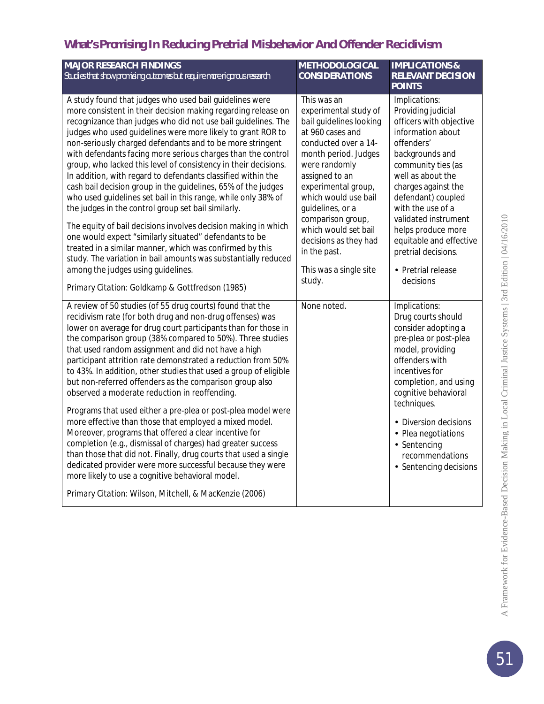| <b>MAJOR RESEARCH FINDINGS</b>                                                                                                                                                                                                                                                                                                                                                                                                                                                                                                                                                                                                                                                                                                                                                                                                                                                                                                                                                                                                                                       | <b>METHODOLOGICAL</b>                                                                                                                                                                                                                                                                                                                                               | <b>IMPLICATIONS &amp;</b>                                                                                                                                                                                                                                                                                                                                            |
|----------------------------------------------------------------------------------------------------------------------------------------------------------------------------------------------------------------------------------------------------------------------------------------------------------------------------------------------------------------------------------------------------------------------------------------------------------------------------------------------------------------------------------------------------------------------------------------------------------------------------------------------------------------------------------------------------------------------------------------------------------------------------------------------------------------------------------------------------------------------------------------------------------------------------------------------------------------------------------------------------------------------------------------------------------------------|---------------------------------------------------------------------------------------------------------------------------------------------------------------------------------------------------------------------------------------------------------------------------------------------------------------------------------------------------------------------|----------------------------------------------------------------------------------------------------------------------------------------------------------------------------------------------------------------------------------------------------------------------------------------------------------------------------------------------------------------------|
| Studies that show promising outcomes but require more rigorous research                                                                                                                                                                                                                                                                                                                                                                                                                                                                                                                                                                                                                                                                                                                                                                                                                                                                                                                                                                                              | <b>CONSIDERATIONS</b>                                                                                                                                                                                                                                                                                                                                               | <b>RELEVANT DECISION</b><br><b>POINTS</b>                                                                                                                                                                                                                                                                                                                            |
| A study found that judges who used bail guidelines were<br>more consistent in their decision making regarding release on<br>recognizance than judges who did not use bail guidelines. The<br>judges who used guidelines were more likely to grant ROR to<br>non-seriously charged defendants and to be more stringent<br>with defendants facing more serious charges than the control<br>group, who lacked this level of consistency in their decisions.<br>In addition, with regard to defendants classified within the<br>cash bail decision group in the guidelines, 65% of the judges<br>who used guidelines set bail in this range, while only 38% of<br>the judges in the control group set bail similarly.<br>The equity of bail decisions involves decision making in which<br>one would expect "similarly situated" defendants to be<br>treated in a similar manner, which was confirmed by this<br>study. The variation in bail amounts was substantially reduced<br>among the judges using guidelines.<br>Primary Citation: Goldkamp & Gottfredson (1985) | This was an<br>experimental study of<br>bail guidelines looking<br>at 960 cases and<br>conducted over a 14-<br>month period. Judges<br>were randomly<br>assigned to an<br>experimental group,<br>which would use bail<br>guidelines, or a<br>comparison group,<br>which would set bail<br>decisions as they had<br>in the past.<br>This was a single site<br>study. | Implications:<br>Providing judicial<br>officers with objective<br>information about<br>offenders'<br>backgrounds and<br>community ties (as<br>well as about the<br>charges against the<br>defendant) coupled<br>with the use of a<br>validated instrument<br>helps produce more<br>equitable and effective<br>pretrial decisions.<br>· Pretrial release<br>decisions |
| A review of 50 studies (of 55 drug courts) found that the<br>recidivism rate (for both drug and non-drug offenses) was<br>lower on average for drug court participants than for those in<br>the comparison group (38% compared to 50%). Three studies<br>that used random assignment and did not have a high<br>participant attrition rate demonstrated a reduction from 50%<br>to 43%. In addition, other studies that used a group of eligible<br>but non-referred offenders as the comparison group also<br>observed a moderate reduction in reoffending.<br>Programs that used either a pre-plea or post-plea model were<br>more effective than those that employed a mixed model.<br>Moreover, programs that offered a clear incentive for<br>completion (e.g., dismissal of charges) had greater success<br>than those that did not. Finally, drug courts that used a single<br>dedicated provider were more successful because they were<br>more likely to use a cognitive behavioral model.<br>Primary Citation: Wilson, Mitchell, & MacKenzie (2006)        | None noted.                                                                                                                                                                                                                                                                                                                                                         | Implications:<br>Drug courts should<br>consider adopting a<br>pre-plea or post-plea<br>model, providing<br>offenders with<br>incentives for<br>completion, and using<br>cognitive behavioral<br>techniques.<br>· Diversion decisions<br>Plea negotiations<br>Sentencing<br>recommendations<br>· Sentencing decisions                                                 |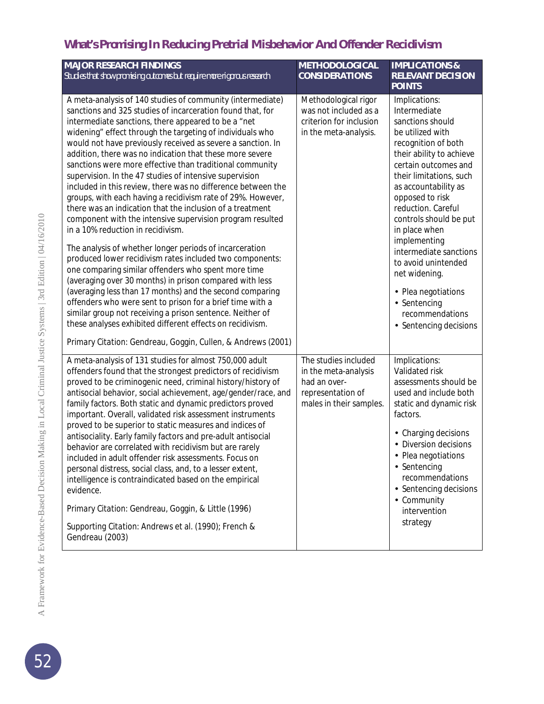| <b>MAJOR RESEARCH FINDINGS</b><br>Studies that show promising outcomes but require more rigorous research                                                                                                                                                                                                                                                                                                                                                                                                                                                                                                                                                                                                                                                                                                                                                                                                                                                                                                                                                                                                                                                                                                                                                                                                                                                | <b>METHODOLOGICAL</b><br><b>CONSIDERATIONS</b>                                                               | <b>IMPLICATIONS &amp;</b><br><b>RELEVANT DECISION</b><br><b>POINTS</b>                                                                                                                                                                                                                                                                                                                                                                                        |
|----------------------------------------------------------------------------------------------------------------------------------------------------------------------------------------------------------------------------------------------------------------------------------------------------------------------------------------------------------------------------------------------------------------------------------------------------------------------------------------------------------------------------------------------------------------------------------------------------------------------------------------------------------------------------------------------------------------------------------------------------------------------------------------------------------------------------------------------------------------------------------------------------------------------------------------------------------------------------------------------------------------------------------------------------------------------------------------------------------------------------------------------------------------------------------------------------------------------------------------------------------------------------------------------------------------------------------------------------------|--------------------------------------------------------------------------------------------------------------|---------------------------------------------------------------------------------------------------------------------------------------------------------------------------------------------------------------------------------------------------------------------------------------------------------------------------------------------------------------------------------------------------------------------------------------------------------------|
| A meta-analysis of 140 studies of community (intermediate)<br>sanctions and 325 studies of incarceration found that, for<br>intermediate sanctions, there appeared to be a "net<br>widening" effect through the targeting of individuals who<br>would not have previously received as severe a sanction. In<br>addition, there was no indication that these more severe<br>sanctions were more effective than traditional community<br>supervision. In the 47 studies of intensive supervision<br>included in this review, there was no difference between the<br>groups, with each having a recidivism rate of 29%. However,<br>there was an indication that the inclusion of a treatment<br>component with the intensive supervision program resulted<br>in a 10% reduction in recidivism.<br>The analysis of whether longer periods of incarceration<br>produced lower recidivism rates included two components:<br>one comparing similar offenders who spent more time<br>(averaging over 30 months) in prison compared with less<br>(averaging less than 17 months) and the second comparing<br>offenders who were sent to prison for a brief time with a<br>similar group not receiving a prison sentence. Neither of<br>these analyses exhibited different effects on recidivism.<br>Primary Citation: Gendreau, Goggin, Cullen, & Andrews (2001) | Methodological rigor<br>was not included as a<br>criterion for inclusion<br>in the meta-analysis.            | Implications:<br>Intermediate<br>sanctions should<br>be utilized with<br>recognition of both<br>their ability to achieve<br>certain outcomes and<br>their limitations, such<br>as accountability as<br>opposed to risk<br>reduction. Careful<br>controls should be put<br>in place when<br>implementing<br>intermediate sanctions<br>to avoid unintended<br>net widening.<br>· Plea negotiations<br>· Sentencing<br>recommendations<br>· Sentencing decisions |
| A meta-analysis of 131 studies for almost 750,000 adult<br>offenders found that the strongest predictors of recidivism<br>proved to be criminogenic need, criminal history/history of<br>antisocial behavior, social achievement, age/gender/race, and<br>family factors. Both static and dynamic predictors proved<br>important. Overall, validated risk assessment instruments<br>proved to be superior to static measures and indices of<br>antisociality. Early family factors and pre-adult antisocial<br>behavior are correlated with recidivism but are rarely<br>included in adult offender risk assessments. Focus on<br>personal distress, social class, and, to a lesser extent,<br>intelligence is contraindicated based on the empirical<br>evidence.<br>Primary Citation: Gendreau, Goggin, & Little (1996)<br>Supporting Citation: Andrews et al. (1990); French &<br>Gendreau (2003)                                                                                                                                                                                                                                                                                                                                                                                                                                                     | The studies included<br>in the meta-analysis<br>had an over-<br>representation of<br>males in their samples. | Implications:<br>Validated risk<br>assessments should be<br>used and include both<br>static and dynamic risk<br>factors.<br>Charging decisions<br>Diversion decisions<br>Plea negotiations<br>· Sentencing<br>recommendations<br>· Sentencing decisions<br>· Community<br>intervention<br>strategy                                                                                                                                                            |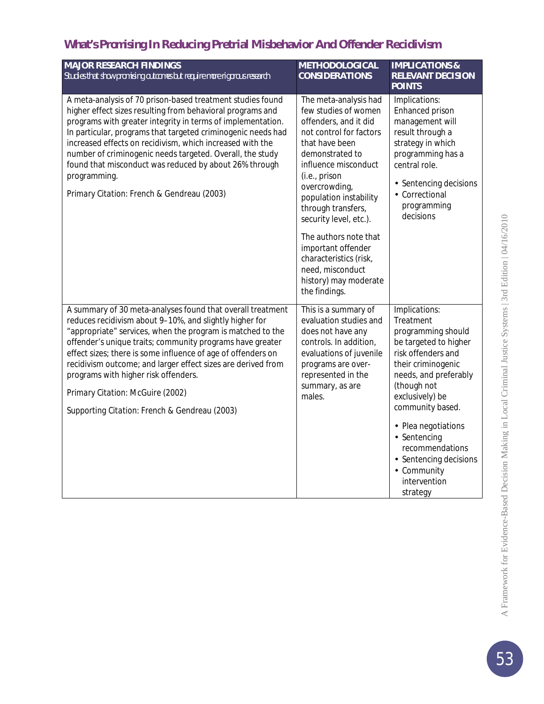| <b>MAJOR RESEARCH FINDINGS</b>                                                                                                                                                                                                                                                                                                                                                                                                                                                                                | <b>METHODOLOGICAL</b>                                                                                                                                                                                                                                                      | <b>IMPLICATIONS &amp;</b>                                                                                                                                                                              |
|---------------------------------------------------------------------------------------------------------------------------------------------------------------------------------------------------------------------------------------------------------------------------------------------------------------------------------------------------------------------------------------------------------------------------------------------------------------------------------------------------------------|----------------------------------------------------------------------------------------------------------------------------------------------------------------------------------------------------------------------------------------------------------------------------|--------------------------------------------------------------------------------------------------------------------------------------------------------------------------------------------------------|
| Studies that show promising outcomes but require more rigorous research                                                                                                                                                                                                                                                                                                                                                                                                                                       | <b>CONSIDERATIONS</b>                                                                                                                                                                                                                                                      | <b>RELEVANT DECISION</b><br><b>POINTS</b>                                                                                                                                                              |
| A meta-analysis of 70 prison-based treatment studies found<br>higher effect sizes resulting from behavioral programs and<br>programs with greater integrity in terms of implementation.<br>In particular, programs that targeted criminogenic needs had<br>increased effects on recidivism, which increased with the<br>number of criminogenic needs targeted. Overall, the study<br>found that misconduct was reduced by about 26% through<br>programming.<br>Primary Citation: French & Gendreau (2003)     | The meta-analysis had<br>few studies of women<br>offenders, and it did<br>not control for factors<br>that have been<br>demonstrated to<br>influence misconduct<br>(i.e., prison<br>overcrowding,<br>population instability<br>through transfers,<br>security level, etc.). | Implications:<br>Enhanced prison<br>management will<br>result through a<br>strategy in which<br>programming has a<br>central role.<br>Sentencing decisions<br>Correctional<br>programming<br>decisions |
|                                                                                                                                                                                                                                                                                                                                                                                                                                                                                                               | The authors note that<br>important offender<br>characteristics (risk,<br>need, misconduct<br>history) may moderate<br>the findings.                                                                                                                                        |                                                                                                                                                                                                        |
| A summary of 30 meta-analyses found that overall treatment<br>reduces recidivism about 9-10%, and slightly higher for<br>"appropriate" services, when the program is matched to the<br>offender's unique traits; community programs have greater<br>effect sizes; there is some influence of age of offenders on<br>recidivism outcome; and larger effect sizes are derived from<br>programs with higher risk offenders.<br>Primary Citation: McGuire (2002)<br>Supporting Citation: French & Gendreau (2003) | This is a summary of<br>evaluation studies and<br>does not have any<br>controls. In addition,<br>evaluations of juvenile<br>programs are over-<br>represented in the<br>summary, as are<br>males.                                                                          | Implications:<br>Treatment<br>programming should<br>be targeted to higher<br>risk offenders and<br>their criminogenic<br>needs, and preferably<br>(though not<br>exclusively) be<br>community based.   |
|                                                                                                                                                                                                                                                                                                                                                                                                                                                                                                               |                                                                                                                                                                                                                                                                            | · Plea negotiations<br>· Sentencing<br>recommendations<br>· Sentencing decisions<br>- Community<br>intervention<br>strategy                                                                            |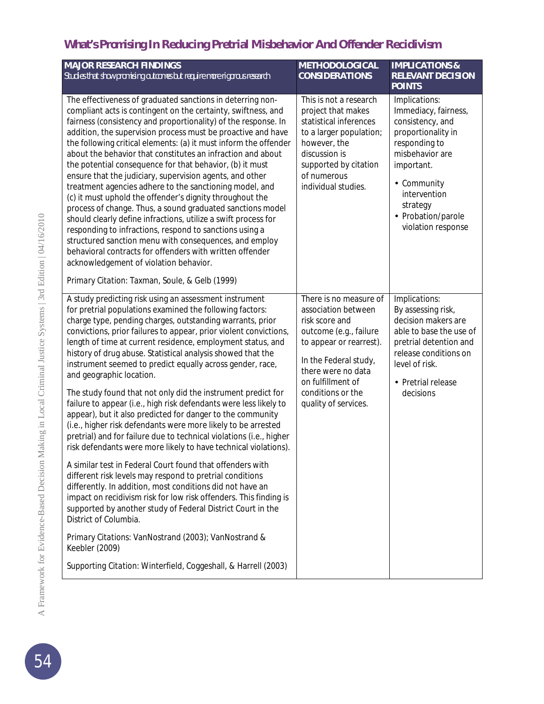| <b>MAJOR RESEARCH FINDINGS</b><br>Studies that show promising outcomes but require more rigorous research                                                                                                                                                                                                                                                                                                                                                                                                                                                                                                                                                                                                                                                                                                                                                                                                                                                                                                                                                    | <b>METHODOLOGICAL</b><br><b>CONSIDERATIONS</b>                                                                                                                                                                                        | <b>IMPLICATIONS &amp;</b><br><b>RELEVANT DECISION</b><br><b>POINTS</b>                                                                                                                                                   |
|--------------------------------------------------------------------------------------------------------------------------------------------------------------------------------------------------------------------------------------------------------------------------------------------------------------------------------------------------------------------------------------------------------------------------------------------------------------------------------------------------------------------------------------------------------------------------------------------------------------------------------------------------------------------------------------------------------------------------------------------------------------------------------------------------------------------------------------------------------------------------------------------------------------------------------------------------------------------------------------------------------------------------------------------------------------|---------------------------------------------------------------------------------------------------------------------------------------------------------------------------------------------------------------------------------------|--------------------------------------------------------------------------------------------------------------------------------------------------------------------------------------------------------------------------|
| The effectiveness of graduated sanctions in deterring non-<br>compliant acts is contingent on the certainty, swiftness, and<br>fairness (consistency and proportionality) of the response. In<br>addition, the supervision process must be proactive and have<br>the following critical elements: (a) it must inform the offender<br>about the behavior that constitutes an infraction and about<br>the potential consequence for that behavior, (b) it must<br>ensure that the judiciary, supervision agents, and other<br>treatment agencies adhere to the sanctioning model, and<br>(c) it must uphold the offender's dignity throughout the<br>process of change. Thus, a sound graduated sanctions model<br>should clearly define infractions, utilize a swift process for<br>responding to infractions, respond to sanctions using a<br>structured sanction menu with consequences, and employ<br>behavioral contracts for offenders with written offender<br>acknowledgement of violation behavior.<br>Primary Citation: Taxman, Soule, & Gelb (1999) | This is not a research<br>project that makes<br>statistical inferences<br>to a larger population;<br>however, the<br>discussion is<br>supported by citation<br>of numerous<br>individual studies.                                     | Implications:<br>Immediacy, fairness,<br>consistency, and<br>proportionality in<br>responding to<br>misbehavior are<br>important.<br>- Community<br>intervention<br>strategy<br>· Probation/parole<br>violation response |
| A study predicting risk using an assessment instrument<br>for pretrial populations examined the following factors:<br>charge type, pending charges, outstanding warrants, prior<br>convictions, prior failures to appear, prior violent convictions,<br>length of time at current residence, employment status, and<br>history of drug abuse. Statistical analysis showed that the<br>instrument seemed to predict equally across gender, race,<br>and geographic location.                                                                                                                                                                                                                                                                                                                                                                                                                                                                                                                                                                                  | There is no measure of<br>association between<br>risk score and<br>outcome (e.g., failure<br>to appear or rearrest).<br>In the Federal study,<br>there were no data<br>on fulfillment of<br>conditions or the<br>quality of services. | Implications:<br>By assessing risk,<br>decision makers are<br>able to base the use of<br>pretrial detention and<br>release conditions on<br>level of risk.<br>Pretrial release<br>decisions                              |
| The study found that not only did the instrument predict for<br>failure to appear (i.e., high risk defendants were less likely to<br>appear), but it also predicted for danger to the community<br>(i.e., higher risk defendants were more likely to be arrested<br>pretrial) and for failure due to technical violations (i.e., higher<br>risk defendants were more likely to have technical violations).                                                                                                                                                                                                                                                                                                                                                                                                                                                                                                                                                                                                                                                   |                                                                                                                                                                                                                                       |                                                                                                                                                                                                                          |
| A similar test in Federal Court found that offenders with<br>different risk levels may respond to pretrial conditions<br>differently. In addition, most conditions did not have an<br>impact on recidivism risk for low risk offenders. This finding is<br>supported by another study of Federal District Court in the<br>District of Columbia.                                                                                                                                                                                                                                                                                                                                                                                                                                                                                                                                                                                                                                                                                                              |                                                                                                                                                                                                                                       |                                                                                                                                                                                                                          |
| Primary Citations: VanNostrand (2003); VanNostrand &<br>Keebler (2009)                                                                                                                                                                                                                                                                                                                                                                                                                                                                                                                                                                                                                                                                                                                                                                                                                                                                                                                                                                                       |                                                                                                                                                                                                                                       |                                                                                                                                                                                                                          |
| Supporting Citation: Winterfield, Coggeshall, & Harrell (2003)                                                                                                                                                                                                                                                                                                                                                                                                                                                                                                                                                                                                                                                                                                                                                                                                                                                                                                                                                                                               |                                                                                                                                                                                                                                       |                                                                                                                                                                                                                          |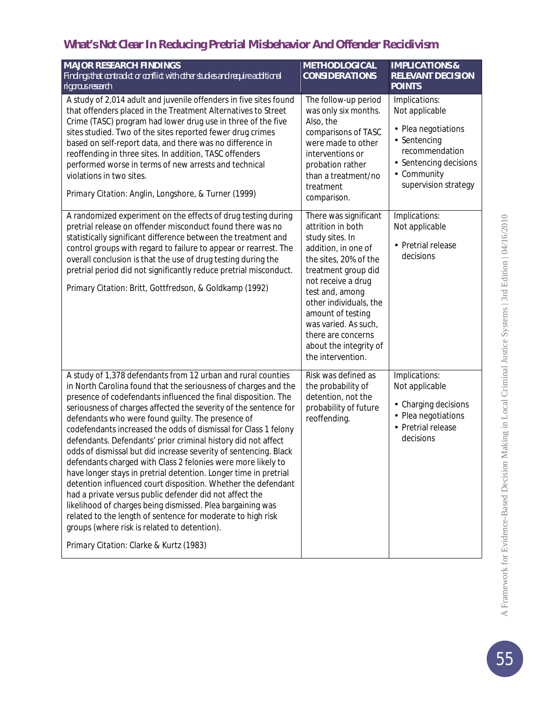## *What's Not Clear* **In Reducing Pretrial Misbehavior And Offender Recidivism**

| <b>MAJOR RESEARCH FINDINGS</b><br>Findings that contradict or conflict with other studies and require additional<br>rigorous research                                                                                                                                                                                                                                                                                                                                                                                                                                                                                                                                                                                                                                                                                                                                                                                                                                                                                      | <b>METHODLOGICAL</b><br><b>CONSIDERATIONS</b>                                                                                                                                                                                                                                                                             | <b>IMPLICATIONS &amp;</b><br><b>RELEVANT DECISION</b><br><b>POINTS</b>                                                                              |
|----------------------------------------------------------------------------------------------------------------------------------------------------------------------------------------------------------------------------------------------------------------------------------------------------------------------------------------------------------------------------------------------------------------------------------------------------------------------------------------------------------------------------------------------------------------------------------------------------------------------------------------------------------------------------------------------------------------------------------------------------------------------------------------------------------------------------------------------------------------------------------------------------------------------------------------------------------------------------------------------------------------------------|---------------------------------------------------------------------------------------------------------------------------------------------------------------------------------------------------------------------------------------------------------------------------------------------------------------------------|-----------------------------------------------------------------------------------------------------------------------------------------------------|
| A study of 2,014 adult and juvenile offenders in five sites found<br>that offenders placed in the Treatment Alternatives to Street<br>Crime (TASC) program had lower drug use in three of the five<br>sites studied. Two of the sites reported fewer drug crimes<br>based on self-report data, and there was no difference in<br>reoffending in three sites. In addition, TASC offenders<br>performed worse in terms of new arrests and technical<br>violations in two sites.<br>Primary Citation: Anglin, Longshore, & Turner (1999)                                                                                                                                                                                                                                                                                                                                                                                                                                                                                      | The follow-up period<br>was only six months.<br>Also, the<br>comparisons of TASC<br>were made to other<br>interventions or<br>probation rather<br>than a treatment/no<br>treatment<br>comparison.                                                                                                                         | Implications:<br>Not applicable<br>· Plea negotiations<br>Sentencing<br>recommendation<br>Sentencing decisions<br>Community<br>supervision strategy |
| A randomized experiment on the effects of drug testing during<br>pretrial release on offender misconduct found there was no<br>statistically significant difference between the treatment and<br>control groups with regard to failure to appear or rearrest. The<br>overall conclusion is that the use of drug testing during the<br>pretrial period did not significantly reduce pretrial misconduct.<br>Primary Citation: Britt, Gottfredson, & Goldkamp (1992)                                                                                                                                                                                                                                                                                                                                                                                                                                                                                                                                                         | There was significant<br>attrition in both<br>study sites. In<br>addition, in one of<br>the sites, 20% of the<br>treatment group did<br>not receive a drug<br>test and, among<br>other individuals, the<br>amount of testing<br>was varied. As such,<br>there are concerns<br>about the integrity of<br>the intervention. | Implications:<br>Not applicable<br>· Pretrial release<br>decisions                                                                                  |
| A study of 1,378 defendants from 12 urban and rural counties<br>in North Carolina found that the seriousness of charges and the<br>presence of codefendants influenced the final disposition. The<br>seriousness of charges affected the severity of the sentence for<br>defendants who were found guilty. The presence of<br>codefendants increased the odds of dismissal for Class 1 felony<br>defendants. Defendants' prior criminal history did not affect<br>odds of dismissal but did increase severity of sentencing. Black<br>defendants charged with Class 2 felonies were more likely to<br>have longer stays in pretrial detention. Longer time in pretrial<br>detention influenced court disposition. Whether the defendant<br>had a private versus public defender did not affect the<br>likelihood of charges being dismissed. Plea bargaining was<br>related to the length of sentence for moderate to high risk<br>groups (where risk is related to detention).<br>Primary Citation: Clarke & Kurtz (1983) | Risk was defined as<br>the probability of<br>detention, not the<br>probability of future<br>reoffending.                                                                                                                                                                                                                  | Implications:<br>Not applicable<br>Charging decisions<br>Plea negotiations<br>Pretrial release<br>÷.<br>decisions                                   |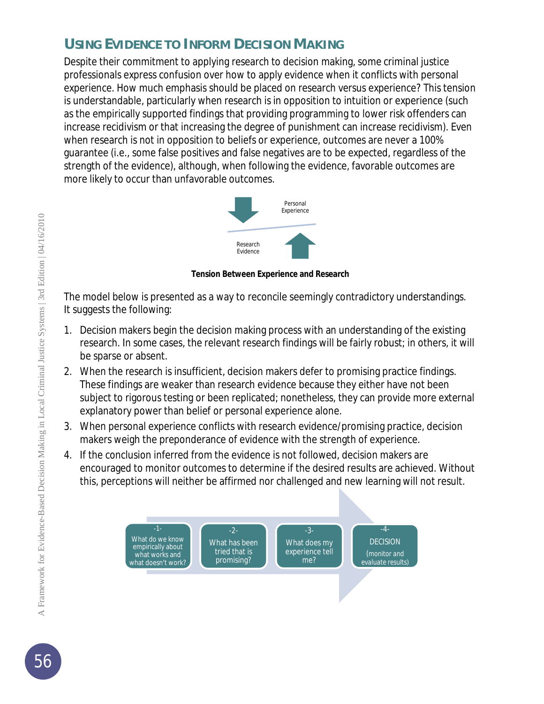## **USING EVIDENCE TO INFORM DECISION MAKING**

Despite their commitment to applying research to decision making, some criminal justice professionals express confusion over how to apply evidence when it conflicts with personal experience. How much emphasis should be placed on research versus experience? This tension is understandable, particularly when research is in opposition to intuition or experience (such as the empirically supported findings that providing programming to lower risk offenders can increase recidivism or that increasing the degree of punishment can increase recidivism). Even when research is not in opposition to beliefs or experience, outcomes are never a 100% guarantee (i.e., some false positives and false negatives are to be expected, regardless of the strength of the evidence), although, when following the evidence, favorable outcomes are more likely to occur than unfavorable outcomes.



**Tension Between Experience and Research**

The model below is presented as a way to reconcile seemingly contradictory understandings. It suggests the following:

- 1. Decision makers begin the decision making process with an understanding of the existing research. In some cases, the relevant research findings will be fairly robust; in others, it will be sparse or absent.
- 2. When the research is insufficient, decision makers defer to promising practice findings. These findings are weaker than research evidence because they either have not been subject to rigorous testing or been replicated; nonetheless, they can provide more external explanatory power than belief or personal experience alone.
- 3. When personal experience conflicts with research evidence/promising practice, decision makers weigh the preponderance of evidence with the strength of experience.
- 4. If the conclusion inferred from the evidence is not followed, decision makers are encouraged to monitor outcomes to determine if the desired results are achieved. Without this, perceptions will neither be affirmed nor challenged and new learning will not result.

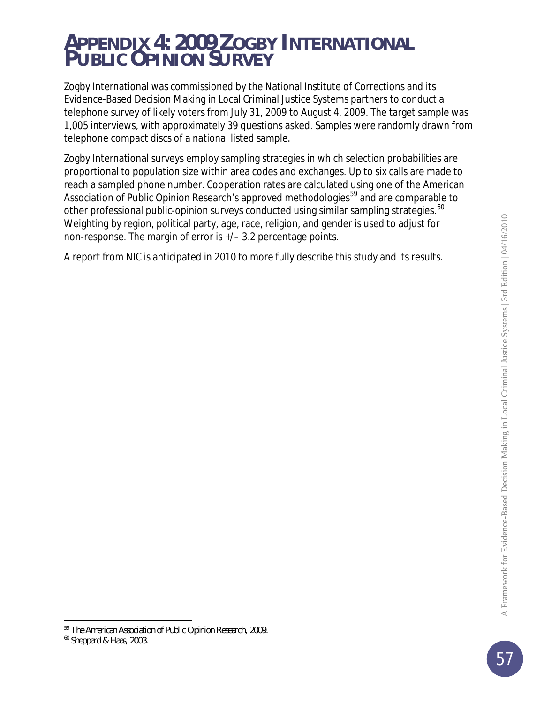## *APPENDIX 4: 2009 ZOGBY INTERNATIONAL PUBLIC OPINION SURVEY*

Zogby International was commissioned by the National Institute of Corrections and its Evidence-Based Decision Making in Local Criminal Justice Systems partners to conduct a telephone survey of likely voters from July 31, 2009 to August 4, 2009. The target sample was 1,005 interviews, with approximately 39 questions asked. Samples were randomly drawn from telephone compact discs of a national listed sample.

Zogby International surveys employ sampling strategies in which selection probabilities are proportional to population size within area codes and exchanges. Up to six calls are made to reach a sampled phone number. Cooperation rates are calculated using one of the American Association of Public Opinion Research's approved methodologies<sup>[59](#page-56-0)</sup> and are comparable to other professional public-opinion surveys conducted using similar sampling strategies.<sup>[60](#page-56-1)</sup> Weighting by region, political party, age, race, religion, and gender is used to adjust for non-response. The margin of error is +/– 3.2 percentage points.

A report from NIC is anticipated in 2010 to more fully describe this study and its results.

j

<span id="page-56-1"></span><span id="page-56-0"></span><sup>59</sup> The American Association of Public Opinion Research, 2009.

<sup>60</sup> Sheppard & Haas, 2003.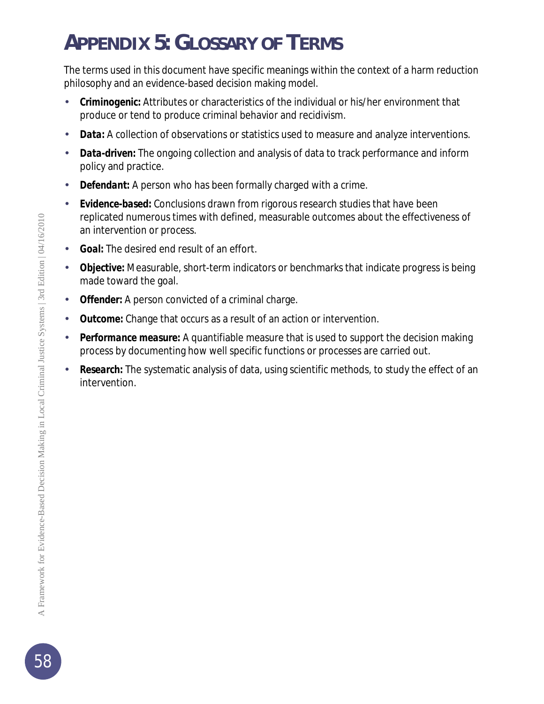# *APPENDIX 5: GLOSSARY OF TERMS*

The terms used in this document have specific meanings within the context of a harm reduction philosophy and an evidence-based decision making model.

- *Criminogenic:* Attributes or characteristics of the individual or his/her environment that produce or tend to produce criminal behavior and recidivism.
- *Data:* A collection of observations or statistics used to measure and analyze interventions.
- *Data-driven:* The ongoing collection and analysis of data to track performance and inform policy and practice.
- *Defendant:* A person who has been formally charged with a crime.
- *Evidence-based:* Conclusions drawn from rigorous research studies that have been replicated numerous times with defined, measurable outcomes about the effectiveness of an intervention or process.
- *Goal:* The desired end result of an effort. ä,
- *Objective:* Measurable, short-term indicators or benchmarks that indicate progress is being made toward the goal.
- *Offender:* A person convicted of a criminal charge.
- *Outcome:* Change that occurs as a result of an action or intervention.
- *Performance measure:* A quantifiable measure that is used to support the decision making process by documenting how well specific functions or processes are carried out.
- *Research:* The systematic analysis of data, using scientific methods, to study the effect of an intervention.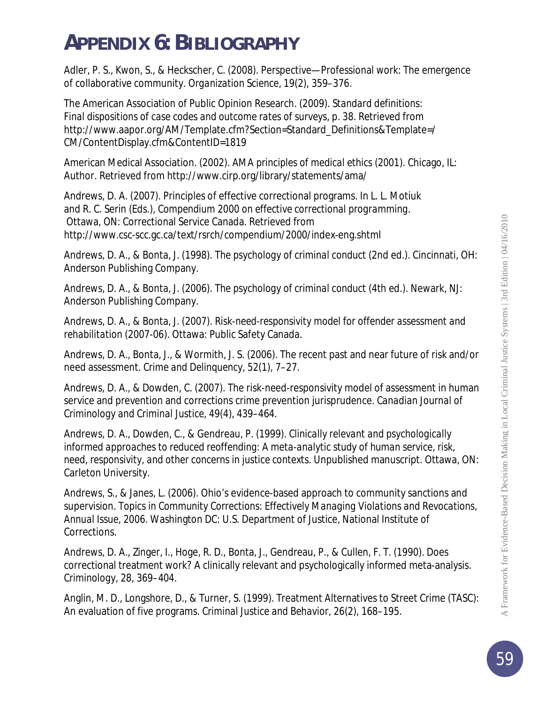## *APPENDIX 6: BIBLIOGRAPHY*

Adler, P. S., Kwon, S., & Heckscher, C. (2008). Perspective—Professional work: The emergence of collaborative community. *Organization Science, 19*(2), 359–376.

The American Association of Public Opinion Research. (2009). *Standard definitions: Final dispositions of case codes and outcome rates of surveys*, p. 38. Retrieved from http://www.aapor.org/AM/Template.cfm?Section=Standard\_Definitions&Template=/ CM/ContentDisplay.cfm&ContentID=1819

American Medical Association. (2002). *AMA principles of medical ethics (2001).* Chicago, IL: Author. Retrieved from http://www.cirp.org/library/statements/ama/

Andrews, D. A. (2007). Principles of effective correctional programs. In L. L. Motiuk and R. C. Serin (Eds.), *Compendium 2000 on effective correctional programming.* Ottawa, ON: Correctional Service Canada. Retrieved from http://www.csc-scc.gc.ca/text/rsrch/compendium/2000/index-eng.shtml

Andrews, D. A., & Bonta, J. (1998). *The psychology of criminal conduct* (2nd ed.). Cincinnati, OH: Anderson Publishing Company.

Andrews, D. A., & Bonta, J. (2006). *The psychology of criminal conduct* (4th ed.). Newark, NJ: Anderson Publishing Company.

Andrews, D. A., & Bonta, J. (2007). *Risk-need-responsivity model for offender assessment and rehabilitation* (2007-06). Ottawa: Public Safety Canada.

Andrews, D. A., Bonta, J., & Wormith, J. S. (2006). The recent past and near future of risk and/or need assessment. *Crime and Delinquency, 52*(1), 7–27.

Andrews, D. A., & Dowden, C. (2007). The risk-need-responsivity model of assessment in human service and prevention and corrections crime prevention jurisprudence. *Canadian Journal of Criminology and Criminal Justice, 49*(4), 439–464.

Andrews, D. A., Dowden, C., & Gendreau, P. (1999). *Clinically relevant and psychologically informed approaches to reduced reoffending: A meta-analytic study of human service, risk, need, responsivity, and other concerns in justice contexts*. Unpublished manuscript. Ottawa, ON: Carleton University.

Andrews, S., & Janes, L. (2006). Ohio's evidence-based approach to community sanctions and supervision. *Topics in Community Corrections: Effectively Managing Violations and Revocations, Annual Issue, 2006*. Washington DC: U.S. Department of Justice, National Institute of Corrections.

Andrews, D. A., Zinger, I., Hoge, R. D., Bonta, J., Gendreau, P., & Cullen, F. T. (1990). Does correctional treatment work? A clinically relevant and psychologically informed meta-analysis. *Criminology, 28*, 369–404.

Anglin, M. D., Longshore, D., & Turner, S. (1999). Treatment Alternatives to Street Crime (TASC): An evaluation of five programs. *Criminal Justice and Behavior, 26*(2), 168–195.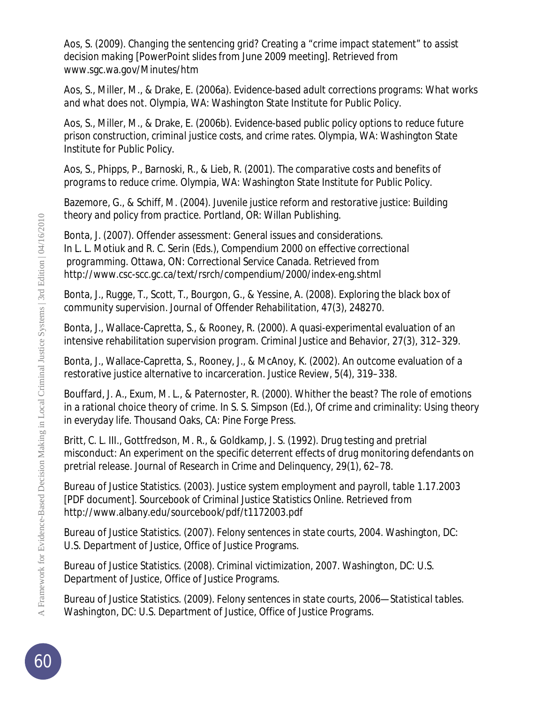Aos, S. (2009). *Changing the sentencing grid? Creating a "crime impact statement" to assist decision making* [PowerPoint slides from June 2009 meeting]*.* Retrieved from www.sgc.wa.gov/Minutes/htm

Aos, S., Miller, M., & Drake, E. (2006a). *Evidence-based adult corrections programs: What works and what does not*. Olympia, WA: Washington State Institute for Public Policy.

Aos, S., Miller, M., & Drake, E. (2006b). *Evidence-based public policy options to reduce future prison construction, criminal justice costs, and crime rates*. Olympia, WA: Washington State Institute for Public Policy.

Aos, S., Phipps, P., Barnoski, R., & Lieb, R. (2001). *The comparative costs and benefits of programs to reduce crime*. Olympia, WA: Washington State Institute for Public Policy.

Bazemore, G., & Schiff, M. (2004). *Juvenile justice reform and restorative justice: Building theory and policy from practice*. Portland, OR: Willan Publishing.

Bonta, J. (2007). Offender assessment: General issues and considerations. In L. L. Motiuk and R. C. Serin (Eds.), *Compendium 2000 on effective correctional programming.* Ottawa, ON: Correctional Service Canada. Retrieved from http://www.csc-scc.gc.ca/text/rsrch/compendium/2000/index-eng.shtml

Bonta, J., Rugge, T., Scott, T., Bourgon, G., & Yessine, A. (2008). Exploring the black box of community supervision. *Journal of Offender Rehabilitation, 47*(3), 248270.

Bonta, J., Wallace-Capretta, S., & Rooney, R. (2000). A quasi-experimental evaluation of an intensive rehabilitation supervision program. *Criminal Justice and Behavior*, 27(3), 312–329.

Bonta, J., Wallace-Capretta, S., Rooney, J., & McAnoy, K. (2002). An outcome evaluation of a restorative justice alternative to incarceration. *Justice Review, 5*(4), 319–338.

Bouffard, J. A., Exum, M. L., & Paternoster, R. (2000). Whither the beast? The role of emotions in a rational choice theory of crime. In S. S. Simpson (Ed.), *Of crime and criminality: Using theory in everyday life.* Thousand Oaks, CA: Pine Forge Press.

Britt, C. L. III., Gottfredson, M. R., & Goldkamp, J. S. (1992). Drug testing and pretrial misconduct: An experiment on the specific deterrent effects of drug monitoring defendants on pretrial release. *Journal of Research in Crime and Delinquency, 29*(1), 62–78.

Bureau of Justice Statistics. (2003). Justice system employment and payroll, table 1.17.2003 [PDF document]. *Sourcebook of Criminal Justice Statistics Online.* Retrieved from http://www.albany.edu/sourcebook/pdf/t1172003.pdf

Bureau of Justice Statistics. (2007). *Felony sentences in state courts, 2004.* Washington, DC: U.S. Department of Justice, Office of Justice Programs.

Bureau of Justice Statistics. (2008). *Criminal victimization, 2007.* Washington, DC: U.S. Department of Justice, Office of Justice Programs.

Bureau of Justice Statistics. (2009). *Felony sentences in state courts, 2006—Statistical tables.* Washington, DC: U.S. Department of Justice, Office of Justice Programs.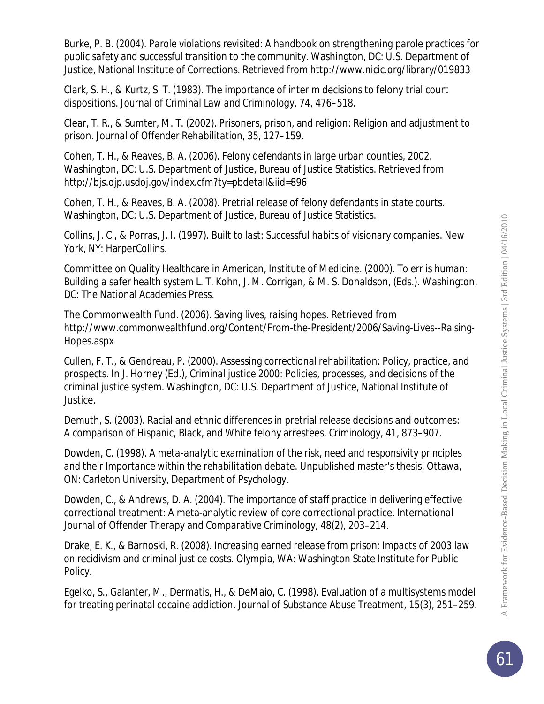Burke, P. B. (2004). *Parole violations revisited: A handbook on strengthening parole practices for public safety and successful transition to the community*. Washington, DC: U.S. Department of Justice, National Institute of Corrections. Retrieved from http://www.nicic.org/library/019833

Clark, S. H., & Kurtz, S. T. (1983). The importance of interim decisions to felony trial court dispositions. *Journal of Criminal Law and Criminology, 74,* 476–518.

Clear, T. R., & Sumter, M. T. (2002). Prisoners, prison, and religion: Religion and adjustment to prison. *Journal of Offender Rehabilitation, 35,* 127–159.

Cohen, T. H., & Reaves, B. A. (2006). *Felony defendants in large urban counties, 2002*. Washington, DC: U.S. Department of Justice, Bureau of Justice Statistics. Retrieved from http://bjs.ojp.usdoj.gov/index.cfm?ty=pbdetail&iid=896

Cohen, T. H., & Reaves, B. A. (2008). *Pretrial release of felony defendants in state courts*. Washington, DC: U.S. Department of Justice, Bureau of Justice Statistics.

Collins, J. C., & Porras, J. I. (1997). *Built to last: Successful habits of visionary companies.* New York, NY: HarperCollins.

Committee on Quality Healthcare in American, Institute of Medicine. (2000). *To err is human: Building a safer health system* L. T. Kohn, J. M. Corrigan, & M. S. Donaldson, (Eds.). Washington, DC: The National Academies Press.

The Commonwealth Fund. (2006). *Saving lives, raising hopes*. Retrieved from http://www.commonwealthfund.org/Content/From-the-President/2006/Saving-Lives--Raising-Hopes.aspx

Cullen, F. T., & Gendreau, P. (2000). Assessing correctional rehabilitation: Policy, practice, and prospects. In J. Horney (Ed.), *Criminal justice 2000: Policies, processes, and decisions of the criminal justice system*. Washington, DC: U.S. Department of Justice, National Institute of Justice.

Demuth, S. (2003). Racial and ethnic differences in pretrial release decisions and outcomes: A comparison of Hispanic, Black, and White felony arrestees. *Criminology*, *41,* 873–907.

Dowden, C. (1998). *A meta-analytic examination of the risk, need and responsivity principles and their Importance within the rehabilitation debate*. Unpublished master's thesis. Ottawa, ON: Carleton University, Department of Psychology.

Dowden, C., & Andrews, D. A. (2004). The importance of staff practice in delivering effective correctional treatment: A meta-analytic review of core correctional practice. *International Journal of Offender Therapy and Comparative Criminology*, *48*(2), 203–214.

Drake, E. K., & Barnoski, R. (2008). *Increasing earned release from prison: Impacts of 2003 law on recidivism and criminal justice costs*. Olympia, WA: Washington State Institute for Public Policy.

Egelko, S., Galanter, M., Dermatis, H., & DeMaio, C. (1998). Evaluation of a multisystems model for treating perinatal cocaine addiction. *Journal of Substance Abuse Treatment*, *15*(3), 251–259.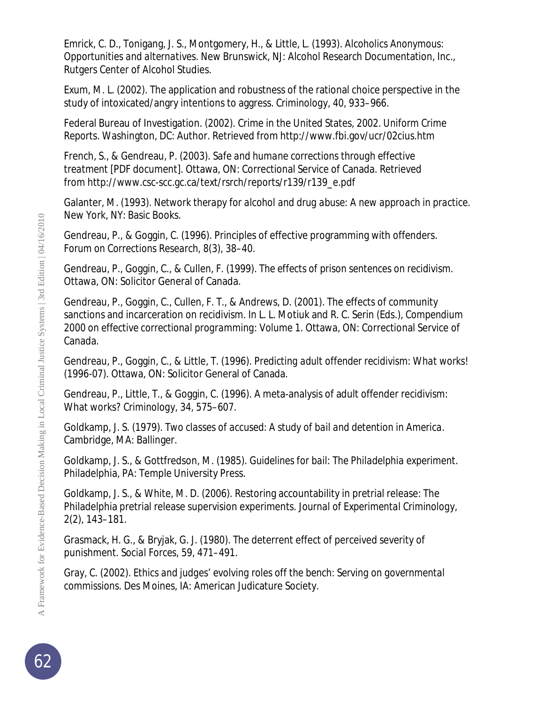Emrick, C. D., Tonigang, J. S., Montgomery, H., & Little, L. (1993). *Alcoholics Anonymous: Opportunities and alternatives.* New Brunswick, NJ: Alcohol Research Documentation, Inc., Rutgers Center of Alcohol Studies.

Exum, M. L. (2002). The application and robustness of the rational choice perspective in the study of intoxicated/angry intentions to aggress. *Criminology*, *40,* 933–966.

Federal Bureau of Investigation. (2002). Crime in the United States, 2002. *Uniform Crime Reports.* Washington, DC: Author. Retrieved from http://www.fbi.gov/ucr/02cius.htm

French, S., & Gendreau, P. (2003). *Safe and humane corrections through effective treatment* [PDF document]. Ottawa, ON: Correctional Service of Canada. Retrieved from http://www.csc-scc.gc.ca/text/rsrch/reports/r139/r139\_e.pdf

Galanter, M. (1993). *Network therapy for alcohol and drug abuse: A new approach in practice*. New York, NY: Basic Books.

Gendreau, P., & Goggin, C. (1996). Principles of effective programming with offenders. *Forum on Corrections Research*, *8*(3), 38–40.

Gendreau, P., Goggin, C., & Cullen, F. (1999). *The effects of prison sentences on recidivism*. Ottawa, ON: Solicitor General of Canada.

Gendreau, P., Goggin, C., Cullen, F. T., & Andrews, D. (2001). The effects of community sanctions and incarceration on recidivism. In L. L. Motiuk and R. C. Serin (Eds.), *Compendium 2000 on effective correctional programming: Volume 1*. Ottawa, ON: Correctional Service of Canada.

Gendreau, P., Goggin, C., & Little, T. (1996). *Predicting adult offender recidivism: What works!*  (1996-07). Ottawa, ON: Solicitor General of Canada.

Gendreau, P., Little, T., & Goggin, C. (1996). A meta-analysis of adult offender recidivism: What works? *Criminology, 34,* 575–607.

Goldkamp, J. S. (1979). *Two classes of accused: A study of bail and detention in America*. Cambridge, MA: Ballinger.

Goldkamp, J. S., & Gottfredson, M. (1985). *Guidelines for bail: The Philadelphia experiment*. Philadelphia, PA: Temple University Press.

Goldkamp, J. S., & White, M. D. (2006). Restoring accountability in pretrial release: The Philadelphia pretrial release supervision experiments. *Journal of Experimental Criminology, 2*(2), 143–181.

Grasmack, H. G., & Bryjak, G. J. (1980). The deterrent effect of perceived severity of punishment. *Social Forces*, 59, 471–491.

Gray, C. (2002). *Ethics and judges' evolving roles off the bench: Serving on governmental commissions.* Des Moines, IA: American Judicature Society.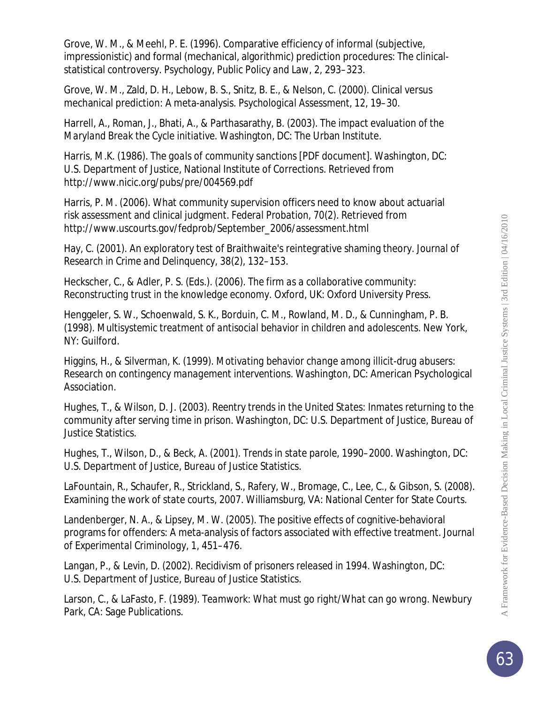Grove, W. M., & Meehl, P. E. (1996). Comparative efficiency of informal (subjective, impressionistic) and formal (mechanical, algorithmic) prediction procedures: The clinicalstatistical controversy. *Psychology, Public Policy and Law*, *2,* 293–323.

Grove, W. M., Zald, D. H., Lebow, B. S., Snitz, B. E., & Nelson, C. (2000). Clinical versus mechanical prediction: A meta-analysis. *Psychological Assessment*, *12,* 19–30.

Harrell, A., Roman, J., Bhati, A., & Parthasarathy, B. (2003). *The impact evaluation of the Maryland Break the Cycle initiative*. Washington, DC: The Urban Institute.

Harris, M.K. (1986). *The goals of community sanctions* [PDF document]*.* Washington, DC: U.S. Department of Justice, National Institute of Corrections. Retrieved from http://www.nicic.org/pubs/pre/004569.pdf

Harris, P. M. (2006). What community supervision officers need to know about actuarial risk assessment and clinical judgment. *Federal Probation, 70*(2). Retrieved from http://www.uscourts.gov/fedprob/September\_2006/assessment.html

Hay, C. (2001). An exploratory test of Braithwaite's reintegrative shaming theory. *Journal of Research in Crime and Delinquency, 38*(2), 132–153.

Heckscher, C., & Adler, P. S. (Eds.). (2006). *The firm as a collaborative community: Reconstructing trust in the knowledge economy*. Oxford, UK: Oxford University Press.

Henggeler, S. W., Schoenwald, S. K., Borduin, C. M., Rowland, M. D., & Cunningham, P. B. (1998). *Multisystemic treatment of antisocial behavior in children and adolescents*. New York, NY: Guilford.

Higgins, H., & Silverman, K. (1999). *Motivating behavior change among illicit-drug abusers: Research on contingency management interventions*. Washington, DC: American Psychological Association.

Hughes, T., & Wilson, D. J. (2003). *Reentry trends in the United States: Inmates returning to the community after serving time in prison.* Washington, DC: U.S. Department of Justice, Bureau of Justice Statistics.

Hughes, T., Wilson, D., & Beck, A. (2001). *Trends in state parole, 1990–2000.* Washington, DC: U.S. Department of Justice, Bureau of Justice Statistics.

LaFountain, R., Schaufer, R., Strickland, S., Rafery, W., Bromage, C., Lee, C., & Gibson, S. (2008). *Examining the work of state courts, 2007.* Williamsburg, VA: National Center for State Courts.

Landenberger, N. A., & Lipsey, M. W. (2005). The positive effects of cognitive-behavioral programs for offenders: A meta-analysis of factors associated with effective treatment. *Journal of Experimental Criminology, 1,* 451–476.

Langan, P., & Levin, D. (2002). *Recidivism of prisoners released in 1994.* Washington, DC: U.S. Department of Justice, Bureau of Justice Statistics.

Larson, C., & LaFasto, F. (1989). *Teamwork: What must go right/What can go wrong.* Newbury Park, CA: Sage Publications.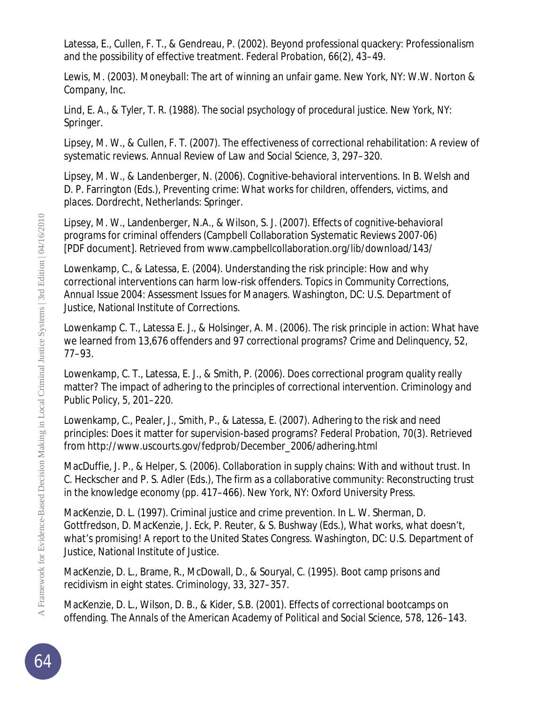Latessa, E., Cullen, F. T., & Gendreau, P. (2002). Beyond professional quackery: Professionalism and the possibility of effective treatment. *Federal Probation*, *66*(2), 43–49.

Lewis, M. (2003). *Moneyball: The art of winning an unfair game*. New York, NY: W.W. Norton & Company, Inc.

Lind, E. A., & Tyler, T. R. (1988). *The social psychology of procedural justice.* New York, NY: Springer.

Lipsey, M. W., & Cullen, F. T. (2007). The effectiveness of correctional rehabilitation: A review of systematic reviews. *Annual Review of Law and Social Science, 3,* 297–320.

Lipsey, M. W., & Landenberger, N. (2006). Cognitive-behavioral interventions. In B. Welsh and D. P. Farrington (Eds.), *Preventing crime: What works for children, offenders, victims, and places.* Dordrecht, Netherlands: Springer.

Lipsey, M. W., Landenberger, N.A., & Wilson, S. J. (2007). *Effects of cognitive-behavioral programs for criminal offenders* (Campbell Collaboration Systematic Reviews 2007-06) [PDF document]. Retrieved from www.campbellcollaboration.org/lib/download/143/

Lowenkamp, C., & Latessa, E. (2004). Understanding the risk principle: How and why correctional interventions can harm low-risk offenders. *Topics in Community Corrections, Annual Issue 2004: Assessment Issues for Managers.* Washington, DC: U.S. Department of Justice, National Institute of Corrections.

Lowenkamp C. T., Latessa E. J., & Holsinger, A. M. (2006). The risk principle in action: What have we learned from 13,676 offenders and 97 correctional programs? *Crime and Delinquency, 52*, 77–93.

Lowenkamp, C. T., Latessa, E. J., & Smith, P. (2006). Does correctional program quality really matter? The impact of adhering to the principles of correctional intervention. *Criminology and Public Policy, 5,* 201–220.

Lowenkamp, C., Pealer, J., Smith, P., & Latessa, E. (2007). Adhering to the risk and need principles: Does it matter for supervision-based programs? *Federal Probation, 70*(3). Retrieved from http://www.uscourts.gov/fedprob/December\_2006/adhering.html

MacDuffie, J. P., & Helper, S. (2006). Collaboration in supply chains: With and without trust. In C. Heckscher and P. S. Adler (Eds.), *The firm as a collaborative community: Reconstructing trust in the knowledge economy* (pp. 417–466). New York, NY: Oxford University Press.

MacKenzie, D. L. (1997). Criminal justice and crime prevention. In L. W. Sherman, D. Gottfredson, D. MacKenzie, J. Eck, P. Reuter, & S. Bushway (Eds.), *What works, what doesn't, what's promising! A report to the United States Congress*. Washington, DC: U.S. Department of Justice, National Institute of Justice.

MacKenzie, D. L., Brame, R., McDowall, D., & Souryal, C. (1995). Boot camp prisons and recidivism in eight states. *Criminology, 33,* 327–357.

MacKenzie, D. L., Wilson, D. B., & Kider, S.B. (2001). Effects of correctional bootcamps on offending. *The Annals of the American Academy of Political and Social Science*, *578,* 126–143.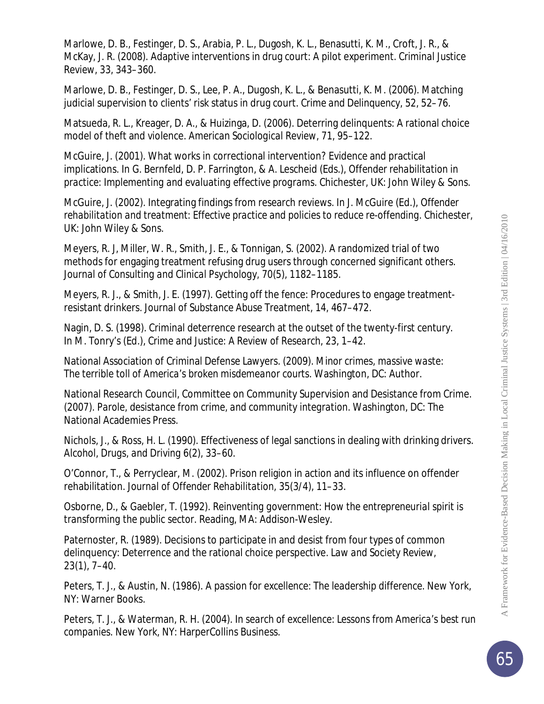Marlowe, D. B., Festinger, D. S., Arabia, P. L., Dugosh, K. L., Benasutti, K. M., Croft, J. R., & McKay, J. R. (2008). Adaptive interventions in drug court: A pilot experiment. *Criminal Justice Review, 33,* 343–360.

Marlowe, D. B., Festinger, D. S., Lee, P. A., Dugosh, K. L., & Benasutti, K. M. (2006). Matching judicial supervision to clients' risk status in drug court. *Crime and Delinquency, 52,* 52–76.

Matsueda, R. L., Kreager, D. A., & Huizinga, D. (2006). Deterring delinquents: A rational choice model of theft and violence. *American Sociological Review, 71,* 95–122.

McGuire, J. (2001). What works in correctional intervention? Evidence and practical implications. In G. Bernfeld, D. P. Farrington, & A. Lescheid (Eds.), *Offender rehabilitation in practice: Implementing and evaluating effective programs*. Chichester, UK: John Wiley & Sons.

McGuire, J. (2002). Integrating findings from research reviews. In J. McGuire (Ed.), *Offender rehabilitation and treatment: Effective practice and policies to reduce re-offending*. Chichester, UK: John Wiley & Sons.

Meyers, R. J, Miller, W. R., Smith, J. E., & Tonnigan, S. (2002). A randomized trial of two methods for engaging treatment refusing drug users through concerned significant others. *Journal of Consulting and Clinical Psychology, 70*(5), 1182–1185.

Meyers, R. J., & Smith, J. E. (1997). Getting off the fence: Procedures to engage treatmentresistant drinkers. *Journal of Substance Abuse Treatment*, *14,* 467–472.

Nagin, D. S. (1998). Criminal deterrence research at the outset of the twenty-first century. In M. Tonry's (Ed.), *Crime and Justice: A Review of Research*, *23*, 1–42.

National Association of Criminal Defense Lawyers. (2009). *Minor crimes, massive waste: The terrible toll of America's broken misdemeanor courts.* Washington, DC: Author.

National Research Council, Committee on Community Supervision and Desistance from Crime. (2007). *Parole, desistance from crime, and community integration*. Washington, DC: The National Academies Press.

Nichols, J., & Ross, H. L. (1990). Effectiveness of legal sanctions in dealing with drinking drivers. *Alcohol, Drugs, and Driving* 6(2), 33–60.

O'Connor, T., & Perryclear, M. (2002). Prison religion in action and its influence on offender rehabilitation*. Journal of Offender Rehabilitation*, *35*(3/4), 11–33.

Osborne, D., & Gaebler, T. (1992). *Reinventing government: How the entrepreneurial spirit is transforming the public sector*. Reading, MA: Addison-Wesley.

Paternoster, R. (1989). Decisions to participate in and desist from four types of common delinquency: Deterrence and the rational choice perspective. *Law and Society Review*, 23(1), 7–40.

Peters, T. J., & Austin, N. (1986). *A passion for excellence: The leadership difference*. New York, NY: Warner Books.

Peters, T. J., & Waterman, R. H. (2004). *In search of excellence: Lessons from America's best run companies.* New York, NY: HarperCollins Business.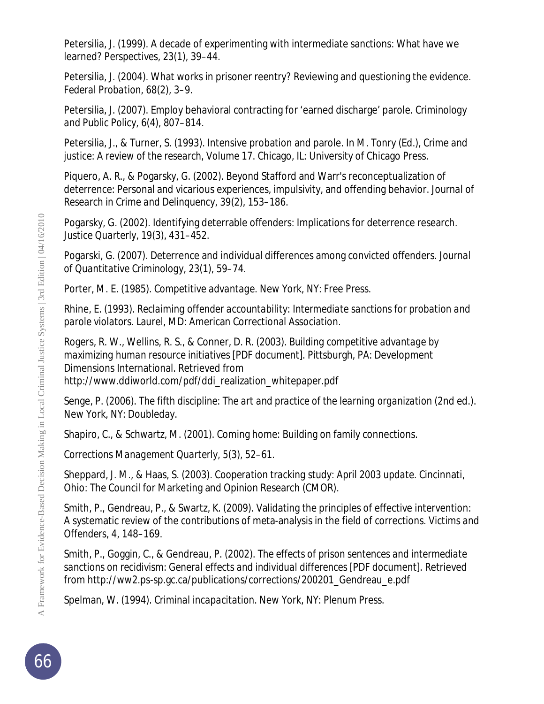Petersilia, J. (1999). A decade of experimenting with intermediate sanctions: What have we learned? *Perspectives*, *23*(1), 39–44.

Petersilia, J. (2004). What works in prisoner reentry? Reviewing and questioning the evidence. *Federal Probation*, *68*(2), 3–9.

Petersilia, J. (2007). Employ behavioral contracting for 'earned discharge' parole. *Criminology and Public Policy*, *6*(4), 807–814.

Petersilia, J., & Turner, S. (1993). Intensive probation and parole. In M. Tonry (Ed.), *Crime and justice: A review of the research, Volume 17.* Chicago, IL: University of Chicago Press.

Piquero, A. R., & Pogarsky, G. (2002). Beyond Stafford and Warr's reconceptualization of deterrence: Personal and vicarious experiences, impulsivity, and offending behavior. *Journal of Research in Crime and Delinquency, 39*(2), 153–186.

Pogarsky, G. (2002). Identifying deterrable offenders: Implications for deterrence research. *Justice Quarterly*, *19*(3), 431–452.

Pogarski, G. (2007). Deterrence and individual differences among convicted offenders. *Journal of Quantitative Criminology, 23*(1), 59–74.

Porter, M. E. (1985). *Competitive advantage*. New York, NY: Free Press.

Rhine, E. (1993). *Reclaiming offender accountability: Intermediate sanctions for probation and parole violators*. Laurel, MD: American Correctional Association.

Rogers, R. W., Wellins, R. S., & Conner, D. R. (2003). *Building competitive advantage by maximizing human resource initiatives* [PDF document]*.* Pittsburgh, PA: Development Dimensions International. Retrieved from http://www.ddiworld.com/pdf/ddi\_realization\_whitepaper.pdf

Senge, P. (2006). *The fifth discipline: The art and practice of the learning organization* (2nd ed.). New York, NY: Doubleday.

Shapiro, C., & Schwartz, M. (2001). Coming home: Building on family connections.

*Corrections Management Quarterly, 5*(3), 52–61.

Sheppard, J. M., & Haas, S. (2003). *Cooperation tracking study: April 2003 update*. Cincinnati, Ohio: The Council for Marketing and Opinion Research (CMOR).

Smith, P., Gendreau, P., & Swartz, K. (2009). Validating the principles of effective intervention: A systematic review of the contributions of meta-analysis in the field of corrections. *Victims and Offenders*, *4,* 148–169.

Smith, P., Goggin, C., & Gendreau, P. (2002). *The effects of prison sentences and intermediate sanctions on recidivism: General effects and individual differences* [PDF document]*.* Retrieved from http://ww2.ps-sp.gc.ca/publications/corrections/200201\_Gendreau\_e.pdf

Spelman, W. (1994). *Criminal incapacitation.* New York, NY: Plenum Press.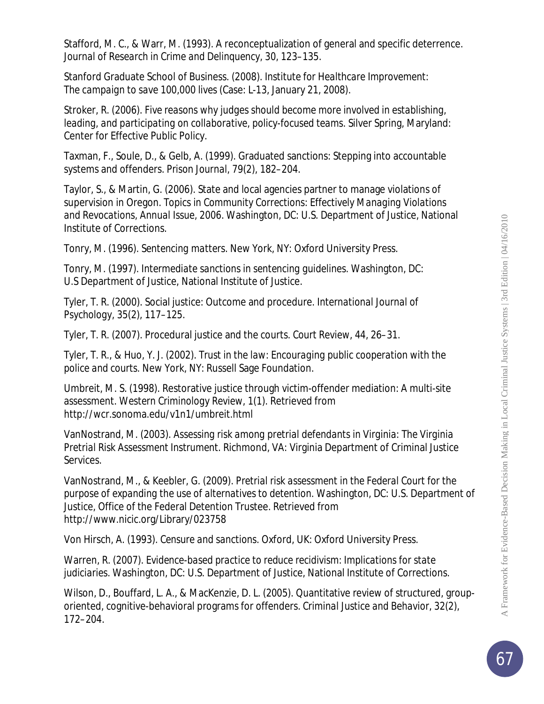Stafford, M. C., & Warr, M. (1993). A reconceptualization of general and specific deterrence. *Journal of Research in Crime and Delinquency, 30,* 123–135.

Stanford Graduate School of Business. (2008). *Institute for Healthcare Improvement: The campaign to save 100,000 lives* (Case: L-13, January 21, 2008).

Stroker, R. (2006). *Five reasons why judges should become more involved in establishing, leading, and participating on collaborative, policy-focused teams.* Silver Spring, Maryland: Center for Effective Public Policy.

Taxman, F., Soule, D., & Gelb, A. (1999). Graduated sanctions: Stepping into accountable systems and offenders. *Prison Journal, 79*(2), 182–204.

Taylor, S., & Martin, G. (2006). State and local agencies partner to manage violations of supervision in Oregon. *Topics in Community Corrections: Effectively Managing Violations and Revocations, Annual Issue, 2006*. Washington, DC: U.S. Department of Justice, National Institute of Corrections.

Tonry, M. (1996). *Sentencing matters.* New York, NY: Oxford University Press.

Tonry, M. (1997). *Intermediate sanctions in sentencing guidelines.* Washington, DC: U.S Department of Justice, National Institute of Justice.

Tyler, T. R. (2000). Social justice: Outcome and procedure. *International Journal of Psychology*, *35*(2), 117–125.

Tyler, T. R. (2007). Procedural justice and the courts. *Court Review*, *44,* 26–31.

Tyler, T. R., & Huo, Y. J. (2002). *Trust in the law: Encouraging public cooperation with the police and courts.* New York, NY: Russell Sage Foundation.

Umbreit, M. S. (1998). Restorative justice through victim-offender mediation: A multi-site assessment. *Western Criminology Review, 1*(1). Retrieved from http://wcr.sonoma.edu/v1n1/umbreit.html

VanNostrand, M. (2003). *Assessing risk among pretrial defendants in Virginia: The Virginia Pretrial Risk Assessment Instrument*. Richmond, VA: Virginia Department of Criminal Justice Services.

VanNostrand, M., & Keebler, G. (2009). *Pretrial risk assessment in the Federal Court for the purpose of expanding the use of alternatives to detention.* Washington, DC: U.S. Department of Justice, Office of the Federal Detention Trustee. Retrieved from http://www.nicic.org/Library/023758

Von Hirsch, A. (1993). *Censure and sanctions*. Oxford, UK: Oxford University Press.

Warren, R. (2007). *Evidence-based practice to reduce recidivism: Implications for state judiciaries*. Washington, DC: U.S. Department of Justice, National Institute of Corrections.

Wilson, D., Bouffard, L. A., & MacKenzie, D. L. (2005). Quantitative review of structured, grouporiented, cognitive-behavioral programs for offenders. *Criminal Justice and Behavior*, *32*(2), 172–204.